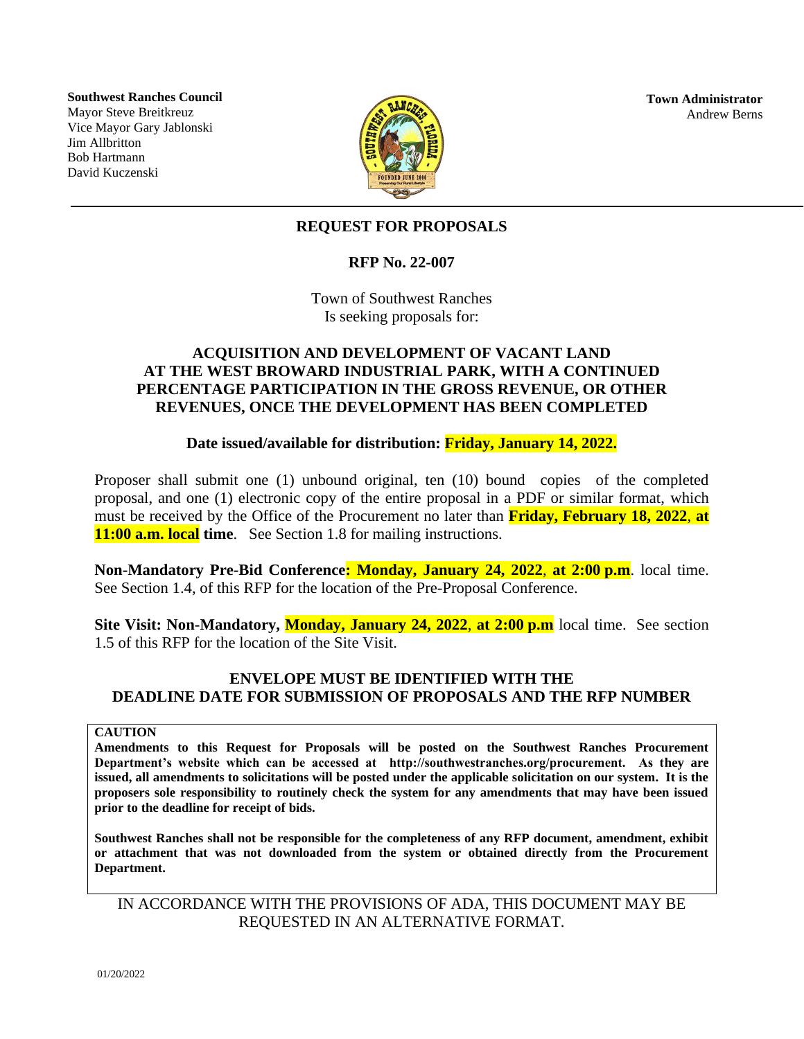**Southwest Ranches Council** Mayor Steve Breitkreuz Vice Mayor Gary Jablonski Jim Allbritton Bob Hartmann David Kuczenski



**Town Administrator** Andrew Berns

## **REQUEST FOR PROPOSALS**

### **RFP No. 22-007**

Town of Southwest Ranches Is seeking proposals for:

### **ACQUISITION AND DEVELOPMENT OF VACANT LAND AT THE WEST BROWARD INDUSTRIAL PARK, WITH A CONTINUED PERCENTAGE PARTICIPATION IN THE GROSS REVENUE, OR OTHER REVENUES, ONCE THE DEVELOPMENT HAS BEEN COMPLETED**

### **Date issued/available for distribution: Friday, January 14, 2022.**

Proposer shall submit one (1) unbound original, ten (10) bound copies of the completed proposal, and one (1) electronic copy of the entire proposal in a PDF or similar format, which must be received by the Office of the Procurement no later than **Friday, February 18, 2022**, **at 11:00 a.m. local time**. See Section 1.8 for mailing instructions.

**Non-Mandatory Pre-Bid Conference: Monday, January 24, 2022**, **at 2:00 p.m**. local time. See Section 1.4, of this RFP for the location of the Pre-Proposal Conference.

**Site Visit: Non-Mandatory, Monday, January 24, 2022**, **at 2:00 p.m** local time. See section 1.5 of this RFP for the location of the Site Visit.

## **ENVELOPE MUST BE IDENTIFIED WITH THE DEADLINE DATE FOR SUBMISSION OF PROPOSALS AND THE RFP NUMBER**

#### **CAUTION**

**Amendments to this Request for Proposals will be posted on the Southwest Ranches Procurement Department's website which can be accessed at http://southwestranches.org/procurement. As they are issued, all amendments to solicitations will be posted under the applicable solicitation on our system. It is the proposers sole responsibility to routinely check the system for any amendments that may have been issued prior to the deadline for receipt of bids.**

**Southwest Ranches shall not be responsible for the completeness of any RFP document, amendment, exhibit or attachment that was not downloaded from the system or obtained directly from the Procurement Department.**

IN ACCORDANCE WITH THE PROVISIONS OF ADA, THIS DOCUMENT MAY BE REQUESTED IN AN ALTERNATIVE FORMAT.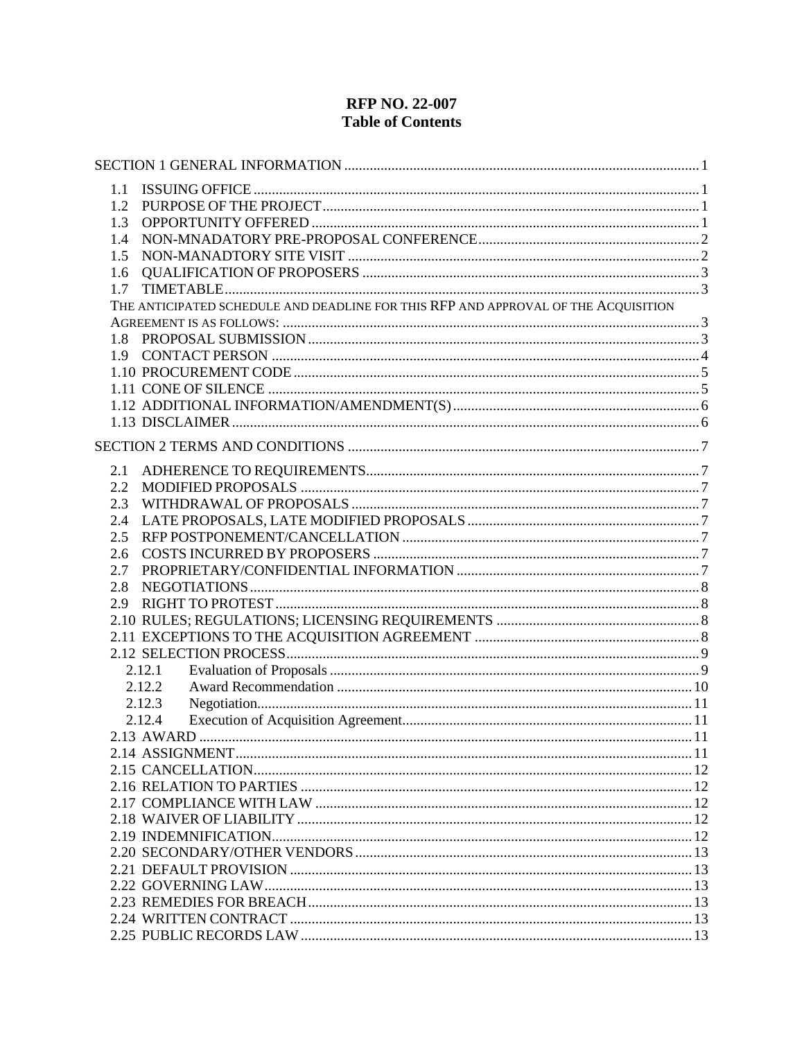# **RFP NO. 22-007 Table of Contents**

| 1.1     |                                                                                    |  |
|---------|------------------------------------------------------------------------------------|--|
| 1.2     |                                                                                    |  |
| 1.3     |                                                                                    |  |
| 1.4     |                                                                                    |  |
| 1.5     |                                                                                    |  |
| 1.6     |                                                                                    |  |
| 1.7     |                                                                                    |  |
|         | THE ANTICIPATED SCHEDULE AND DEADLINE FOR THIS RFP AND APPROVAL OF THE ACQUISITION |  |
|         |                                                                                    |  |
|         |                                                                                    |  |
|         |                                                                                    |  |
|         |                                                                                    |  |
|         |                                                                                    |  |
|         |                                                                                    |  |
|         |                                                                                    |  |
|         |                                                                                    |  |
|         |                                                                                    |  |
| 2.1     |                                                                                    |  |
| $2.2\,$ |                                                                                    |  |
| 2.3     |                                                                                    |  |
| 2.4     |                                                                                    |  |
| 2.5     |                                                                                    |  |
| 2.6     |                                                                                    |  |
| 2.7     |                                                                                    |  |
| 2.8     |                                                                                    |  |
| 2.9     |                                                                                    |  |
|         |                                                                                    |  |
|         |                                                                                    |  |
|         |                                                                                    |  |
|         | 2.12.1                                                                             |  |
|         | 2.12.2                                                                             |  |
|         | 2.12.3                                                                             |  |
|         | 2.12.4                                                                             |  |
|         |                                                                                    |  |
|         |                                                                                    |  |
|         |                                                                                    |  |
|         |                                                                                    |  |
|         |                                                                                    |  |
|         |                                                                                    |  |
|         |                                                                                    |  |
|         |                                                                                    |  |
|         |                                                                                    |  |
|         |                                                                                    |  |
|         |                                                                                    |  |
|         |                                                                                    |  |
|         |                                                                                    |  |
|         |                                                                                    |  |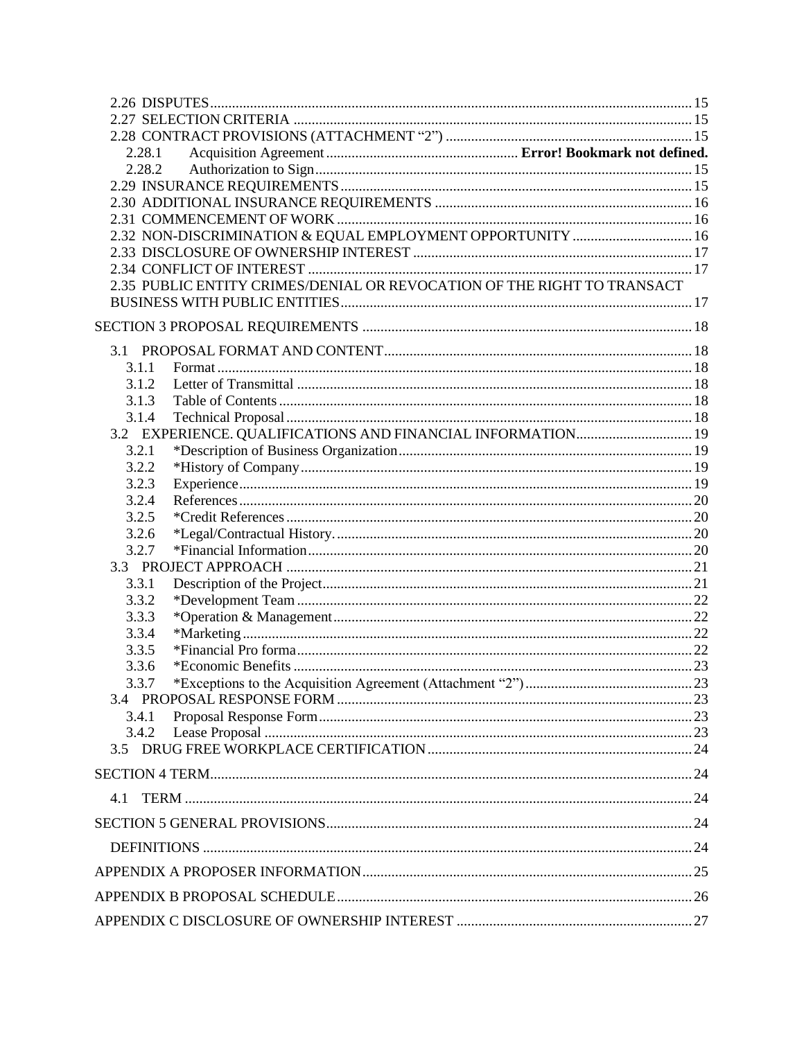| 2.28.1                                                                  |  |
|-------------------------------------------------------------------------|--|
| 2.28.2                                                                  |  |
|                                                                         |  |
|                                                                         |  |
|                                                                         |  |
| 2.32 NON-DISCRIMINATION & EQUAL EMPLOYMENT OPPORTUNITY  16              |  |
|                                                                         |  |
|                                                                         |  |
| 2.35 PUBLIC ENTITY CRIMES/DENIAL OR REVOCATION OF THE RIGHT TO TRANSACT |  |
|                                                                         |  |
|                                                                         |  |
|                                                                         |  |
| 3.1.1                                                                   |  |
| 3.1.2                                                                   |  |
| 3.1.3                                                                   |  |
| 3.1.4                                                                   |  |
| 3.2 EXPERIENCE. QUALIFICATIONS AND FINANCIAL INFORMATION 19             |  |
| 3.2.1                                                                   |  |
| 3.2.2                                                                   |  |
| 3.2.3                                                                   |  |
| 3.2.4                                                                   |  |
| 3.2.5                                                                   |  |
| 3.2.6                                                                   |  |
| 3.2.7                                                                   |  |
|                                                                         |  |
| 3.3.1                                                                   |  |
| 3.3.2                                                                   |  |
| 3.3.3                                                                   |  |
| 3.3.4                                                                   |  |
| 3.3.5                                                                   |  |
| 3.3.6                                                                   |  |
| 3.3.7                                                                   |  |
|                                                                         |  |
| 3.4.1                                                                   |  |
| 3.4.2                                                                   |  |
|                                                                         |  |
|                                                                         |  |
| 4.1                                                                     |  |
|                                                                         |  |
|                                                                         |  |
|                                                                         |  |
|                                                                         |  |
|                                                                         |  |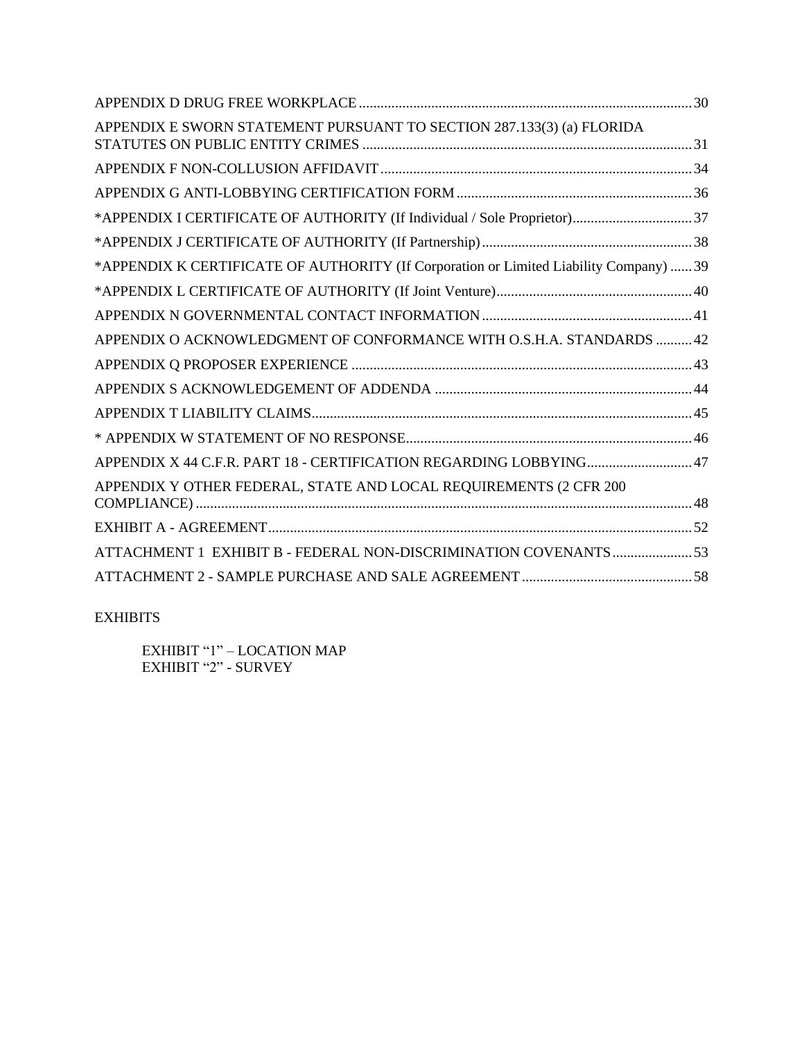| APPENDIX E SWORN STATEMENT PURSUANT TO SECTION 287.133(3) (a) FLORIDA                  |  |
|----------------------------------------------------------------------------------------|--|
|                                                                                        |  |
|                                                                                        |  |
| *APPENDIX I CERTIFICATE OF AUTHORITY (If Individual / Sole Proprietor)37               |  |
|                                                                                        |  |
| *APPENDIX K CERTIFICATE OF AUTHORITY (If Corporation or Limited Liability Company)  39 |  |
|                                                                                        |  |
|                                                                                        |  |
| APPENDIX O ACKNOWLEDGMENT OF CONFORMANCE WITH O.S.H.A. STANDARDS  42                   |  |
|                                                                                        |  |
|                                                                                        |  |
|                                                                                        |  |
|                                                                                        |  |
| APPENDIX X 44 C.F.R. PART 18 - CERTIFICATION REGARDING LOBBYING 47                     |  |
| APPENDIX Y OTHER FEDERAL, STATE AND LOCAL REQUIREMENTS (2 CFR 200                      |  |
|                                                                                        |  |
| ATTACHMENT 1 EXHIBIT B - FEDERAL NON-DISCRIMINATION COVENANTS 53                       |  |
|                                                                                        |  |
|                                                                                        |  |

## EXHIBITS

EXHIBIT "1" – LOCATION MAP EXHIBIT "2" - SURVEY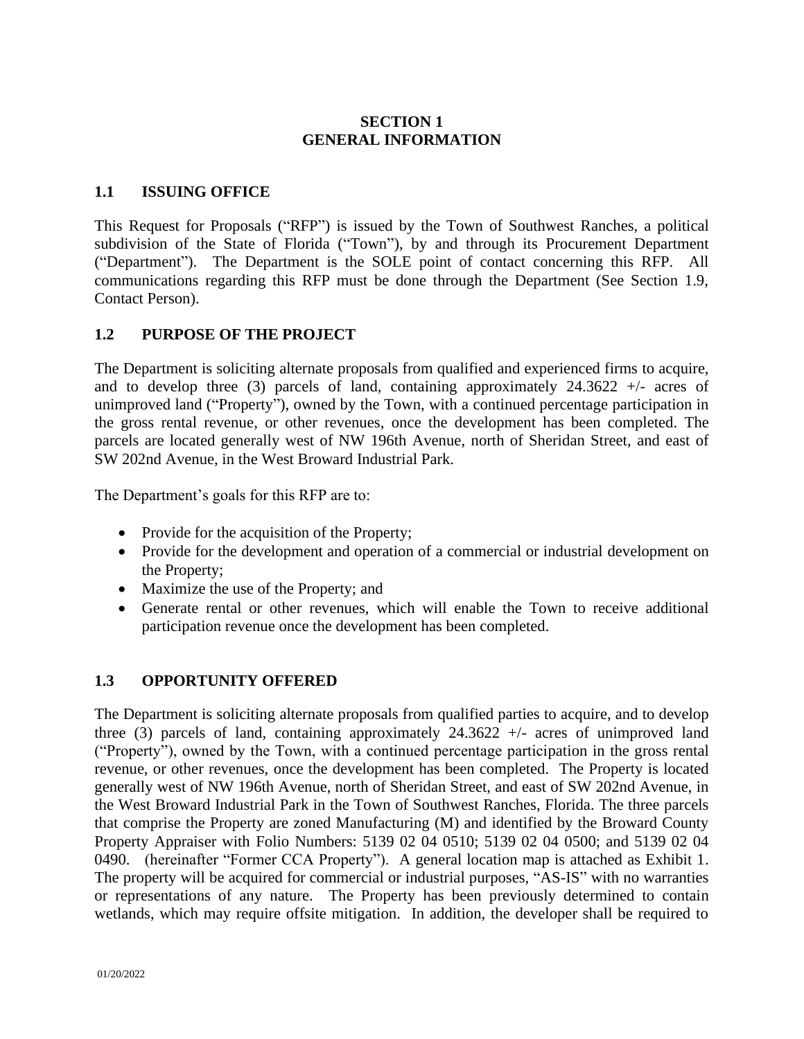## **SECTION 1 GENERAL INFORMATION**

### **1.1 ISSUING OFFICE**

This Request for Proposals ("RFP") is issued by the Town of Southwest Ranches, a political subdivision of the State of Florida ("Town"), by and through its Procurement Department ("Department"). The Department is the SOLE point of contact concerning this RFP. All communications regarding this RFP must be done through the Department (See Section 1.9, Contact Person).

### **1.2 PURPOSE OF THE PROJECT**

The Department is soliciting alternate proposals from qualified and experienced firms to acquire, and to develop three (3) parcels of land, containing approximately  $24.3622 +1$  acres of unimproved land ("Property"), owned by the Town, with a continued percentage participation in the gross rental revenue, or other revenues, once the development has been completed. The parcels are located generally west of NW 196th Avenue, north of Sheridan Street, and east of SW 202nd Avenue, in the West Broward Industrial Park.

The Department's goals for this RFP are to:

- Provide for the acquisition of the Property;
- Provide for the development and operation of a commercial or industrial development on the Property;
- Maximize the use of the Property; and
- Generate rental or other revenues, which will enable the Town to receive additional participation revenue once the development has been completed.

### **1.3 OPPORTUNITY OFFERED**

The Department is soliciting alternate proposals from qualified parties to acquire, and to develop three (3) parcels of land, containing approximately  $24.3622 +1$  acres of unimproved land ("Property"), owned by the Town, with a continued percentage participation in the gross rental revenue, or other revenues, once the development has been completed. The Property is located generally west of NW 196th Avenue, north of Sheridan Street, and east of SW 202nd Avenue, in the West Broward Industrial Park in the Town of Southwest Ranches, Florida. The three parcels that comprise the Property are zoned Manufacturing (M) and identified by the Broward County Property Appraiser with Folio Numbers: 5139 02 04 0510; 5139 02 04 0500; and 5139 02 04 0490. (hereinafter "Former CCA Property"). A general location map is attached as Exhibit 1. The property will be acquired for commercial or industrial purposes, "AS-IS" with no warranties or representations of any nature. The Property has been previously determined to contain wetlands, which may require offsite mitigation. In addition, the developer shall be required to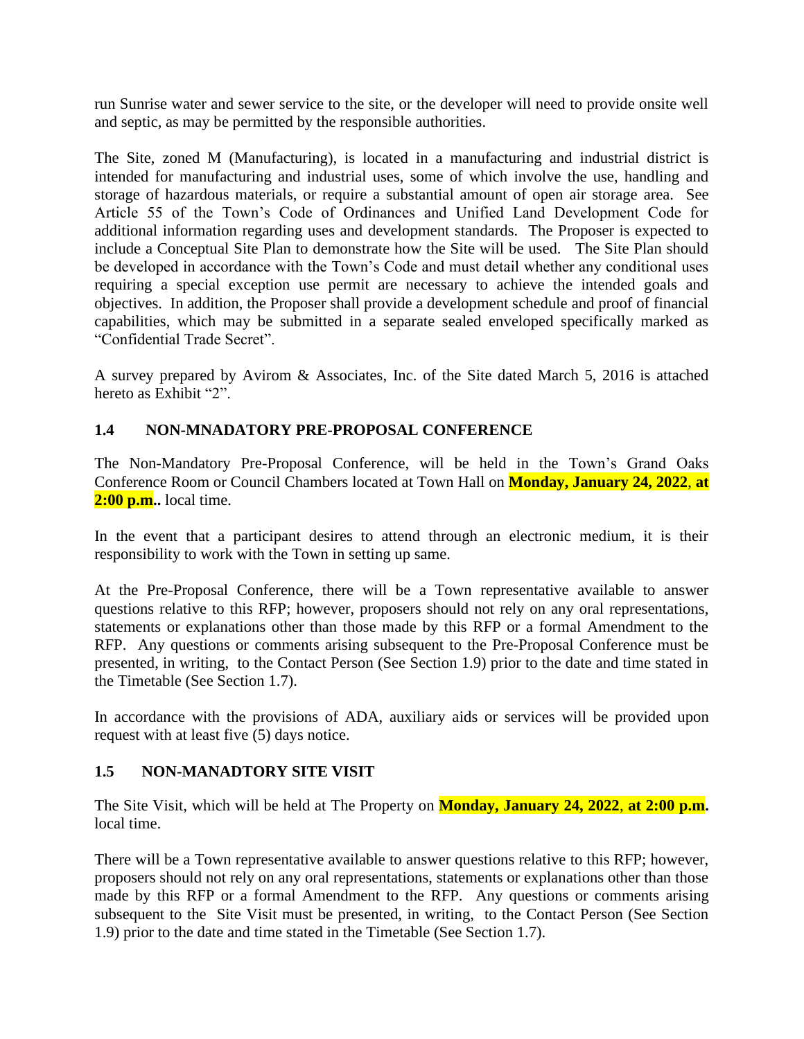run Sunrise water and sewer service to the site, or the developer will need to provide onsite well and septic, as may be permitted by the responsible authorities.

The Site, zoned M (Manufacturing), is located in a manufacturing and industrial district is intended for manufacturing and industrial uses, some of which involve the use, handling and storage of hazardous materials, or require a substantial amount of open air storage area. See Article 55 of the Town's Code of Ordinances and Unified Land Development Code for additional information regarding uses and development standards. The Proposer is expected to include a Conceptual Site Plan to demonstrate how the Site will be used. The Site Plan should be developed in accordance with the Town's Code and must detail whether any conditional uses requiring a special exception use permit are necessary to achieve the intended goals and objectives. In addition, the Proposer shall provide a development schedule and proof of financial capabilities, which may be submitted in a separate sealed enveloped specifically marked as "Confidential Trade Secret".

A survey prepared by Avirom & Associates, Inc. of the Site dated March 5, 2016 is attached hereto as Exhibit "2".

### **1.4 NON-MNADATORY PRE-PROPOSAL CONFERENCE**

The Non-Mandatory Pre-Proposal Conference, will be held in the Town's Grand Oaks Conference Room or Council Chambers located at Town Hall on **Monday, January 24, 2022**, **at 2:00 p.m..** local time.

In the event that a participant desires to attend through an electronic medium, it is their responsibility to work with the Town in setting up same.

At the Pre-Proposal Conference, there will be a Town representative available to answer questions relative to this RFP; however, proposers should not rely on any oral representations, statements or explanations other than those made by this RFP or a formal Amendment to the RFP. Any questions or comments arising subsequent to the Pre-Proposal Conference must be presented, in writing, to the Contact Person (See Section 1.9) prior to the date and time stated in the Timetable (See Section 1.7).

In accordance with the provisions of ADA, auxiliary aids or services will be provided upon request with at least five (5) days notice.

### **1.5 NON-MANADTORY SITE VISIT**

The Site Visit, which will be held at The Property on **Monday, January 24, 2022**, **at 2:00 p.m.** local time.

There will be a Town representative available to answer questions relative to this RFP; however, proposers should not rely on any oral representations, statements or explanations other than those made by this RFP or a formal Amendment to the RFP. Any questions or comments arising subsequent to the Site Visit must be presented, in writing, to the Contact Person (See Section 1.9) prior to the date and time stated in the Timetable (See Section 1.7).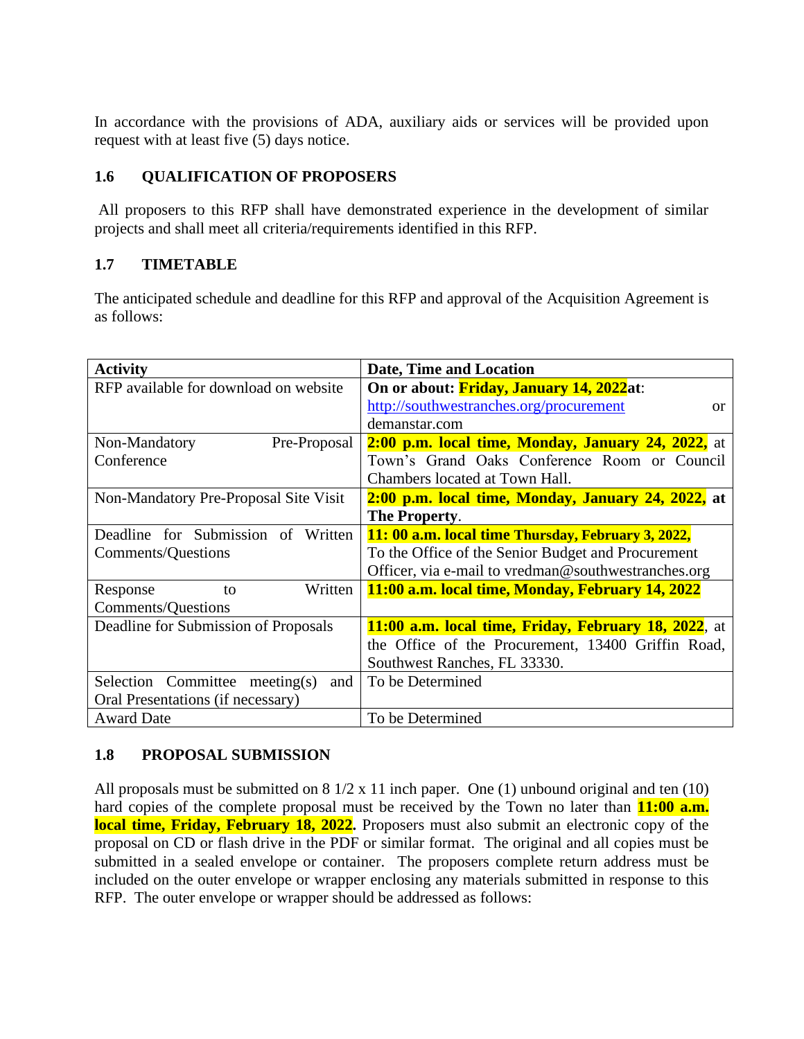In accordance with the provisions of ADA, auxiliary aids or services will be provided upon request with at least five (5) days notice.

# **1.6 QUALIFICATION OF PROPOSERS**

All proposers to this RFP shall have demonstrated experience in the development of similar projects and shall meet all criteria/requirements identified in this RFP.

# **1.7 TIMETABLE**

The anticipated schedule and deadline for this RFP and approval of the Acquisition Agreement is as follows:

| <b>Activity</b>                       | <b>Date, Time and Location</b>                               |
|---------------------------------------|--------------------------------------------------------------|
| RFP available for download on website | On or about: Friday, January 14, 2022at:                     |
|                                       | http://southwestranches.org/procurement<br><sub>or</sub>     |
|                                       | demanstar.com                                                |
| Non-Mandatory<br>Pre-Proposal         | 2:00 p.m. local time, Monday, January 24, 2022, at           |
| Conference                            | Town's Grand Oaks Conference Room or Council                 |
|                                       | Chambers located at Town Hall.                               |
| Non-Mandatory Pre-Proposal Site Visit | 2:00 p.m. local time, Monday, January 24, 2022, at           |
|                                       | The Property.                                                |
| Deadline for Submission of Written    | 11: 00 a.m. local time Thursday, February 3, 2022,           |
| <b>Comments/Questions</b>             | To the Office of the Senior Budget and Procurement           |
|                                       | Officer, via e-mail to vredman@southwestranches.org          |
| Written<br>Response<br>to             | 11:00 a.m. local time, Monday, February 14, 2022             |
| <b>Comments/Questions</b>             |                                                              |
| Deadline for Submission of Proposals  | <b>11:00 a.m. local time, Friday, February 18, 2022</b> , at |
|                                       | the Office of the Procurement, 13400 Griffin Road,           |
|                                       | Southwest Ranches, FL 33330.                                 |
| Selection Committee meeting(s)<br>and | To be Determined                                             |
| Oral Presentations (if necessary)     |                                                              |
| <b>Award Date</b>                     | To be Determined                                             |

## **1.8 PROPOSAL SUBMISSION**

All proposals must be submitted on  $8\frac{1}{2} \times 11$  inch paper. One (1) unbound original and ten (10) hard copies of the complete proposal must be received by the Town no later than **11:00 a.m.** local time, Friday, February 18, 2022. Proposers must also submit an electronic copy of the proposal on CD or flash drive in the PDF or similar format. The original and all copies must be submitted in a sealed envelope or container. The proposers complete return address must be included on the outer envelope or wrapper enclosing any materials submitted in response to this RFP. The outer envelope or wrapper should be addressed as follows: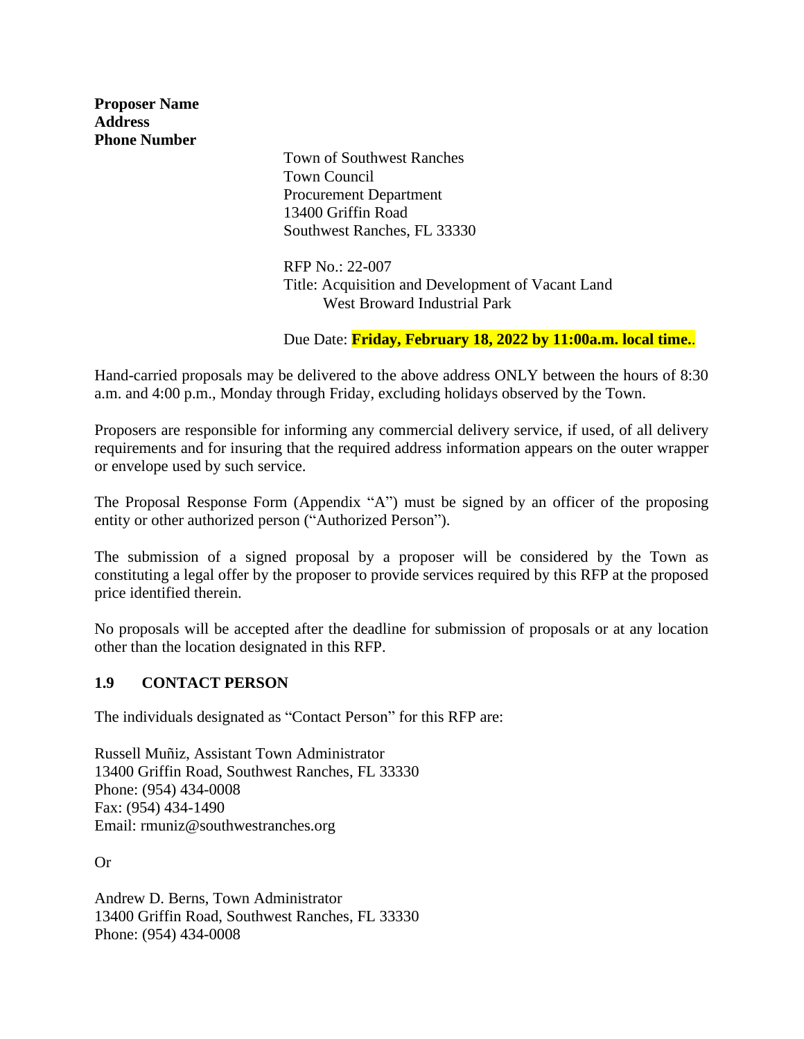**Proposer Name Address Phone Number**

Town of Southwest Ranches Town Council Procurement Department 13400 Griffin Road Southwest Ranches, FL 33330

RFP No.: 22-007 Title: Acquisition and Development of Vacant Land West Broward Industrial Park

Due Date: **Friday, February 18, 2022 by 11:00a.m. local time.**.

Hand-carried proposals may be delivered to the above address ONLY between the hours of 8:30 a.m. and 4:00 p.m., Monday through Friday, excluding holidays observed by the Town.

Proposers are responsible for informing any commercial delivery service, if used, of all delivery requirements and for insuring that the required address information appears on the outer wrapper or envelope used by such service.

The Proposal Response Form (Appendix "A") must be signed by an officer of the proposing entity or other authorized person ("Authorized Person").

The submission of a signed proposal by a proposer will be considered by the Town as constituting a legal offer by the proposer to provide services required by this RFP at the proposed price identified therein.

No proposals will be accepted after the deadline for submission of proposals or at any location other than the location designated in this RFP.

## **1.9 CONTACT PERSON**

The individuals designated as "Contact Person" for this RFP are:

Russell Muñiz, Assistant Town Administrator 13400 Griffin Road, Southwest Ranches, FL 33330 Phone: (954) 434-0008 Fax: (954) 434-1490 Email: rmuniz@southwestranches.org

Or

Andrew D. Berns, Town Administrator 13400 Griffin Road, Southwest Ranches, FL 33330 Phone: (954) 434-0008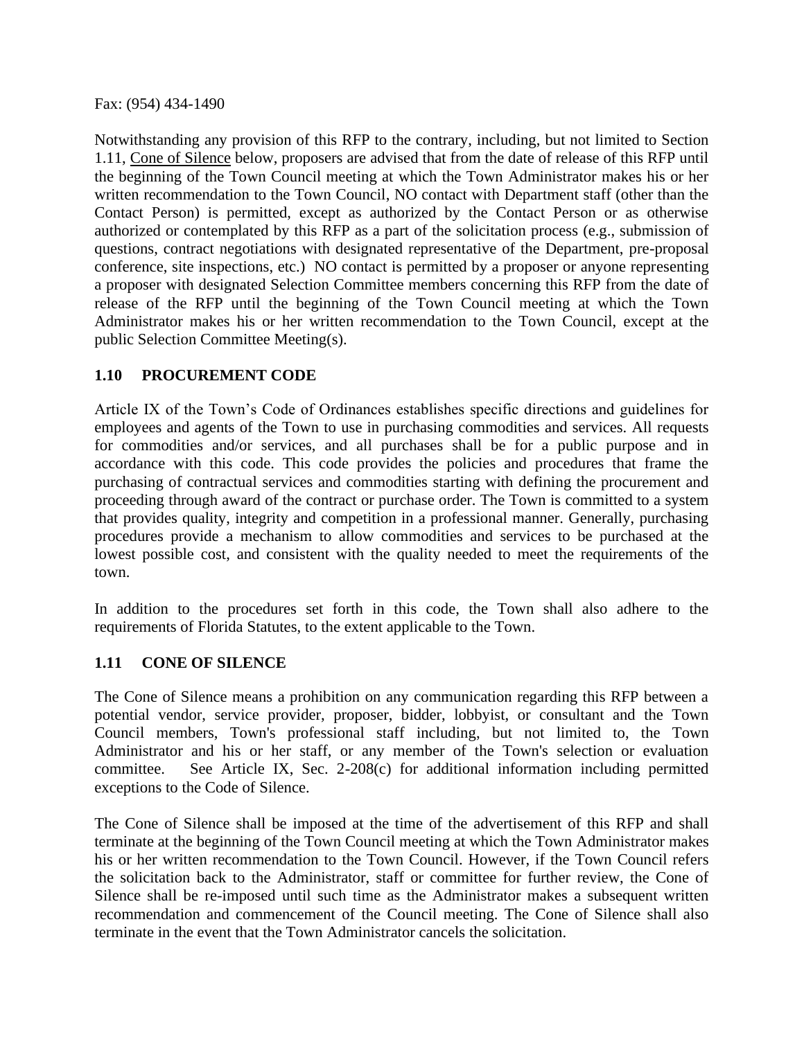Fax: (954) 434-1490

Notwithstanding any provision of this RFP to the contrary, including, but not limited to Section 1.11, Cone of Silence below, proposers are advised that from the date of release of this RFP until the beginning of the Town Council meeting at which the Town Administrator makes his or her written recommendation to the Town Council, NO contact with Department staff (other than the Contact Person) is permitted, except as authorized by the Contact Person or as otherwise authorized or contemplated by this RFP as a part of the solicitation process (e.g., submission of questions, contract negotiations with designated representative of the Department, pre-proposal conference, site inspections, etc.) NO contact is permitted by a proposer or anyone representing a proposer with designated Selection Committee members concerning this RFP from the date of release of the RFP until the beginning of the Town Council meeting at which the Town Administrator makes his or her written recommendation to the Town Council, except at the public Selection Committee Meeting(s).

## **1.10 PROCUREMENT CODE**

Article IX of the Town's Code of Ordinances establishes specific directions and guidelines for employees and agents of the Town to use in purchasing commodities and services. All requests for commodities and/or services, and all purchases shall be for a public purpose and in accordance with this code. This code provides the policies and procedures that frame the purchasing of contractual services and commodities starting with defining the procurement and proceeding through award of the contract or purchase order. The Town is committed to a system that provides quality, integrity and competition in a professional manner. Generally, purchasing procedures provide a mechanism to allow commodities and services to be purchased at the lowest possible cost, and consistent with the quality needed to meet the requirements of the town.

In addition to the procedures set forth in this code, the Town shall also adhere to the requirements of Florida Statutes, to the extent applicable to the Town.

### **1.11 CONE OF SILENCE**

The Cone of Silence means a prohibition on any communication regarding this RFP between a potential vendor, service provider, proposer, bidder, lobbyist, or consultant and the Town Council members, Town's professional staff including, but not limited to, the Town Administrator and his or her staff, or any member of the Town's selection or evaluation committee. See Article IX, Sec. 2-208(c) for additional information including permitted exceptions to the Code of Silence.

The Cone of Silence shall be imposed at the time of the advertisement of this RFP and shall terminate at the beginning of the Town Council meeting at which the Town Administrator makes his or her written recommendation to the Town Council. However, if the Town Council refers the solicitation back to the Administrator, staff or committee for further review, the Cone of Silence shall be re-imposed until such time as the Administrator makes a subsequent written recommendation and commencement of the Council meeting. The Cone of Silence shall also terminate in the event that the Town Administrator cancels the solicitation.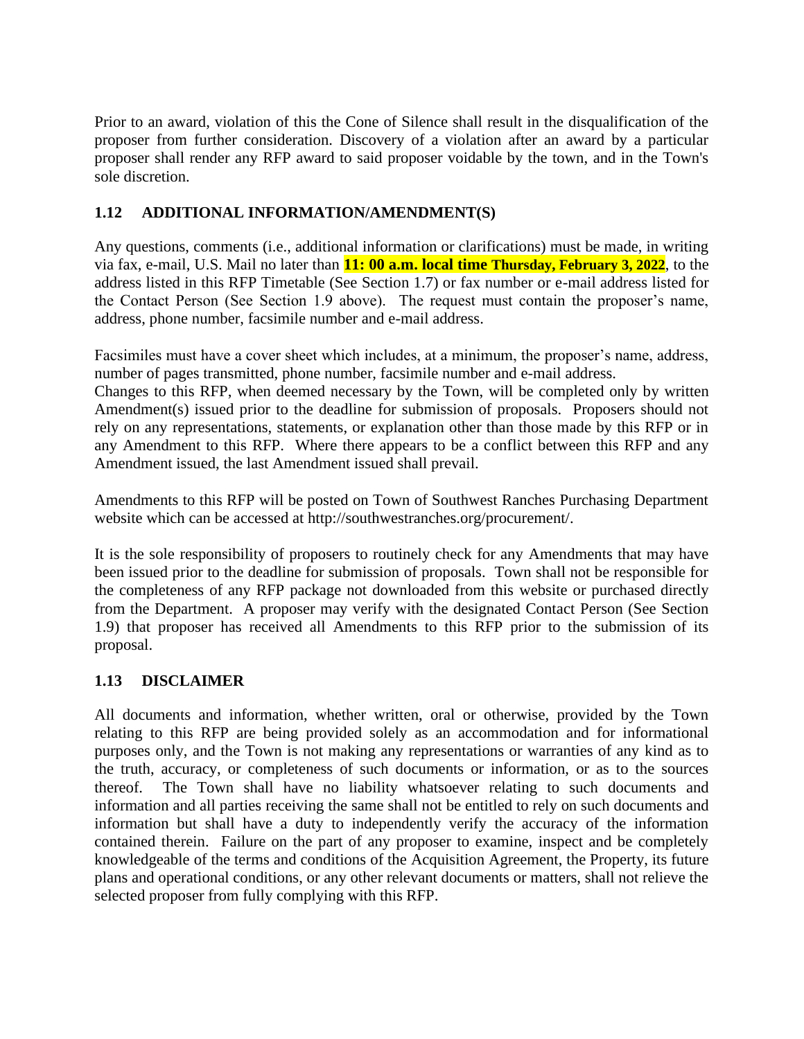Prior to an award, violation of this the Cone of Silence shall result in the disqualification of the proposer from further consideration. Discovery of a violation after an award by a particular proposer shall render any RFP award to said proposer voidable by the town, and in the Town's sole discretion.

# **1.12 ADDITIONAL INFORMATION/AMENDMENT(S)**

Any questions, comments (i.e., additional information or clarifications) must be made, in writing via fax, e-mail, U.S. Mail no later than **11: 00 a.m. local time Thursday, February 3, 2022**, to the address listed in this RFP Timetable (See Section 1.7) or fax number or e-mail address listed for the Contact Person (See Section 1.9 above). The request must contain the proposer's name, address, phone number, facsimile number and e-mail address.

Facsimiles must have a cover sheet which includes, at a minimum, the proposer's name, address, number of pages transmitted, phone number, facsimile number and e-mail address.

Changes to this RFP, when deemed necessary by the Town, will be completed only by written Amendment(s) issued prior to the deadline for submission of proposals. Proposers should not rely on any representations, statements, or explanation other than those made by this RFP or in any Amendment to this RFP. Where there appears to be a conflict between this RFP and any Amendment issued, the last Amendment issued shall prevail.

Amendments to this RFP will be posted on Town of Southwest Ranches Purchasing Department website which can be accessed at http://southwestranches.org/procurement/.

It is the sole responsibility of proposers to routinely check for any Amendments that may have been issued prior to the deadline for submission of proposals. Town shall not be responsible for the completeness of any RFP package not downloaded from this website or purchased directly from the Department. A proposer may verify with the designated Contact Person (See Section 1.9) that proposer has received all Amendments to this RFP prior to the submission of its proposal.

# **1.13 DISCLAIMER**

All documents and information, whether written, oral or otherwise, provided by the Town relating to this RFP are being provided solely as an accommodation and for informational purposes only, and the Town is not making any representations or warranties of any kind as to the truth, accuracy, or completeness of such documents or information, or as to the sources thereof. The Town shall have no liability whatsoever relating to such documents and information and all parties receiving the same shall not be entitled to rely on such documents and information but shall have a duty to independently verify the accuracy of the information contained therein. Failure on the part of any proposer to examine, inspect and be completely knowledgeable of the terms and conditions of the Acquisition Agreement, the Property, its future plans and operational conditions, or any other relevant documents or matters, shall not relieve the selected proposer from fully complying with this RFP.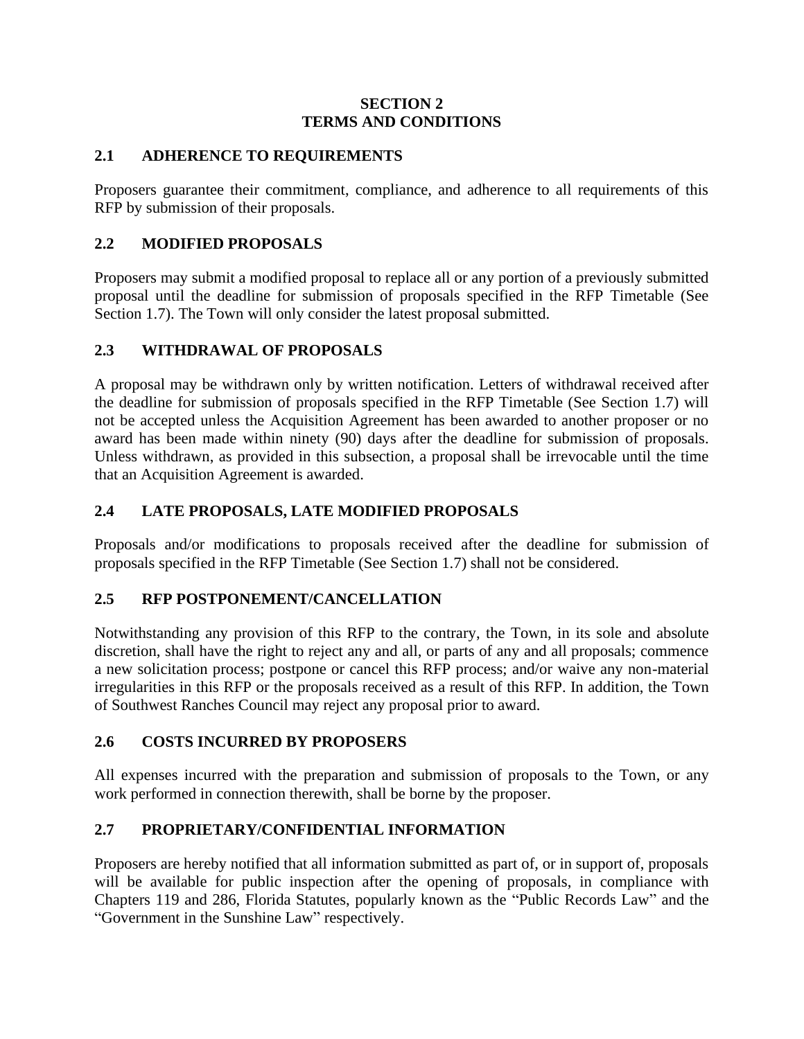### **SECTION 2 TERMS AND CONDITIONS**

## **2.1 ADHERENCE TO REQUIREMENTS**

Proposers guarantee their commitment, compliance, and adherence to all requirements of this RFP by submission of their proposals.

## **2.2 MODIFIED PROPOSALS**

Proposers may submit a modified proposal to replace all or any portion of a previously submitted proposal until the deadline for submission of proposals specified in the RFP Timetable (See Section 1.7). The Town will only consider the latest proposal submitted.

# **2.3 WITHDRAWAL OF PROPOSALS**

A proposal may be withdrawn only by written notification. Letters of withdrawal received after the deadline for submission of proposals specified in the RFP Timetable (See Section 1.7) will not be accepted unless the Acquisition Agreement has been awarded to another proposer or no award has been made within ninety (90) days after the deadline for submission of proposals. Unless withdrawn, as provided in this subsection, a proposal shall be irrevocable until the time that an Acquisition Agreement is awarded.

# **2.4 LATE PROPOSALS, LATE MODIFIED PROPOSALS**

Proposals and/or modifications to proposals received after the deadline for submission of proposals specified in the RFP Timetable (See Section 1.7) shall not be considered.

# **2.5 RFP POSTPONEMENT/CANCELLATION**

Notwithstanding any provision of this RFP to the contrary, the Town, in its sole and absolute discretion, shall have the right to reject any and all, or parts of any and all proposals; commence a new solicitation process; postpone or cancel this RFP process; and/or waive any non-material irregularities in this RFP or the proposals received as a result of this RFP. In addition, the Town of Southwest Ranches Council may reject any proposal prior to award.

## **2.6 COSTS INCURRED BY PROPOSERS**

All expenses incurred with the preparation and submission of proposals to the Town, or any work performed in connection therewith, shall be borne by the proposer.

# **2.7 PROPRIETARY/CONFIDENTIAL INFORMATION**

Proposers are hereby notified that all information submitted as part of, or in support of, proposals will be available for public inspection after the opening of proposals, in compliance with Chapters 119 and 286, Florida Statutes, popularly known as the "Public Records Law" and the "Government in the Sunshine Law" respectively.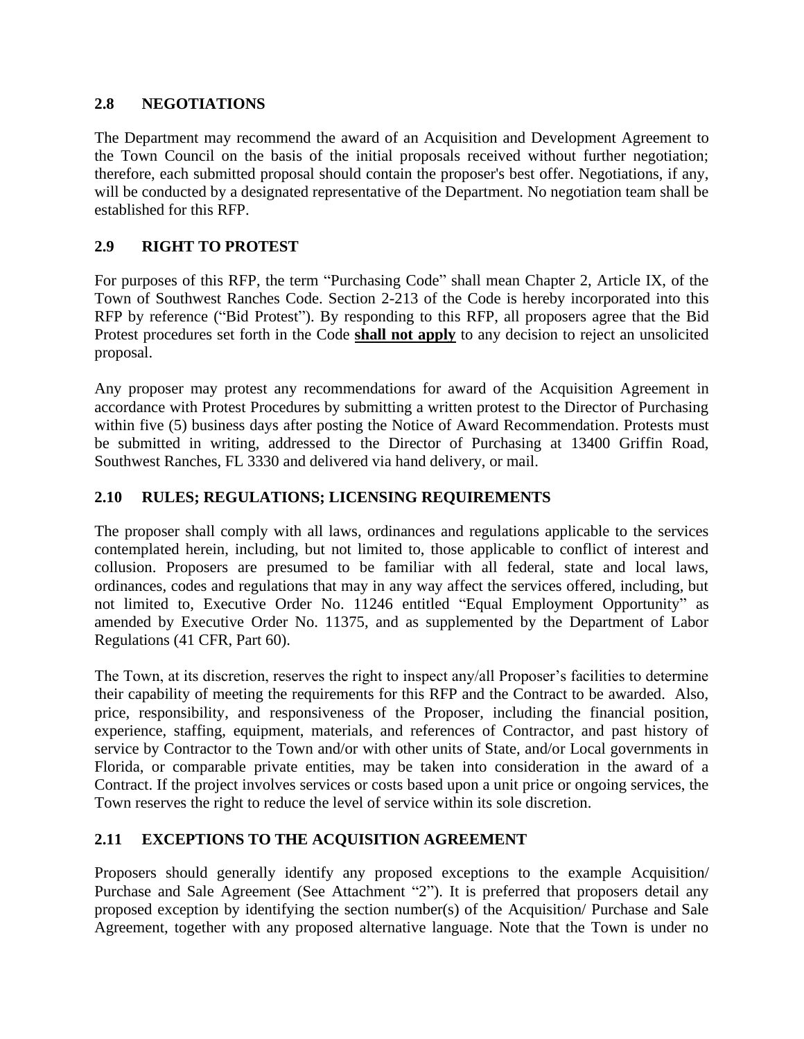## **2.8 NEGOTIATIONS**

The Department may recommend the award of an Acquisition and Development Agreement to the Town Council on the basis of the initial proposals received without further negotiation; therefore, each submitted proposal should contain the proposer's best offer. Negotiations, if any, will be conducted by a designated representative of the Department. No negotiation team shall be established for this RFP.

# **2.9 RIGHT TO PROTEST**

For purposes of this RFP, the term "Purchasing Code" shall mean Chapter 2, Article IX, of the Town of Southwest Ranches Code. Section 2-213 of the Code is hereby incorporated into this RFP by reference ("Bid Protest"). By responding to this RFP, all proposers agree that the Bid Protest procedures set forth in the Code **shall not apply** to any decision to reject an unsolicited proposal.

Any proposer may protest any recommendations for award of the Acquisition Agreement in accordance with Protest Procedures by submitting a written protest to the Director of Purchasing within five (5) business days after posting the Notice of Award Recommendation. Protests must be submitted in writing, addressed to the Director of Purchasing at 13400 Griffin Road, Southwest Ranches, FL 3330 and delivered via hand delivery, or mail.

# **2.10 RULES; REGULATIONS; LICENSING REQUIREMENTS**

The proposer shall comply with all laws, ordinances and regulations applicable to the services contemplated herein, including, but not limited to, those applicable to conflict of interest and collusion. Proposers are presumed to be familiar with all federal, state and local laws, ordinances, codes and regulations that may in any way affect the services offered, including, but not limited to, Executive Order No. 11246 entitled "Equal Employment Opportunity" as amended by Executive Order No. 11375, and as supplemented by the Department of Labor Regulations (41 CFR, Part 60).

The Town, at its discretion, reserves the right to inspect any/all Proposer's facilities to determine their capability of meeting the requirements for this RFP and the Contract to be awarded. Also, price, responsibility, and responsiveness of the Proposer, including the financial position, experience, staffing, equipment, materials, and references of Contractor, and past history of service by Contractor to the Town and/or with other units of State, and/or Local governments in Florida, or comparable private entities, may be taken into consideration in the award of a Contract. If the project involves services or costs based upon a unit price or ongoing services, the Town reserves the right to reduce the level of service within its sole discretion.

## **2.11 EXCEPTIONS TO THE ACQUISITION AGREEMENT**

Proposers should generally identify any proposed exceptions to the example Acquisition/ Purchase and Sale Agreement (See Attachment "2"). It is preferred that proposers detail any proposed exception by identifying the section number(s) of the Acquisition/ Purchase and Sale Agreement, together with any proposed alternative language. Note that the Town is under no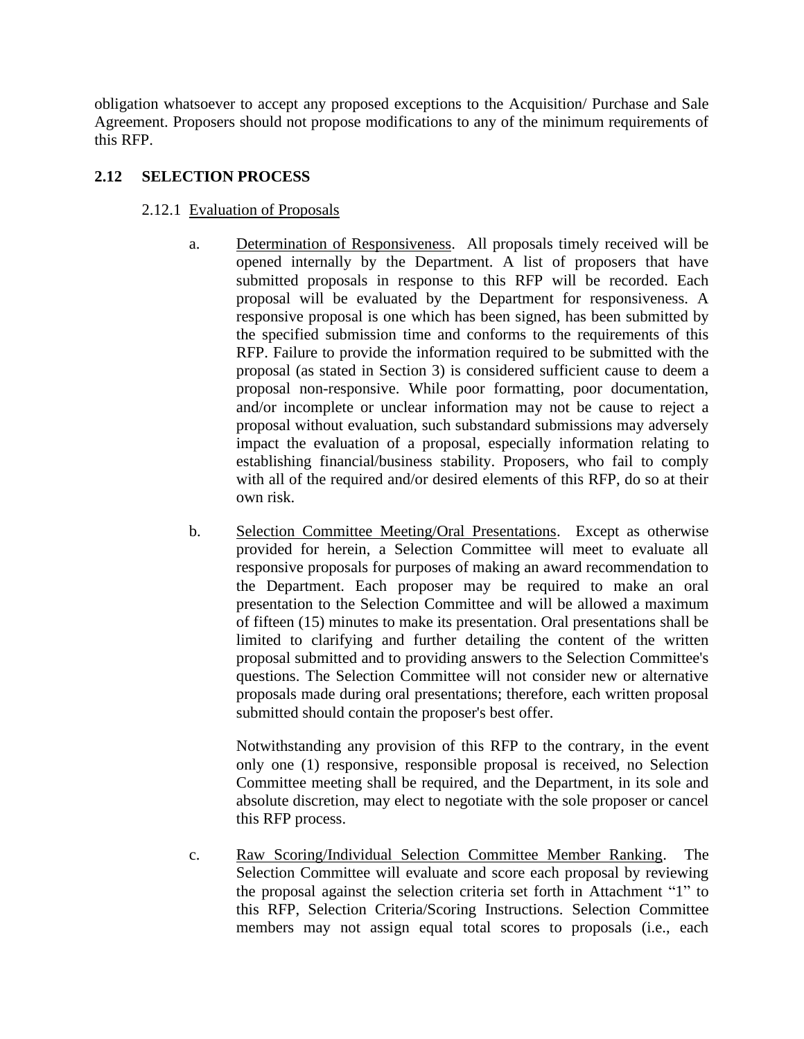obligation whatsoever to accept any proposed exceptions to the Acquisition/ Purchase and Sale Agreement. Proposers should not propose modifications to any of the minimum requirements of this RFP.

## **2.12 SELECTION PROCESS**

### 2.12.1 Evaluation of Proposals

- a. Determination of Responsiveness. All proposals timely received will be opened internally by the Department. A list of proposers that have submitted proposals in response to this RFP will be recorded. Each proposal will be evaluated by the Department for responsiveness. A responsive proposal is one which has been signed, has been submitted by the specified submission time and conforms to the requirements of this RFP. Failure to provide the information required to be submitted with the proposal (as stated in Section 3) is considered sufficient cause to deem a proposal non-responsive. While poor formatting, poor documentation, and/or incomplete or unclear information may not be cause to reject a proposal without evaluation, such substandard submissions may adversely impact the evaluation of a proposal, especially information relating to establishing financial/business stability. Proposers, who fail to comply with all of the required and/or desired elements of this RFP, do so at their own risk.
- b. Selection Committee Meeting/Oral Presentations. Except as otherwise provided for herein, a Selection Committee will meet to evaluate all responsive proposals for purposes of making an award recommendation to the Department. Each proposer may be required to make an oral presentation to the Selection Committee and will be allowed a maximum of fifteen (15) minutes to make its presentation. Oral presentations shall be limited to clarifying and further detailing the content of the written proposal submitted and to providing answers to the Selection Committee's questions. The Selection Committee will not consider new or alternative proposals made during oral presentations; therefore, each written proposal submitted should contain the proposer's best offer.

Notwithstanding any provision of this RFP to the contrary, in the event only one (1) responsive, responsible proposal is received, no Selection Committee meeting shall be required, and the Department, in its sole and absolute discretion, may elect to negotiate with the sole proposer or cancel this RFP process.

c. Raw Scoring/Individual Selection Committee Member Ranking. The Selection Committee will evaluate and score each proposal by reviewing the proposal against the selection criteria set forth in Attachment "1" to this RFP, Selection Criteria/Scoring Instructions. Selection Committee members may not assign equal total scores to proposals (i.e., each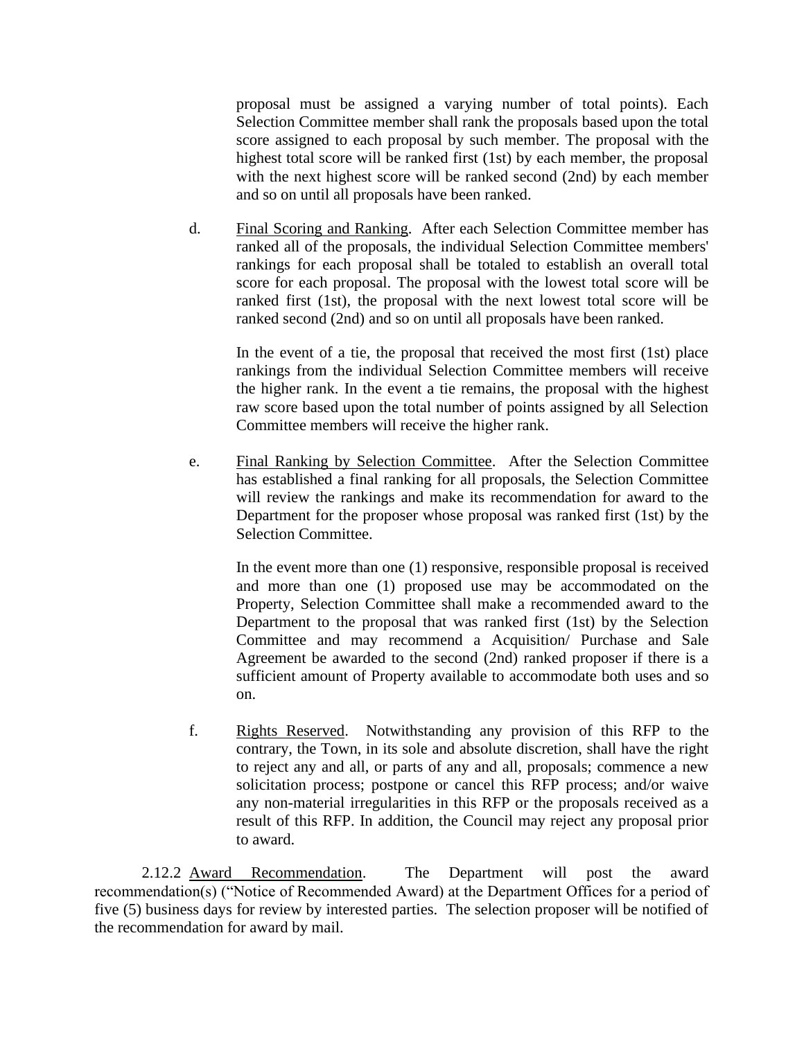proposal must be assigned a varying number of total points). Each Selection Committee member shall rank the proposals based upon the total score assigned to each proposal by such member. The proposal with the highest total score will be ranked first (1st) by each member, the proposal with the next highest score will be ranked second (2nd) by each member and so on until all proposals have been ranked.

d. Final Scoring and Ranking. After each Selection Committee member has ranked all of the proposals, the individual Selection Committee members' rankings for each proposal shall be totaled to establish an overall total score for each proposal. The proposal with the lowest total score will be ranked first (1st), the proposal with the next lowest total score will be ranked second (2nd) and so on until all proposals have been ranked.

In the event of a tie, the proposal that received the most first (1st) place rankings from the individual Selection Committee members will receive the higher rank. In the event a tie remains, the proposal with the highest raw score based upon the total number of points assigned by all Selection Committee members will receive the higher rank.

e. Final Ranking by Selection Committee. After the Selection Committee has established a final ranking for all proposals, the Selection Committee will review the rankings and make its recommendation for award to the Department for the proposer whose proposal was ranked first (1st) by the Selection Committee.

In the event more than one (1) responsive, responsible proposal is received and more than one (1) proposed use may be accommodated on the Property, Selection Committee shall make a recommended award to the Department to the proposal that was ranked first (1st) by the Selection Committee and may recommend a Acquisition/ Purchase and Sale Agreement be awarded to the second (2nd) ranked proposer if there is a sufficient amount of Property available to accommodate both uses and so on.

f. Rights Reserved. Notwithstanding any provision of this RFP to the contrary, the Town, in its sole and absolute discretion, shall have the right to reject any and all, or parts of any and all, proposals; commence a new solicitation process; postpone or cancel this RFP process; and/or waive any non-material irregularities in this RFP or the proposals received as a result of this RFP. In addition, the Council may reject any proposal prior to award.

2.12.2 Award Recommendation. The Department will post the award recommendation(s) ("Notice of Recommended Award) at the Department Offices for a period of five (5) business days for review by interested parties. The selection proposer will be notified of the recommendation for award by mail.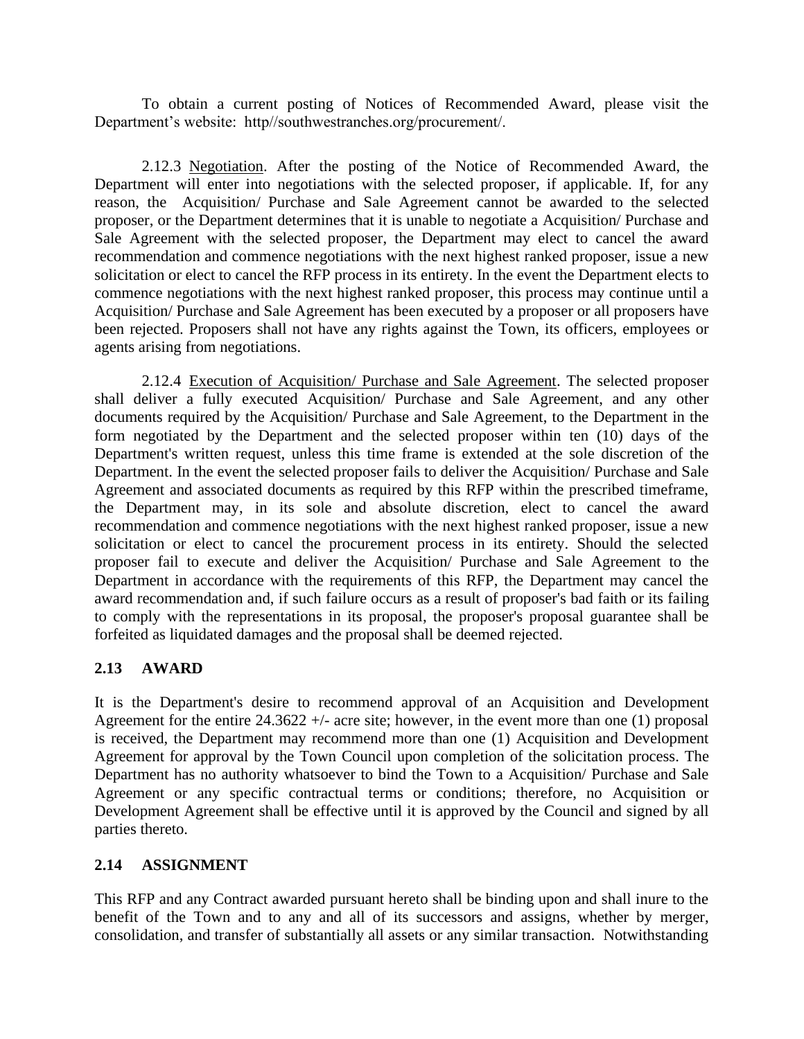To obtain a current posting of Notices of Recommended Award, please visit the Department's website: http//southwestranches.org/procurement/.

2.12.3 Negotiation. After the posting of the Notice of Recommended Award, the Department will enter into negotiations with the selected proposer, if applicable. If, for any reason, the Acquisition/ Purchase and Sale Agreement cannot be awarded to the selected proposer, or the Department determines that it is unable to negotiate a Acquisition/ Purchase and Sale Agreement with the selected proposer, the Department may elect to cancel the award recommendation and commence negotiations with the next highest ranked proposer, issue a new solicitation or elect to cancel the RFP process in its entirety. In the event the Department elects to commence negotiations with the next highest ranked proposer, this process may continue until a Acquisition/ Purchase and Sale Agreement has been executed by a proposer or all proposers have been rejected. Proposers shall not have any rights against the Town, its officers, employees or agents arising from negotiations.

2.12.4 Execution of Acquisition/ Purchase and Sale Agreement. The selected proposer shall deliver a fully executed Acquisition/ Purchase and Sale Agreement, and any other documents required by the Acquisition/ Purchase and Sale Agreement, to the Department in the form negotiated by the Department and the selected proposer within ten (10) days of the Department's written request, unless this time frame is extended at the sole discretion of the Department. In the event the selected proposer fails to deliver the Acquisition/ Purchase and Sale Agreement and associated documents as required by this RFP within the prescribed timeframe, the Department may, in its sole and absolute discretion, elect to cancel the award recommendation and commence negotiations with the next highest ranked proposer, issue a new solicitation or elect to cancel the procurement process in its entirety. Should the selected proposer fail to execute and deliver the Acquisition/ Purchase and Sale Agreement to the Department in accordance with the requirements of this RFP, the Department may cancel the award recommendation and, if such failure occurs as a result of proposer's bad faith or its failing to comply with the representations in its proposal, the proposer's proposal guarantee shall be forfeited as liquidated damages and the proposal shall be deemed rejected.

## **2.13 AWARD**

It is the Department's desire to recommend approval of an Acquisition and Development Agreement for the entire  $24.3622 +$  - acre site; however, in the event more than one (1) proposal is received, the Department may recommend more than one (1) Acquisition and Development Agreement for approval by the Town Council upon completion of the solicitation process. The Department has no authority whatsoever to bind the Town to a Acquisition/ Purchase and Sale Agreement or any specific contractual terms or conditions; therefore, no Acquisition or Development Agreement shall be effective until it is approved by the Council and signed by all parties thereto.

## **2.14 ASSIGNMENT**

This RFP and any Contract awarded pursuant hereto shall be binding upon and shall inure to the benefit of the Town and to any and all of its successors and assigns, whether by merger, consolidation, and transfer of substantially all assets or any similar transaction. Notwithstanding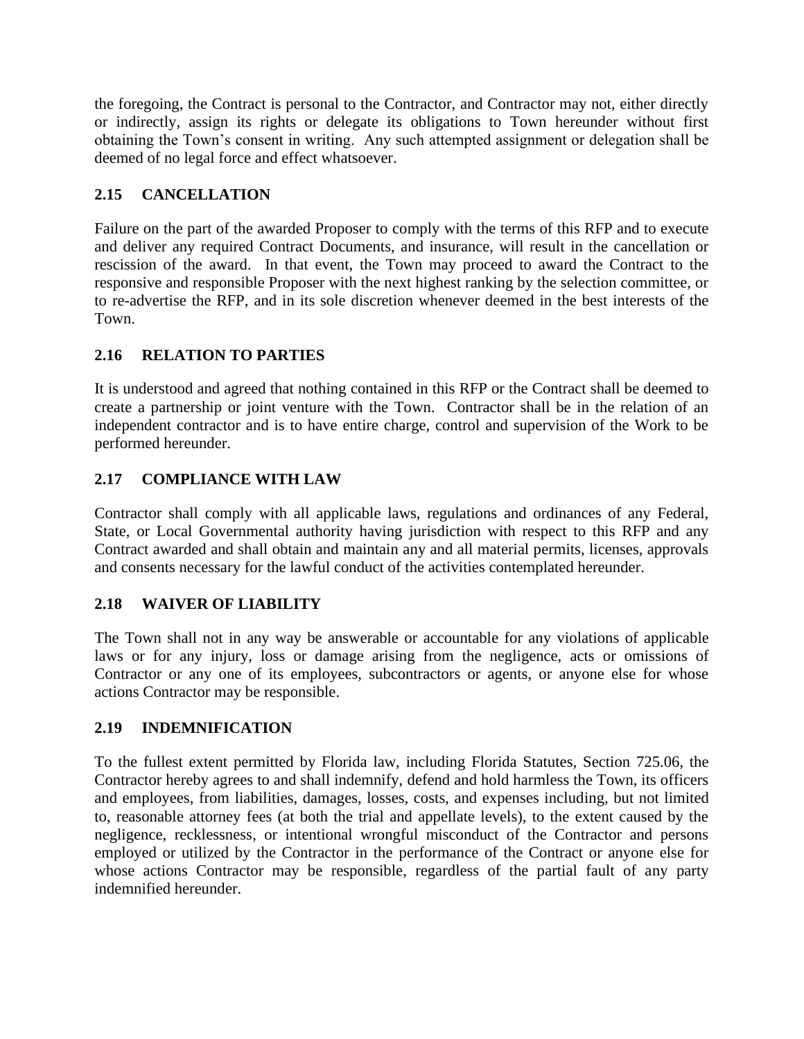the foregoing, the Contract is personal to the Contractor, and Contractor may not, either directly or indirectly, assign its rights or delegate its obligations to Town hereunder without first obtaining the Town's consent in writing. Any such attempted assignment or delegation shall be deemed of no legal force and effect whatsoever.

# **2.15 CANCELLATION**

Failure on the part of the awarded Proposer to comply with the terms of this RFP and to execute and deliver any required Contract Documents, and insurance, will result in the cancellation or rescission of the award. In that event, the Town may proceed to award the Contract to the responsive and responsible Proposer with the next highest ranking by the selection committee, or to re-advertise the RFP, and in its sole discretion whenever deemed in the best interests of the Town.

# **2.16 RELATION TO PARTIES**

It is understood and agreed that nothing contained in this RFP or the Contract shall be deemed to create a partnership or joint venture with the Town. Contractor shall be in the relation of an independent contractor and is to have entire charge, control and supervision of the Work to be performed hereunder.

# **2.17 COMPLIANCE WITH LAW**

Contractor shall comply with all applicable laws, regulations and ordinances of any Federal, State, or Local Governmental authority having jurisdiction with respect to this RFP and any Contract awarded and shall obtain and maintain any and all material permits, licenses, approvals and consents necessary for the lawful conduct of the activities contemplated hereunder.

## **2.18 WAIVER OF LIABILITY**

The Town shall not in any way be answerable or accountable for any violations of applicable laws or for any injury, loss or damage arising from the negligence, acts or omissions of Contractor or any one of its employees, subcontractors or agents, or anyone else for whose actions Contractor may be responsible.

## **2.19 INDEMNIFICATION**

To the fullest extent permitted by Florida law, including Florida Statutes, Section 725.06, the Contractor hereby agrees to and shall indemnify, defend and hold harmless the Town, its officers and employees, from liabilities, damages, losses, costs, and expenses including, but not limited to, reasonable attorney fees (at both the trial and appellate levels), to the extent caused by the negligence, recklessness, or intentional wrongful misconduct of the Contractor and persons employed or utilized by the Contractor in the performance of the Contract or anyone else for whose actions Contractor may be responsible, regardless of the partial fault of any party indemnified hereunder.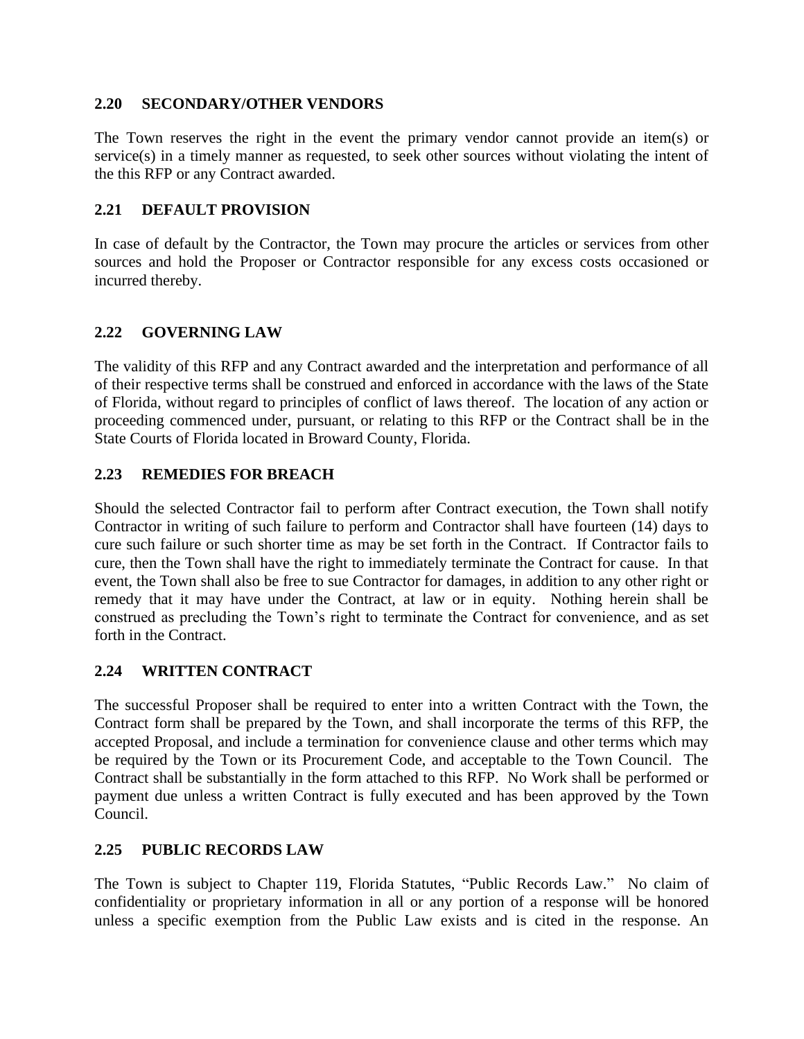### **2.20 SECONDARY/OTHER VENDORS**

The Town reserves the right in the event the primary vendor cannot provide an item(s) or service(s) in a timely manner as requested, to seek other sources without violating the intent of the this RFP or any Contract awarded.

### **2.21 DEFAULT PROVISION**

In case of default by the Contractor, the Town may procure the articles or services from other sources and hold the Proposer or Contractor responsible for any excess costs occasioned or incurred thereby.

## **2.22 GOVERNING LAW**

The validity of this RFP and any Contract awarded and the interpretation and performance of all of their respective terms shall be construed and enforced in accordance with the laws of the State of Florida, without regard to principles of conflict of laws thereof. The location of any action or proceeding commenced under, pursuant, or relating to this RFP or the Contract shall be in the State Courts of Florida located in Broward County, Florida.

## **2.23 REMEDIES FOR BREACH**

Should the selected Contractor fail to perform after Contract execution, the Town shall notify Contractor in writing of such failure to perform and Contractor shall have fourteen (14) days to cure such failure or such shorter time as may be set forth in the Contract. If Contractor fails to cure, then the Town shall have the right to immediately terminate the Contract for cause. In that event, the Town shall also be free to sue Contractor for damages, in addition to any other right or remedy that it may have under the Contract, at law or in equity. Nothing herein shall be construed as precluding the Town's right to terminate the Contract for convenience, and as set forth in the Contract.

## **2.24 WRITTEN CONTRACT**

The successful Proposer shall be required to enter into a written Contract with the Town, the Contract form shall be prepared by the Town, and shall incorporate the terms of this RFP, the accepted Proposal, and include a termination for convenience clause and other terms which may be required by the Town or its Procurement Code, and acceptable to the Town Council. The Contract shall be substantially in the form attached to this RFP. No Work shall be performed or payment due unless a written Contract is fully executed and has been approved by the Town Council.

## **2.25 PUBLIC RECORDS LAW**

The Town is subject to Chapter 119, Florida Statutes, "Public Records Law." No claim of confidentiality or proprietary information in all or any portion of a response will be honored unless a specific exemption from the Public Law exists and is cited in the response. An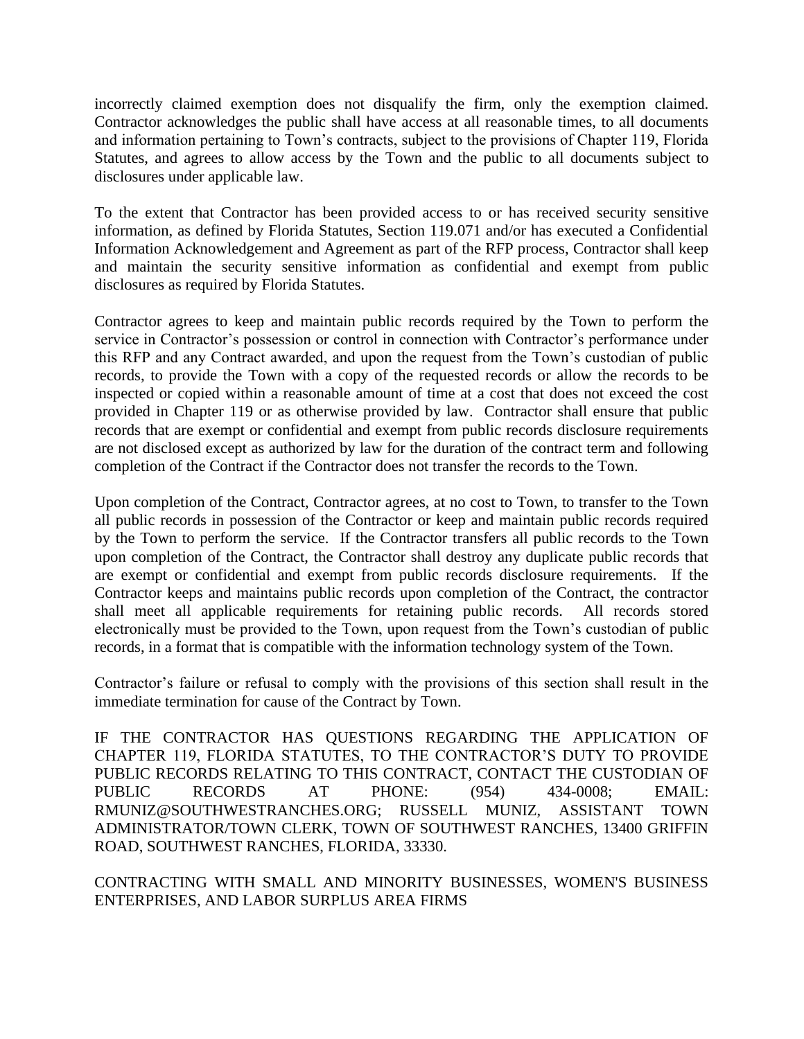incorrectly claimed exemption does not disqualify the firm, only the exemption claimed. Contractor acknowledges the public shall have access at all reasonable times, to all documents and information pertaining to Town's contracts, subject to the provisions of Chapter 119, Florida Statutes, and agrees to allow access by the Town and the public to all documents subject to disclosures under applicable law.

To the extent that Contractor has been provided access to or has received security sensitive information, as defined by Florida Statutes, Section 119.071 and/or has executed a Confidential Information Acknowledgement and Agreement as part of the RFP process, Contractor shall keep and maintain the security sensitive information as confidential and exempt from public disclosures as required by Florida Statutes.

Contractor agrees to keep and maintain public records required by the Town to perform the service in Contractor's possession or control in connection with Contractor's performance under this RFP and any Contract awarded, and upon the request from the Town's custodian of public records, to provide the Town with a copy of the requested records or allow the records to be inspected or copied within a reasonable amount of time at a cost that does not exceed the cost provided in Chapter 119 or as otherwise provided by law. Contractor shall ensure that public records that are exempt or confidential and exempt from public records disclosure requirements are not disclosed except as authorized by law for the duration of the contract term and following completion of the Contract if the Contractor does not transfer the records to the Town.

Upon completion of the Contract, Contractor agrees, at no cost to Town, to transfer to the Town all public records in possession of the Contractor or keep and maintain public records required by the Town to perform the service. If the Contractor transfers all public records to the Town upon completion of the Contract, the Contractor shall destroy any duplicate public records that are exempt or confidential and exempt from public records disclosure requirements. If the Contractor keeps and maintains public records upon completion of the Contract, the contractor shall meet all applicable requirements for retaining public records. All records stored electronically must be provided to the Town, upon request from the Town's custodian of public records, in a format that is compatible with the information technology system of the Town.

Contractor's failure or refusal to comply with the provisions of this section shall result in the immediate termination for cause of the Contract by Town.

IF THE CONTRACTOR HAS QUESTIONS REGARDING THE APPLICATION OF CHAPTER 119, FLORIDA STATUTES, TO THE CONTRACTOR'S DUTY TO PROVIDE PUBLIC RECORDS RELATING TO THIS CONTRACT, CONTACT THE CUSTODIAN OF PUBLIC RECORDS AT PHONE: (954) 434-0008; EMAIL: RMUNIZ@SOUTHWESTRANCHES.ORG; RUSSELL MUNIZ, ASSISTANT TOWN ADMINISTRATOR/TOWN CLERK, TOWN OF SOUTHWEST RANCHES, 13400 GRIFFIN ROAD, SOUTHWEST RANCHES, FLORIDA, 33330.

CONTRACTING WITH SMALL AND MINORITY BUSINESSES, WOMEN'S BUSINESS ENTERPRISES, AND LABOR SURPLUS AREA FIRMS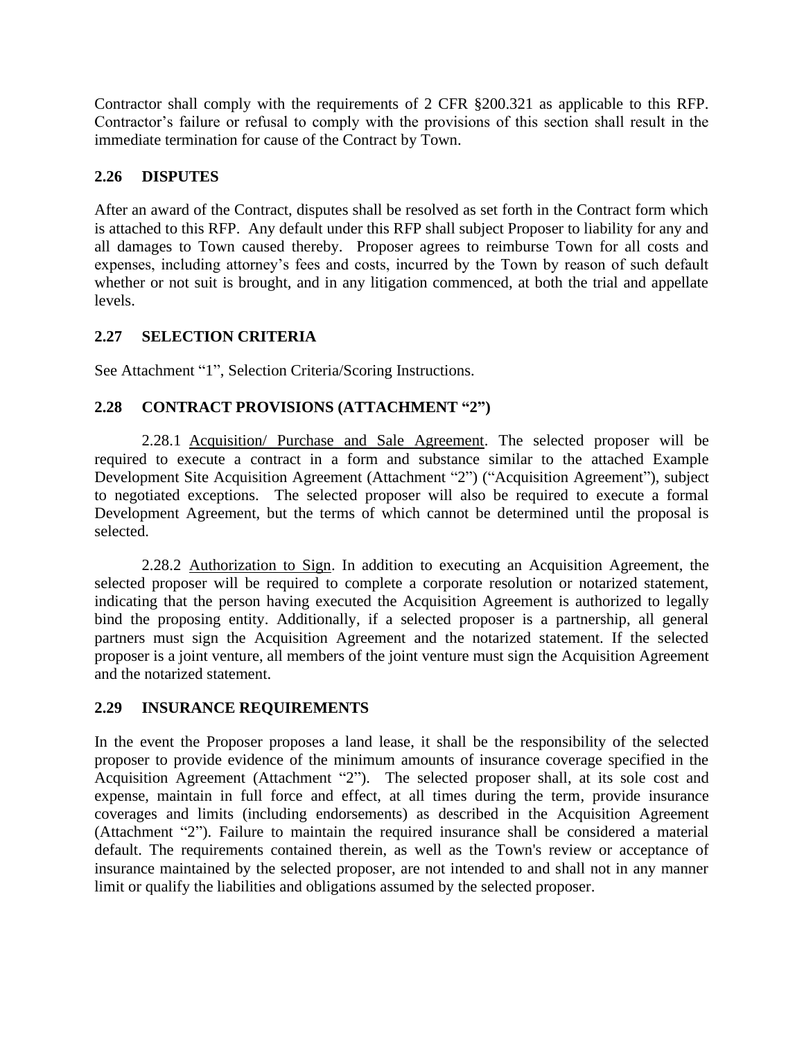Contractor shall comply with the requirements of 2 CFR §200.321 as applicable to this RFP. Contractor's failure or refusal to comply with the provisions of this section shall result in the immediate termination for cause of the Contract by Town.

## **2.26 DISPUTES**

After an award of the Contract, disputes shall be resolved as set forth in the Contract form which is attached to this RFP. Any default under this RFP shall subject Proposer to liability for any and all damages to Town caused thereby. Proposer agrees to reimburse Town for all costs and expenses, including attorney's fees and costs, incurred by the Town by reason of such default whether or not suit is brought, and in any litigation commenced, at both the trial and appellate levels.

# **2.27 SELECTION CRITERIA**

See Attachment "1", Selection Criteria/Scoring Instructions.

# **2.28 CONTRACT PROVISIONS (ATTACHMENT "2")**

2.28.1 Acquisition/ Purchase and Sale Agreement. The selected proposer will be required to execute a contract in a form and substance similar to the attached Example Development Site Acquisition Agreement (Attachment "2") ("Acquisition Agreement"), subject to negotiated exceptions. The selected proposer will also be required to execute a formal Development Agreement, but the terms of which cannot be determined until the proposal is selected.

2.28.2 Authorization to Sign. In addition to executing an Acquisition Agreement, the selected proposer will be required to complete a corporate resolution or notarized statement, indicating that the person having executed the Acquisition Agreement is authorized to legally bind the proposing entity. Additionally, if a selected proposer is a partnership, all general partners must sign the Acquisition Agreement and the notarized statement. If the selected proposer is a joint venture, all members of the joint venture must sign the Acquisition Agreement and the notarized statement.

## **2.29 INSURANCE REQUIREMENTS**

In the event the Proposer proposes a land lease, it shall be the responsibility of the selected proposer to provide evidence of the minimum amounts of insurance coverage specified in the Acquisition Agreement (Attachment "2"). The selected proposer shall, at its sole cost and expense, maintain in full force and effect, at all times during the term, provide insurance coverages and limits (including endorsements) as described in the Acquisition Agreement (Attachment "2"). Failure to maintain the required insurance shall be considered a material default. The requirements contained therein, as well as the Town's review or acceptance of insurance maintained by the selected proposer, are not intended to and shall not in any manner limit or qualify the liabilities and obligations assumed by the selected proposer.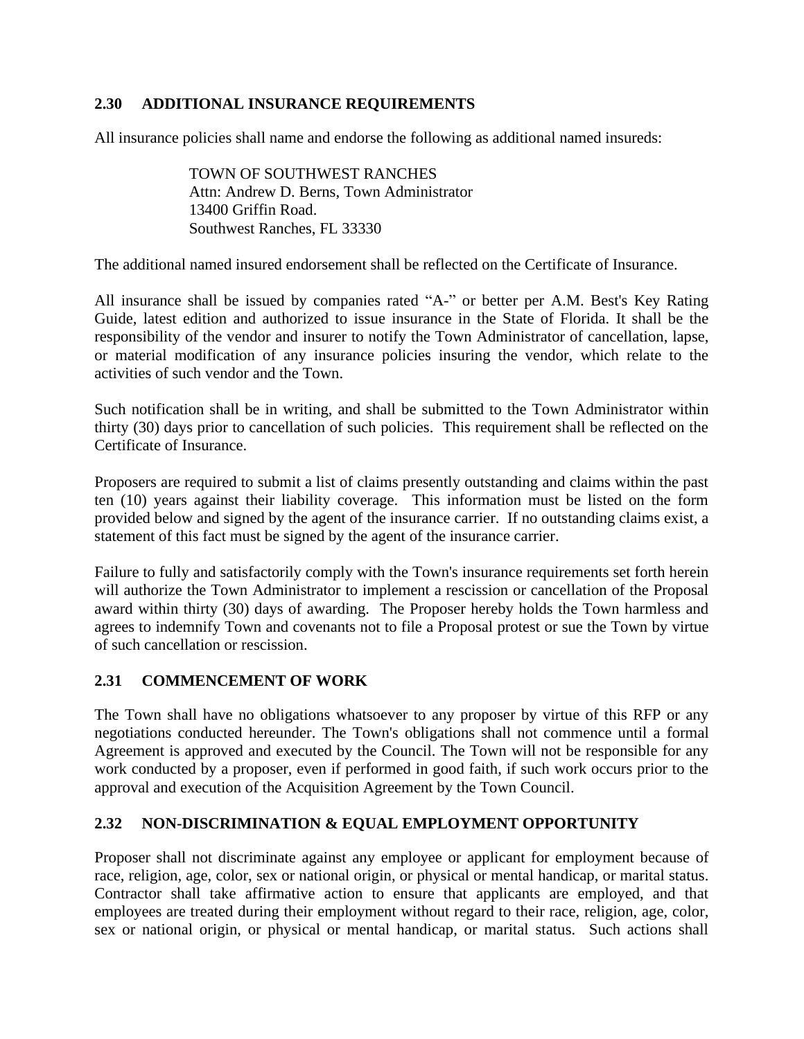## **2.30 ADDITIONAL INSURANCE REQUIREMENTS**

All insurance policies shall name and endorse the following as additional named insureds:

TOWN OF SOUTHWEST RANCHES Attn: Andrew D. Berns, Town Administrator 13400 Griffin Road. Southwest Ranches, FL 33330

The additional named insured endorsement shall be reflected on the Certificate of Insurance.

All insurance shall be issued by companies rated "A-" or better per A.M. Best's Key Rating Guide, latest edition and authorized to issue insurance in the State of Florida. It shall be the responsibility of the vendor and insurer to notify the Town Administrator of cancellation, lapse, or material modification of any insurance policies insuring the vendor, which relate to the activities of such vendor and the Town.

Such notification shall be in writing, and shall be submitted to the Town Administrator within thirty (30) days prior to cancellation of such policies. This requirement shall be reflected on the Certificate of Insurance.

Proposers are required to submit a list of claims presently outstanding and claims within the past ten (10) years against their liability coverage. This information must be listed on the form provided below and signed by the agent of the insurance carrier. If no outstanding claims exist, a statement of this fact must be signed by the agent of the insurance carrier.

Failure to fully and satisfactorily comply with the Town's insurance requirements set forth herein will authorize the Town Administrator to implement a rescission or cancellation of the Proposal award within thirty (30) days of awarding. The Proposer hereby holds the Town harmless and agrees to indemnify Town and covenants not to file a Proposal protest or sue the Town by virtue of such cancellation or rescission.

### **2.31 COMMENCEMENT OF WORK**

The Town shall have no obligations whatsoever to any proposer by virtue of this RFP or any negotiations conducted hereunder. The Town's obligations shall not commence until a formal Agreement is approved and executed by the Council. The Town will not be responsible for any work conducted by a proposer, even if performed in good faith, if such work occurs prior to the approval and execution of the Acquisition Agreement by the Town Council.

## **2.32 NON-DISCRIMINATION & EQUAL EMPLOYMENT OPPORTUNITY**

Proposer shall not discriminate against any employee or applicant for employment because of race, religion, age, color, sex or national origin, or physical or mental handicap, or marital status. Contractor shall take affirmative action to ensure that applicants are employed, and that employees are treated during their employment without regard to their race, religion, age, color, sex or national origin, or physical or mental handicap, or marital status. Such actions shall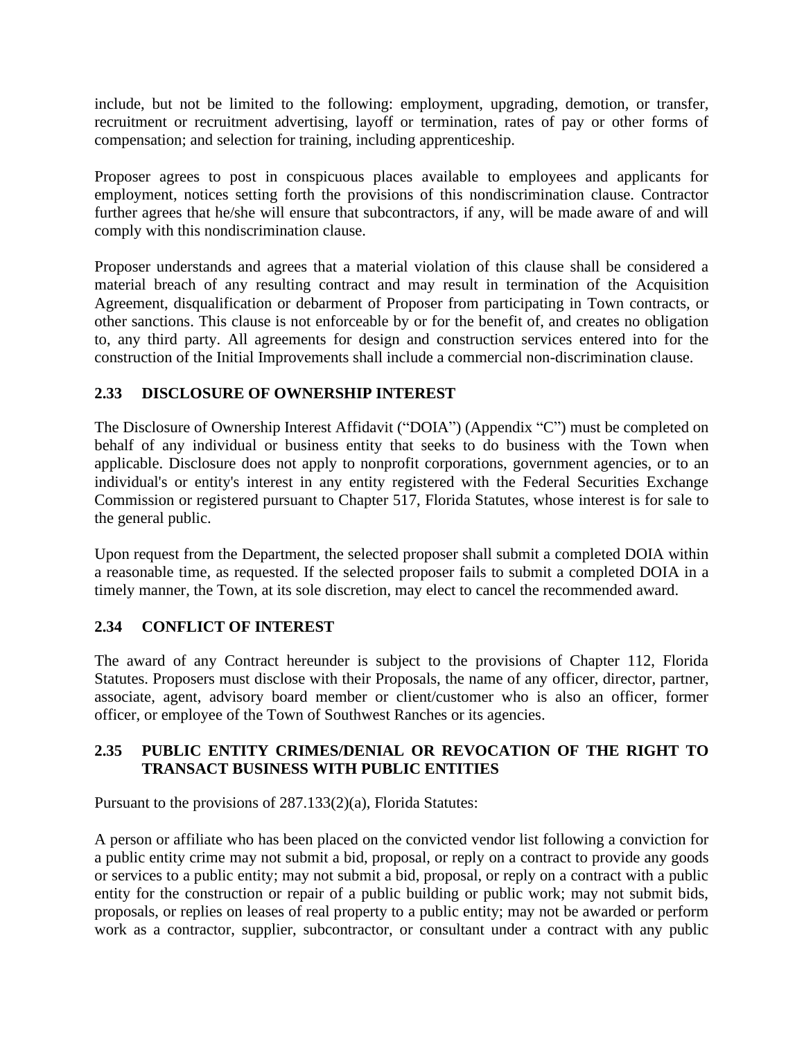include, but not be limited to the following: employment, upgrading, demotion, or transfer, recruitment or recruitment advertising, layoff or termination, rates of pay or other forms of compensation; and selection for training, including apprenticeship.

Proposer agrees to post in conspicuous places available to employees and applicants for employment, notices setting forth the provisions of this nondiscrimination clause. Contractor further agrees that he/she will ensure that subcontractors, if any, will be made aware of and will comply with this nondiscrimination clause.

Proposer understands and agrees that a material violation of this clause shall be considered a material breach of any resulting contract and may result in termination of the Acquisition Agreement, disqualification or debarment of Proposer from participating in Town contracts, or other sanctions. This clause is not enforceable by or for the benefit of, and creates no obligation to, any third party. All agreements for design and construction services entered into for the construction of the Initial Improvements shall include a commercial non-discrimination clause.

# **2.33 DISCLOSURE OF OWNERSHIP INTEREST**

The Disclosure of Ownership Interest Affidavit ("DOIA") (Appendix "C") must be completed on behalf of any individual or business entity that seeks to do business with the Town when applicable. Disclosure does not apply to nonprofit corporations, government agencies, or to an individual's or entity's interest in any entity registered with the Federal Securities Exchange Commission or registered pursuant to Chapter 517, Florida Statutes, whose interest is for sale to the general public.

Upon request from the Department, the selected proposer shall submit a completed DOIA within a reasonable time, as requested. If the selected proposer fails to submit a completed DOIA in a timely manner, the Town, at its sole discretion, may elect to cancel the recommended award.

## **2.34 CONFLICT OF INTEREST**

The award of any Contract hereunder is subject to the provisions of Chapter 112, Florida Statutes. Proposers must disclose with their Proposals, the name of any officer, director, partner, associate, agent, advisory board member or client/customer who is also an officer, former officer, or employee of the Town of Southwest Ranches or its agencies.

## **2.35 PUBLIC ENTITY CRIMES/DENIAL OR REVOCATION OF THE RIGHT TO TRANSACT BUSINESS WITH PUBLIC ENTITIES**

Pursuant to the provisions of 287.133(2)(a), Florida Statutes:

A person or affiliate who has been placed on the convicted vendor list following a conviction for a public entity crime may not submit a bid, proposal, or reply on a contract to provide any goods or services to a public entity; may not submit a bid, proposal, or reply on a contract with a public entity for the construction or repair of a public building or public work; may not submit bids, proposals, or replies on leases of real property to a public entity; may not be awarded or perform work as a contractor, supplier, subcontractor, or consultant under a contract with any public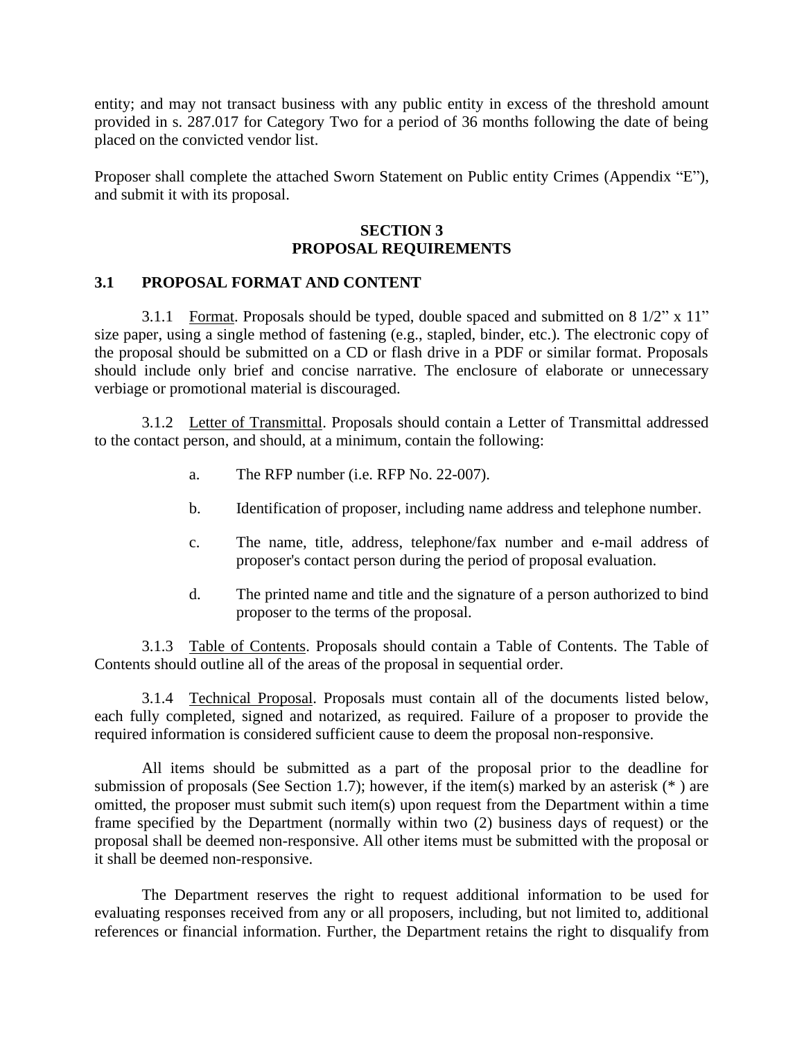entity; and may not transact business with any public entity in excess of the threshold amount provided in s. 287.017 for Category Two for a period of 36 months following the date of being placed on the convicted vendor list.

Proposer shall complete the attached Sworn Statement on Public entity Crimes (Appendix "E"), and submit it with its proposal.

### **SECTION 3 PROPOSAL REQUIREMENTS**

### **3.1 PROPOSAL FORMAT AND CONTENT**

3.1.1 Format. Proposals should be typed, double spaced and submitted on  $8\frac{1}{2}$ " x  $11$ " size paper, using a single method of fastening (e.g., stapled, binder, etc.). The electronic copy of the proposal should be submitted on a CD or flash drive in a PDF or similar format. Proposals should include only brief and concise narrative. The enclosure of elaborate or unnecessary verbiage or promotional material is discouraged.

3.1.2 Letter of Transmittal. Proposals should contain a Letter of Transmittal addressed to the contact person, and should, at a minimum, contain the following:

- a. The RFP number (i.e. RFP No. 22-007).
- b. Identification of proposer, including name address and telephone number.
- c. The name, title, address, telephone/fax number and e-mail address of proposer's contact person during the period of proposal evaluation.
- d. The printed name and title and the signature of a person authorized to bind proposer to the terms of the proposal.

3.1.3 Table of Contents. Proposals should contain a Table of Contents. The Table of Contents should outline all of the areas of the proposal in sequential order.

3.1.4 Technical Proposal. Proposals must contain all of the documents listed below, each fully completed, signed and notarized, as required. Failure of a proposer to provide the required information is considered sufficient cause to deem the proposal non-responsive.

All items should be submitted as a part of the proposal prior to the deadline for submission of proposals (See Section 1.7); however, if the item(s) marked by an asterisk (\* ) are omitted, the proposer must submit such item(s) upon request from the Department within a time frame specified by the Department (normally within two (2) business days of request) or the proposal shall be deemed non-responsive. All other items must be submitted with the proposal or it shall be deemed non-responsive.

The Department reserves the right to request additional information to be used for evaluating responses received from any or all proposers, including, but not limited to, additional references or financial information. Further, the Department retains the right to disqualify from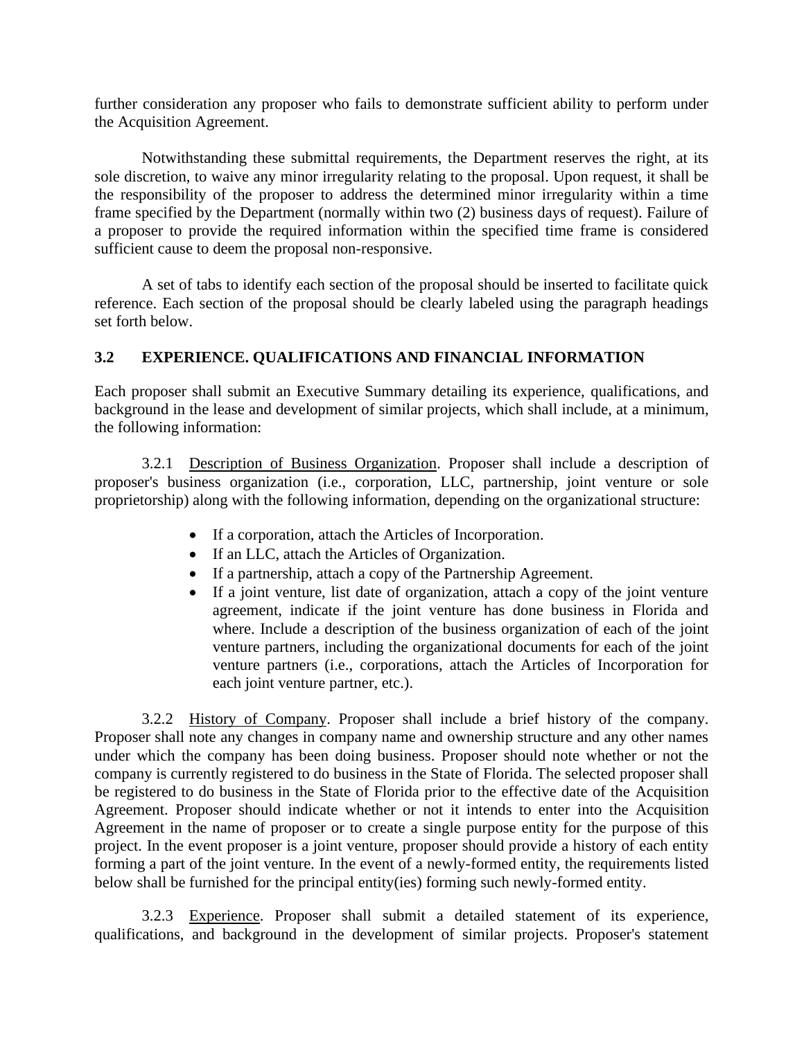further consideration any proposer who fails to demonstrate sufficient ability to perform under the Acquisition Agreement.

Notwithstanding these submittal requirements, the Department reserves the right, at its sole discretion, to waive any minor irregularity relating to the proposal. Upon request, it shall be the responsibility of the proposer to address the determined minor irregularity within a time frame specified by the Department (normally within two (2) business days of request). Failure of a proposer to provide the required information within the specified time frame is considered sufficient cause to deem the proposal non-responsive.

A set of tabs to identify each section of the proposal should be inserted to facilitate quick reference. Each section of the proposal should be clearly labeled using the paragraph headings set forth below.

# **3.2 EXPERIENCE. QUALIFICATIONS AND FINANCIAL INFORMATION**

Each proposer shall submit an Executive Summary detailing its experience, qualifications, and background in the lease and development of similar projects, which shall include, at a minimum, the following information:

3.2.1 Description of Business Organization. Proposer shall include a description of proposer's business organization (i.e., corporation, LLC, partnership, joint venture or sole proprietorship) along with the following information, depending on the organizational structure:

- If a corporation, attach the Articles of Incorporation.
- If an LLC, attach the Articles of Organization.
- If a partnership, attach a copy of the Partnership Agreement.
- If a joint venture, list date of organization, attach a copy of the joint venture agreement, indicate if the joint venture has done business in Florida and where. Include a description of the business organization of each of the joint venture partners, including the organizational documents for each of the joint venture partners (i.e., corporations, attach the Articles of Incorporation for each joint venture partner, etc.).

3.2.2 History of Company. Proposer shall include a brief history of the company. Proposer shall note any changes in company name and ownership structure and any other names under which the company has been doing business. Proposer should note whether or not the company is currently registered to do business in the State of Florida. The selected proposer shall be registered to do business in the State of Florida prior to the effective date of the Acquisition Agreement. Proposer should indicate whether or not it intends to enter into the Acquisition Agreement in the name of proposer or to create a single purpose entity for the purpose of this project. In the event proposer is a joint venture, proposer should provide a history of each entity forming a part of the joint venture. In the event of a newly-formed entity, the requirements listed below shall be furnished for the principal entity(ies) forming such newly-formed entity.

3.2.3 Experience. Proposer shall submit a detailed statement of its experience, qualifications, and background in the development of similar projects. Proposer's statement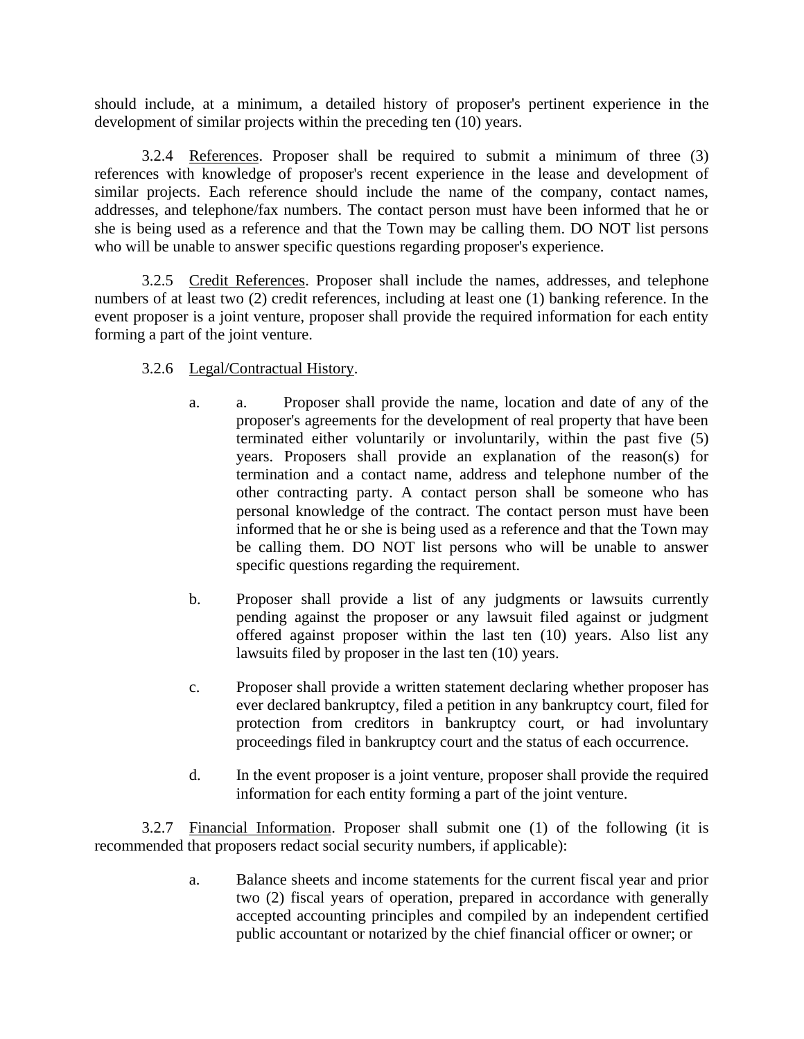should include, at a minimum, a detailed history of proposer's pertinent experience in the development of similar projects within the preceding ten (10) years.

3.2.4 References. Proposer shall be required to submit a minimum of three (3) references with knowledge of proposer's recent experience in the lease and development of similar projects. Each reference should include the name of the company, contact names, addresses, and telephone/fax numbers. The contact person must have been informed that he or she is being used as a reference and that the Town may be calling them. DO NOT list persons who will be unable to answer specific questions regarding proposer's experience.

3.2.5 Credit References. Proposer shall include the names, addresses, and telephone numbers of at least two (2) credit references, including at least one (1) banking reference. In the event proposer is a joint venture, proposer shall provide the required information for each entity forming a part of the joint venture.

### 3.2.6 Legal/Contractual History.

- a. a. Proposer shall provide the name, location and date of any of the proposer's agreements for the development of real property that have been terminated either voluntarily or involuntarily, within the past five (5) years. Proposers shall provide an explanation of the reason(s) for termination and a contact name, address and telephone number of the other contracting party. A contact person shall be someone who has personal knowledge of the contract. The contact person must have been informed that he or she is being used as a reference and that the Town may be calling them. DO NOT list persons who will be unable to answer specific questions regarding the requirement.
- b. Proposer shall provide a list of any judgments or lawsuits currently pending against the proposer or any lawsuit filed against or judgment offered against proposer within the last ten (10) years. Also list any lawsuits filed by proposer in the last ten (10) years.
- c. Proposer shall provide a written statement declaring whether proposer has ever declared bankruptcy, filed a petition in any bankruptcy court, filed for protection from creditors in bankruptcy court, or had involuntary proceedings filed in bankruptcy court and the status of each occurrence.
- d. In the event proposer is a joint venture, proposer shall provide the required information for each entity forming a part of the joint venture.

3.2.7 Financial Information. Proposer shall submit one (1) of the following (it is recommended that proposers redact social security numbers, if applicable):

> a. Balance sheets and income statements for the current fiscal year and prior two (2) fiscal years of operation, prepared in accordance with generally accepted accounting principles and compiled by an independent certified public accountant or notarized by the chief financial officer or owner; or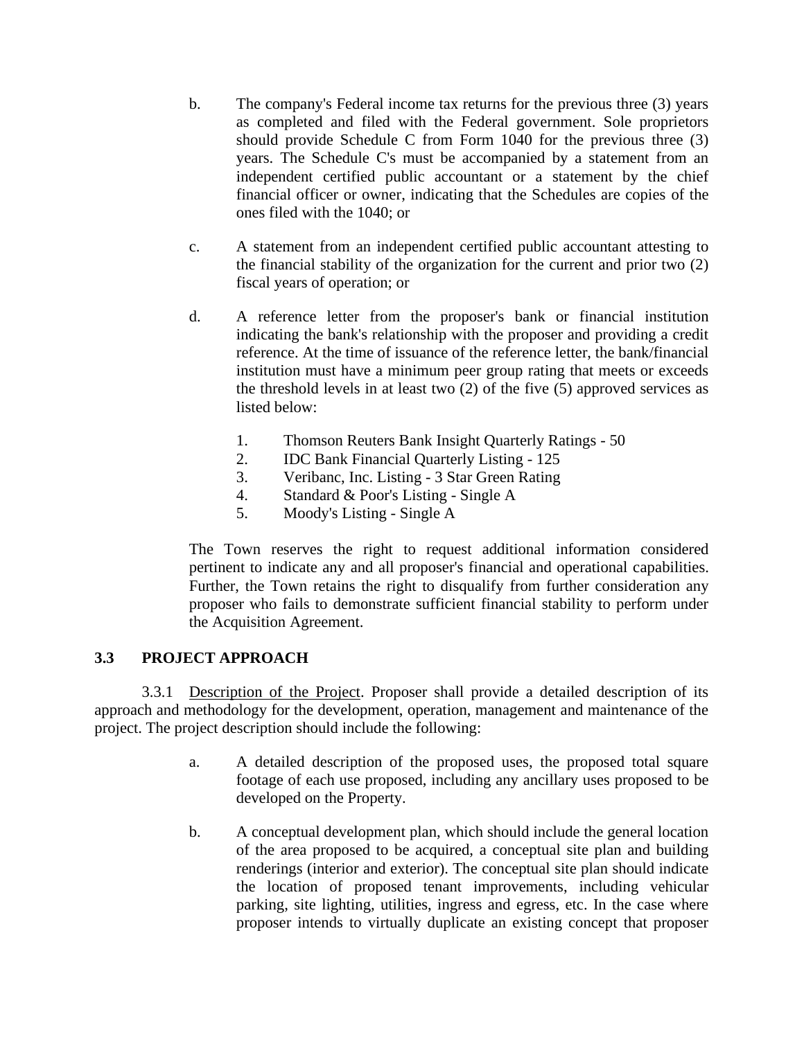- b. The company's Federal income tax returns for the previous three (3) years as completed and filed with the Federal government. Sole proprietors should provide Schedule C from Form 1040 for the previous three (3) years. The Schedule C's must be accompanied by a statement from an independent certified public accountant or a statement by the chief financial officer or owner, indicating that the Schedules are copies of the ones filed with the 1040; or
- c. A statement from an independent certified public accountant attesting to the financial stability of the organization for the current and prior two (2) fiscal years of operation; or
- d. A reference letter from the proposer's bank or financial institution indicating the bank's relationship with the proposer and providing a credit reference. At the time of issuance of the reference letter, the bank/financial institution must have a minimum peer group rating that meets or exceeds the threshold levels in at least two (2) of the five (5) approved services as listed below:
	- 1. Thomson Reuters Bank Insight Quarterly Ratings 50
	- 2. IDC Bank Financial Quarterly Listing 125
	- 3. Veribanc, Inc. Listing 3 Star Green Rating
	- 4. Standard & Poor's Listing Single A
	- 5. Moody's Listing Single A

The Town reserves the right to request additional information considered pertinent to indicate any and all proposer's financial and operational capabilities. Further, the Town retains the right to disqualify from further consideration any proposer who fails to demonstrate sufficient financial stability to perform under the Acquisition Agreement.

## **3.3 PROJECT APPROACH**

3.3.1 Description of the Project. Proposer shall provide a detailed description of its approach and methodology for the development, operation, management and maintenance of the project. The project description should include the following:

- a. A detailed description of the proposed uses, the proposed total square footage of each use proposed, including any ancillary uses proposed to be developed on the Property.
- b. A conceptual development plan, which should include the general location of the area proposed to be acquired, a conceptual site plan and building renderings (interior and exterior). The conceptual site plan should indicate the location of proposed tenant improvements, including vehicular parking, site lighting, utilities, ingress and egress, etc. In the case where proposer intends to virtually duplicate an existing concept that proposer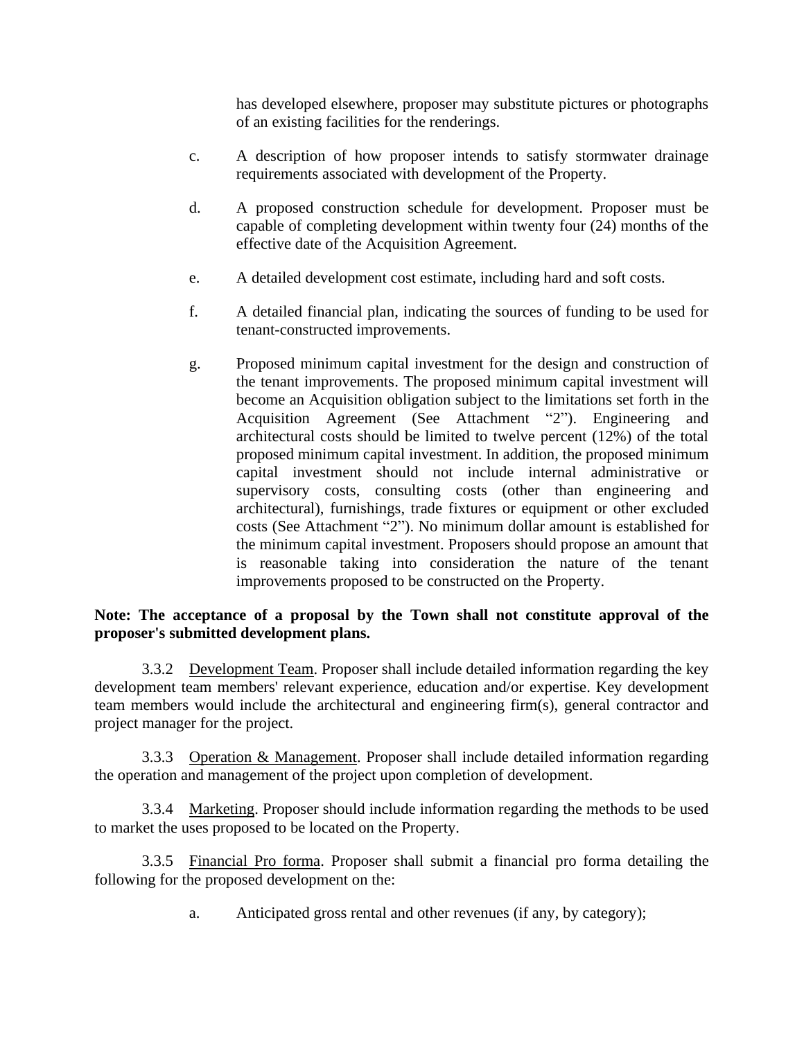has developed elsewhere, proposer may substitute pictures or photographs of an existing facilities for the renderings.

- c. A description of how proposer intends to satisfy stormwater drainage requirements associated with development of the Property.
- d. A proposed construction schedule for development. Proposer must be capable of completing development within twenty four (24) months of the effective date of the Acquisition Agreement.
- e. A detailed development cost estimate, including hard and soft costs.
- f. A detailed financial plan, indicating the sources of funding to be used for tenant-constructed improvements.
- g. Proposed minimum capital investment for the design and construction of the tenant improvements. The proposed minimum capital investment will become an Acquisition obligation subject to the limitations set forth in the Acquisition Agreement (See Attachment "2"). Engineering and architectural costs should be limited to twelve percent (12%) of the total proposed minimum capital investment. In addition, the proposed minimum capital investment should not include internal administrative or supervisory costs, consulting costs (other than engineering and architectural), furnishings, trade fixtures or equipment or other excluded costs (See Attachment "2"). No minimum dollar amount is established for the minimum capital investment. Proposers should propose an amount that is reasonable taking into consideration the nature of the tenant improvements proposed to be constructed on the Property.

## **Note: The acceptance of a proposal by the Town shall not constitute approval of the proposer's submitted development plans.**

3.3.2 Development Team. Proposer shall include detailed information regarding the key development team members' relevant experience, education and/or expertise. Key development team members would include the architectural and engineering firm(s), general contractor and project manager for the project.

3.3.3 Operation & Management. Proposer shall include detailed information regarding the operation and management of the project upon completion of development.

3.3.4 Marketing. Proposer should include information regarding the methods to be used to market the uses proposed to be located on the Property.

3.3.5 Financial Pro forma. Proposer shall submit a financial pro forma detailing the following for the proposed development on the:

a. Anticipated gross rental and other revenues (if any, by category);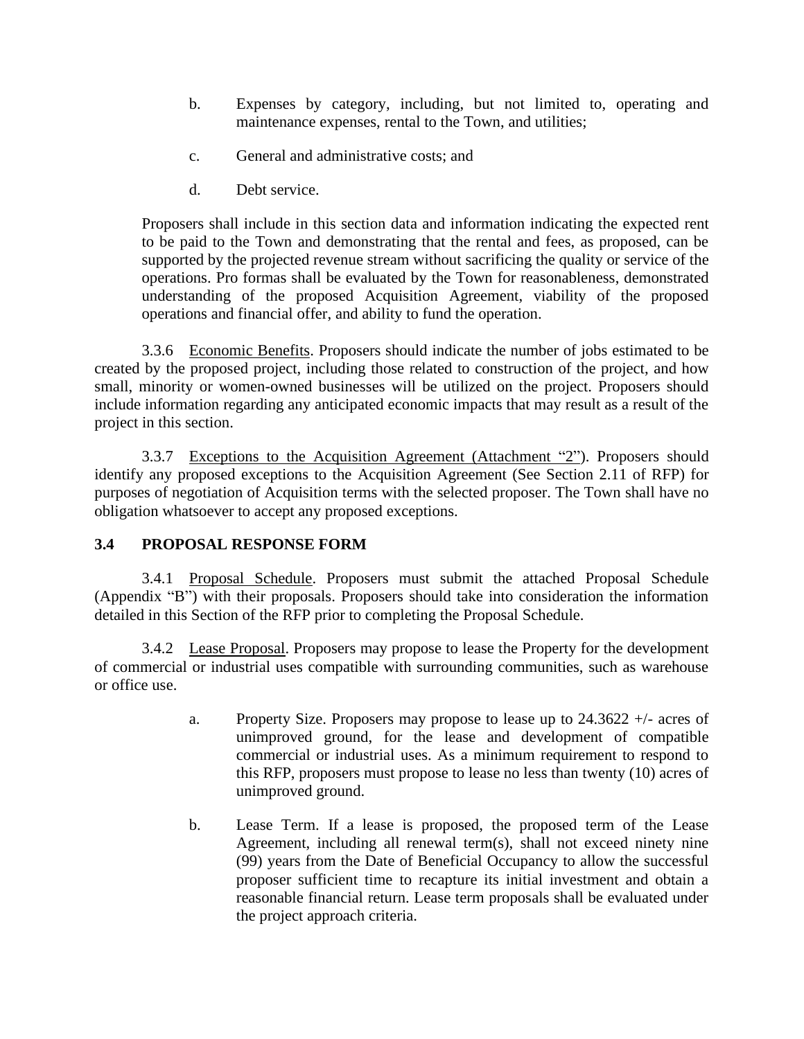- b. Expenses by category, including, but not limited to, operating and maintenance expenses, rental to the Town, and utilities;
- c. General and administrative costs; and
- d. Debt service.

Proposers shall include in this section data and information indicating the expected rent to be paid to the Town and demonstrating that the rental and fees, as proposed, can be supported by the projected revenue stream without sacrificing the quality or service of the operations. Pro formas shall be evaluated by the Town for reasonableness, demonstrated understanding of the proposed Acquisition Agreement, viability of the proposed operations and financial offer, and ability to fund the operation.

3.3.6 Economic Benefits. Proposers should indicate the number of jobs estimated to be created by the proposed project, including those related to construction of the project, and how small, minority or women-owned businesses will be utilized on the project. Proposers should include information regarding any anticipated economic impacts that may result as a result of the project in this section.

3.3.7 Exceptions to the Acquisition Agreement (Attachment "2"). Proposers should identify any proposed exceptions to the Acquisition Agreement (See Section 2.11 of RFP) for purposes of negotiation of Acquisition terms with the selected proposer. The Town shall have no obligation whatsoever to accept any proposed exceptions.

## **3.4 PROPOSAL RESPONSE FORM**

3.4.1 Proposal Schedule. Proposers must submit the attached Proposal Schedule (Appendix "B") with their proposals. Proposers should take into consideration the information detailed in this Section of the RFP prior to completing the Proposal Schedule.

3.4.2 Lease Proposal. Proposers may propose to lease the Property for the development of commercial or industrial uses compatible with surrounding communities, such as warehouse or office use.

- a. Property Size. Proposers may propose to lease up to  $24.3622 +1$  acres of unimproved ground, for the lease and development of compatible commercial or industrial uses. As a minimum requirement to respond to this RFP, proposers must propose to lease no less than twenty (10) acres of unimproved ground.
- b. Lease Term. If a lease is proposed, the proposed term of the Lease Agreement, including all renewal term(s), shall not exceed ninety nine (99) years from the Date of Beneficial Occupancy to allow the successful proposer sufficient time to recapture its initial investment and obtain a reasonable financial return. Lease term proposals shall be evaluated under the project approach criteria.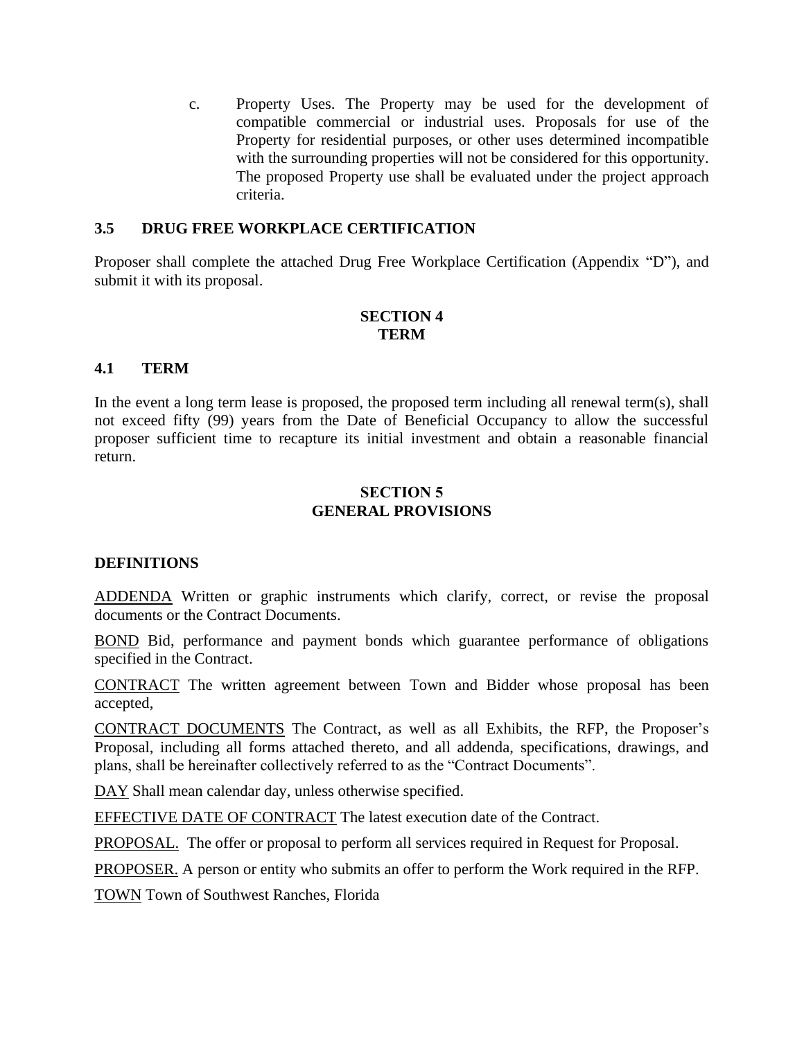c. Property Uses. The Property may be used for the development of compatible commercial or industrial uses. Proposals for use of the Property for residential purposes, or other uses determined incompatible with the surrounding properties will not be considered for this opportunity. The proposed Property use shall be evaluated under the project approach criteria.

### **3.5 DRUG FREE WORKPLACE CERTIFICATION**

Proposer shall complete the attached Drug Free Workplace Certification (Appendix "D"), and submit it with its proposal.

### **SECTION 4 TERM**

#### **4.1 TERM**

In the event a long term lease is proposed, the proposed term including all renewal term(s), shall not exceed fifty (99) years from the Date of Beneficial Occupancy to allow the successful proposer sufficient time to recapture its initial investment and obtain a reasonable financial return.

### **SECTION 5 GENERAL PROVISIONS**

#### **DEFINITIONS**

ADDENDA Written or graphic instruments which clarify, correct, or revise the proposal documents or the Contract Documents.

BOND Bid, performance and payment bonds which guarantee performance of obligations specified in the Contract.

CONTRACT The written agreement between Town and Bidder whose proposal has been accepted,

CONTRACT DOCUMENTS The Contract, as well as all Exhibits, the RFP, the Proposer's Proposal, including all forms attached thereto, and all addenda, specifications, drawings, and plans, shall be hereinafter collectively referred to as the "Contract Documents".

DAY Shall mean calendar day, unless otherwise specified.

EFFECTIVE DATE OF CONTRACT The latest execution date of the Contract.

PROPOSAL. The offer or proposal to perform all services required in Request for Proposal.

PROPOSER. A person or entity who submits an offer to perform the Work required in the RFP.

TOWN Town of Southwest Ranches, Florida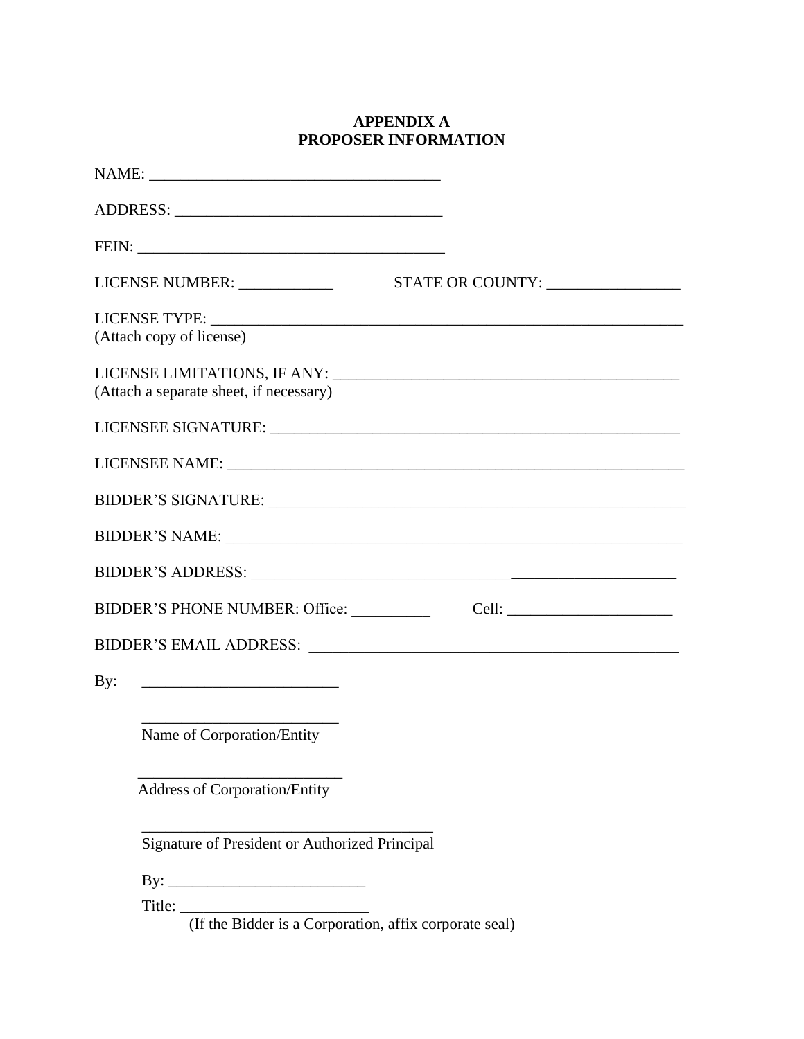# **APPENDIX A PROPOSER INFORMATION**

|     | LICENSE NUMBER: ______________                                | STATE OR COUNTY:                                                                                                                                                                                                               |
|-----|---------------------------------------------------------------|--------------------------------------------------------------------------------------------------------------------------------------------------------------------------------------------------------------------------------|
|     | (Attach copy of license)                                      |                                                                                                                                                                                                                                |
|     | (Attach a separate sheet, if necessary)                       |                                                                                                                                                                                                                                |
|     |                                                               |                                                                                                                                                                                                                                |
|     |                                                               |                                                                                                                                                                                                                                |
|     |                                                               |                                                                                                                                                                                                                                |
|     |                                                               |                                                                                                                                                                                                                                |
|     |                                                               | BIDDER'S ADDRESS: University of the Second Contract of the Second Contract of the Second Contract of the Second Contract of the Second Contract of the Second Contract of the Second Contract of the Second Contract of the Se |
|     | BIDDER'S PHONE NUMBER: Office: __________                     |                                                                                                                                                                                                                                |
|     |                                                               | BIDDER'S EMAIL ADDRESS: NAME AND ARRIVE AND A SERIES AND A SERIES AND A SERIES AND A SERIES AND A SERIES AND A SERIES AND A SERIES AND A SERIES AND A SERIES AND A SERIES AND A SERIES AND A SERIES AND A SERIES AND A SERIES  |
| By: |                                                               |                                                                                                                                                                                                                                |
|     | Name of Corporation/Entity                                    |                                                                                                                                                                                                                                |
|     | <b>Address of Corporation/Entity</b>                          |                                                                                                                                                                                                                                |
|     | Signature of President or Authorized Principal                |                                                                                                                                                                                                                                |
|     | By: $\overline{\phantom{a}}$                                  |                                                                                                                                                                                                                                |
|     | Title: (If the Bidder is a Corporation, affix corporate seal) |                                                                                                                                                                                                                                |
|     |                                                               |                                                                                                                                                                                                                                |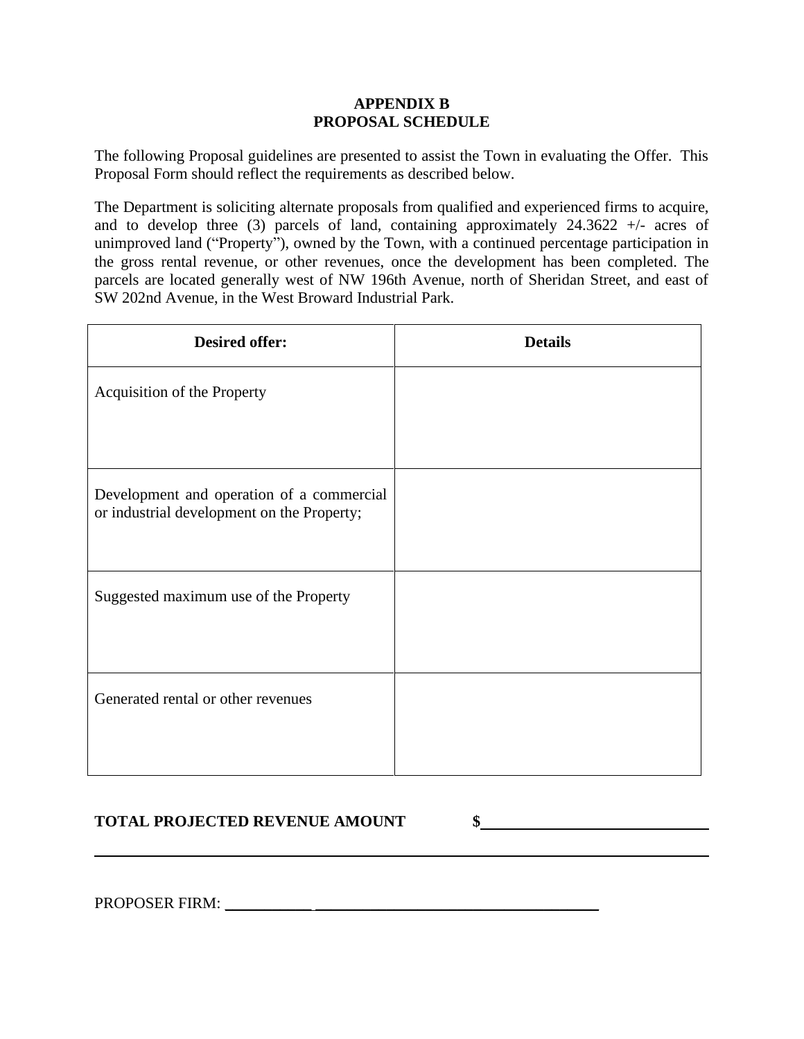### **APPENDIX B PROPOSAL SCHEDULE**

The following Proposal guidelines are presented to assist the Town in evaluating the Offer. This Proposal Form should reflect the requirements as described below.

The Department is soliciting alternate proposals from qualified and experienced firms to acquire, and to develop three (3) parcels of land, containing approximately  $24.3622$  +/- acres of unimproved land ("Property"), owned by the Town, with a continued percentage participation in the gross rental revenue, or other revenues, once the development has been completed. The parcels are located generally west of NW 196th Avenue, north of Sheridan Street, and east of SW 202nd Avenue, in the West Broward Industrial Park.

| <b>Desired offer:</b>                                                                   | <b>Details</b> |
|-----------------------------------------------------------------------------------------|----------------|
| Acquisition of the Property                                                             |                |
|                                                                                         |                |
| Development and operation of a commercial<br>or industrial development on the Property; |                |
| Suggested maximum use of the Property                                                   |                |
| Generated rental or other revenues                                                      |                |

## **TOTAL PROJECTED REVENUE AMOUNT \$**

PROPOSER FIRM: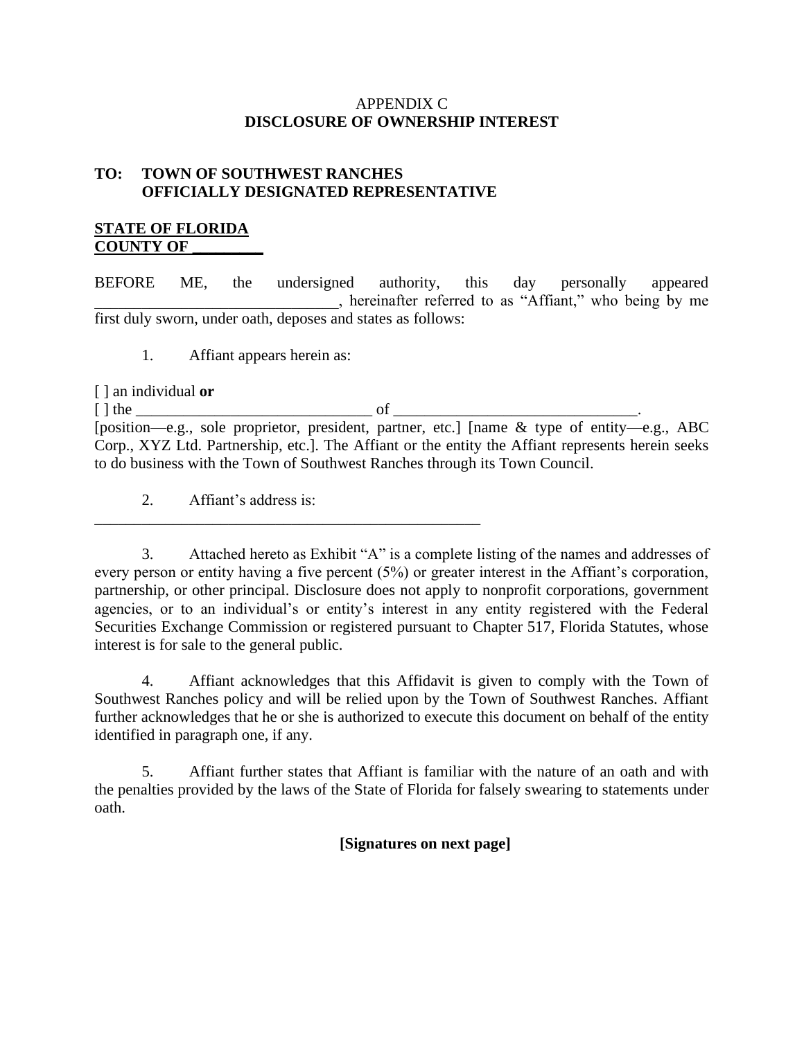### APPENDIX C **DISCLOSURE OF OWNERSHIP INTEREST**

# **TO: TOWN OF SOUTHWEST RANCHES OFFICIALLY DESIGNATED REPRESENTATIVE**

### **STATE OF FLORIDA COUNTY OF \_\_\_\_\_\_\_\_\_**

BEFORE ME, the undersigned authority, this day personally appeared \_\_\_\_\_\_\_\_\_\_\_\_\_\_\_\_\_\_\_\_\_\_\_\_\_\_\_\_\_\_\_, hereinafter referred to as "Affiant," who being by me first duly sworn, under oath, deposes and states as follows:

1. Affiant appears herein as:

[ ] an individual **or**

[ ] the \_\_\_\_\_\_\_\_\_\_\_\_\_\_\_\_\_\_\_\_\_\_\_\_\_\_\_\_\_\_ of \_\_\_\_\_\_\_\_\_\_\_\_\_\_\_\_\_\_\_\_\_\_\_\_\_\_\_\_\_\_\_. [position—e.g., sole proprietor, president, partner, etc.] [name & type of entity—e.g., ABC Corp., XYZ Ltd. Partnership, etc.]. The Affiant or the entity the Affiant represents herein seeks to do business with the Town of Southwest Ranches through its Town Council.

2. Affiant's address is:

\_\_\_\_\_\_\_\_\_\_\_\_\_\_\_\_\_\_\_\_\_\_\_\_\_\_\_\_\_\_\_\_\_\_\_\_\_\_\_\_\_\_\_\_\_\_\_\_\_

3. Attached hereto as Exhibit "A" is a complete listing of the names and addresses of every person or entity having a five percent (5%) or greater interest in the Affiant's corporation, partnership, or other principal. Disclosure does not apply to nonprofit corporations, government agencies, or to an individual's or entity's interest in any entity registered with the Federal Securities Exchange Commission or registered pursuant to Chapter 517, Florida Statutes, whose interest is for sale to the general public.

4. Affiant acknowledges that this Affidavit is given to comply with the Town of Southwest Ranches policy and will be relied upon by the Town of Southwest Ranches. Affiant further acknowledges that he or she is authorized to execute this document on behalf of the entity identified in paragraph one, if any.

5. Affiant further states that Affiant is familiar with the nature of an oath and with the penalties provided by the laws of the State of Florida for falsely swearing to statements under oath.

**[Signatures on next page]**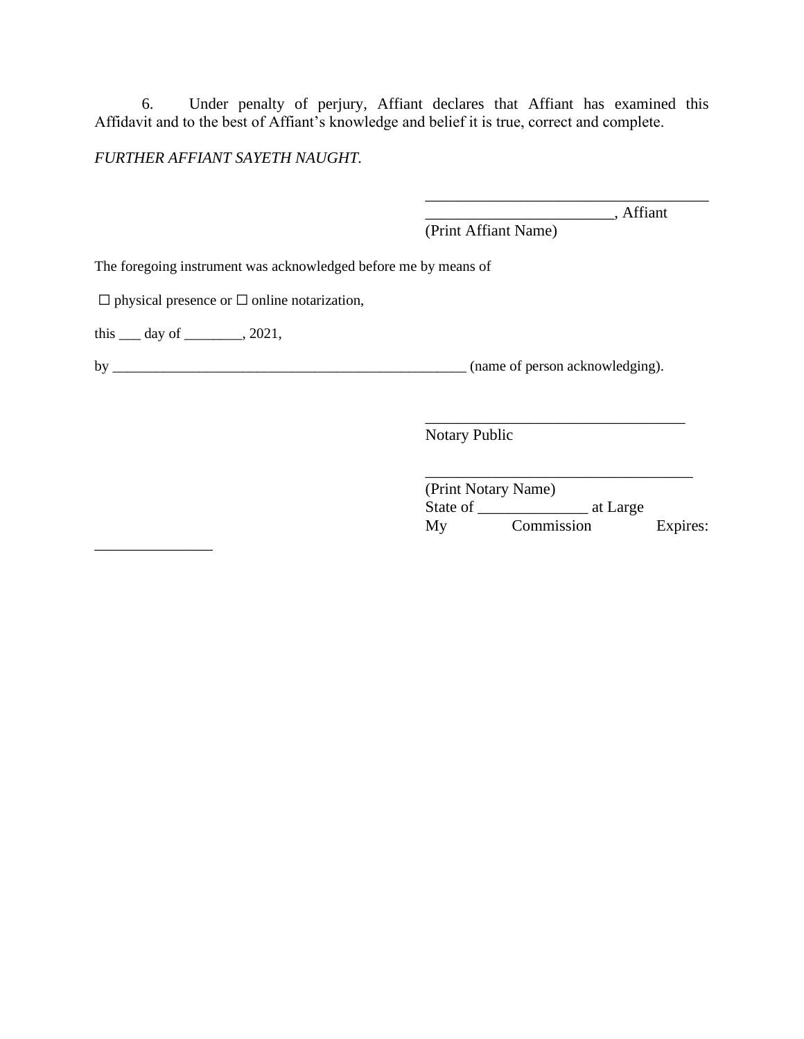6. Under penalty of perjury, Affiant declares that Affiant has examined this Affidavit and to the best of Affiant's knowledge and belief it is true, correct and complete.

### *FURTHER AFFIANT SAYETH NAUGHT.*

\_\_\_\_\_\_\_\_\_\_\_\_\_\_\_\_\_\_\_\_\_\_\_\_\_\_\_\_\_\_\_\_\_\_\_\_ \_\_\_\_\_\_\_\_\_\_\_\_\_\_\_\_\_\_\_\_\_\_\_\_, Affiant

(Print Affiant Name)

The foregoing instrument was acknowledged before me by means of

 $\Box$  physical presence or  $\Box$  online notarization,

this  $\_\_\_$  day of  $\_\_\_\_\_$ , 2021,

\_\_\_\_\_\_\_\_\_\_\_\_\_\_\_

by \_\_\_\_\_\_\_\_\_\_\_\_\_\_\_\_\_\_\_\_\_\_\_\_\_\_\_\_\_\_\_\_\_\_\_\_\_\_\_\_\_\_\_\_\_\_\_\_\_ (name of person acknowledging).

Notary Public

|          | (Print Notary Name) |          |
|----------|---------------------|----------|
| State of | at Large            |          |
| My       | Commission          | Expires: |

\_\_\_\_\_\_\_\_\_\_\_\_\_\_\_\_\_\_\_\_\_\_\_\_\_\_\_\_\_\_\_\_\_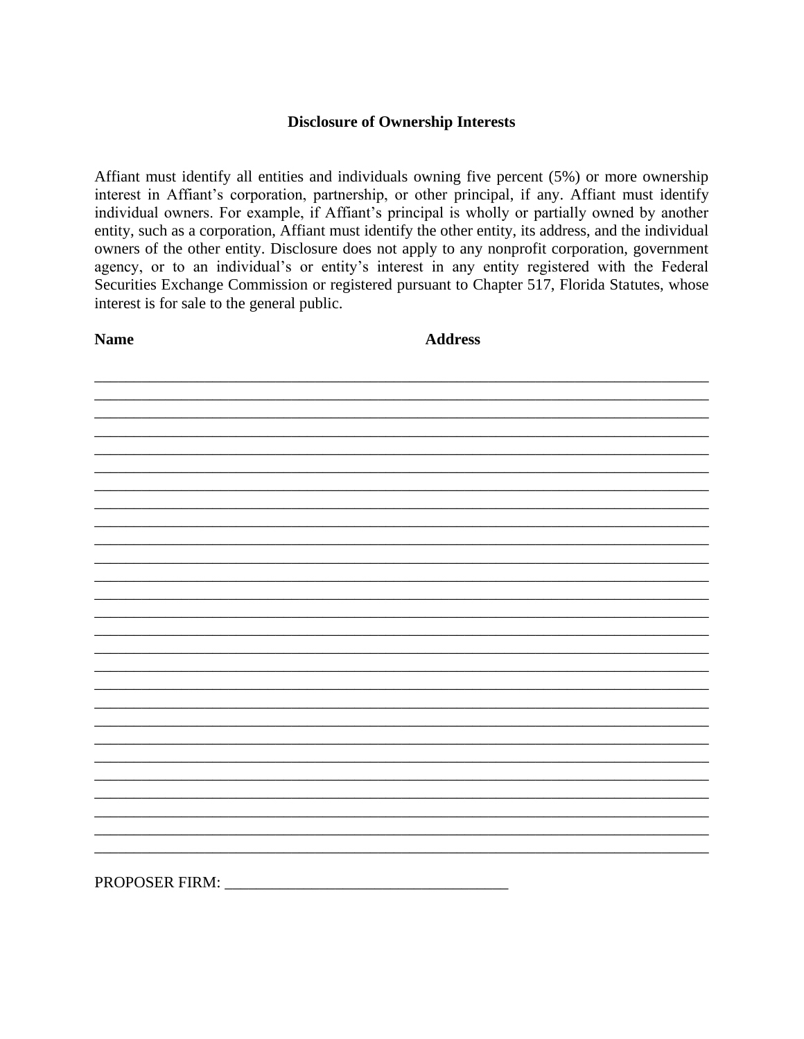### **Disclosure of Ownership Interests**

Affiant must identify all entities and individuals owning five percent (5%) or more ownership interest in Affiant's corporation, partnership, or other principal, if any. Affiant must identify individual owners. For example, if Affiant's principal is wholly or partially owned by another entity, such as a corporation, Affiant must identify the other entity, its address, and the individual owners of the other entity. Disclosure does not apply to any nonprofit corporation, government agency, or to an individual's or entity's interest in any entity registered with the Federal Securities Exchange Commission or registered pursuant to Chapter 517, Florida Statutes, whose interest is for sale to the general public.

**Name** 

**Address** 

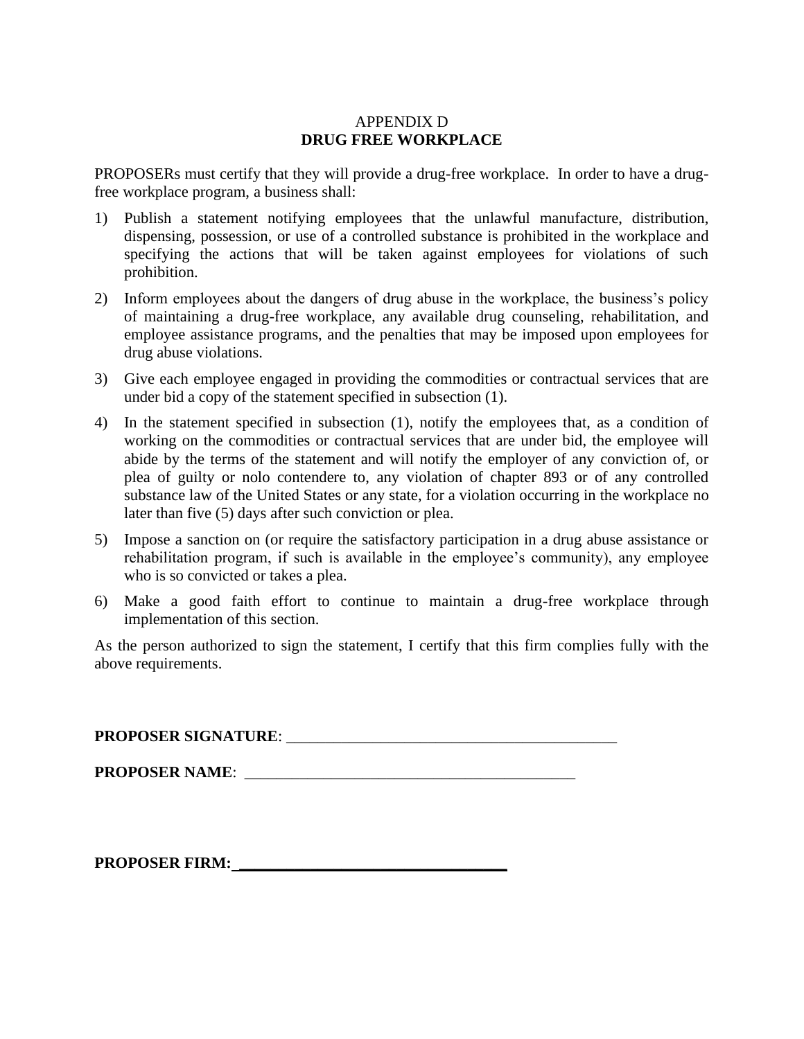### APPENDIX D **DRUG FREE WORKPLACE**

PROPOSERs must certify that they will provide a drug-free workplace. In order to have a drugfree workplace program, a business shall:

- 1) Publish a statement notifying employees that the unlawful manufacture, distribution, dispensing, possession, or use of a controlled substance is prohibited in the workplace and specifying the actions that will be taken against employees for violations of such prohibition.
- 2) Inform employees about the dangers of drug abuse in the workplace, the business's policy of maintaining a drug-free workplace, any available drug counseling, rehabilitation, and employee assistance programs, and the penalties that may be imposed upon employees for drug abuse violations.
- 3) Give each employee engaged in providing the commodities or contractual services that are under bid a copy of the statement specified in subsection (1).
- 4) In the statement specified in subsection (1), notify the employees that, as a condition of working on the commodities or contractual services that are under bid, the employee will abide by the terms of the statement and will notify the employer of any conviction of, or plea of guilty or nolo contendere to, any violation of chapter 893 or of any controlled substance law of the United States or any state, for a violation occurring in the workplace no later than five (5) days after such conviction or plea.
- 5) Impose a sanction on (or require the satisfactory participation in a drug abuse assistance or rehabilitation program, if such is available in the employee's community), any employee who is so convicted or takes a plea.
- 6) Make a good faith effort to continue to maintain a drug-free workplace through implementation of this section.

As the person authorized to sign the statement, I certify that this firm complies fully with the above requirements.

**PROPOSER SIGNATURE**: \_\_\_\_\_\_\_\_\_\_\_\_\_\_\_\_\_\_\_\_\_\_\_\_\_\_\_\_\_\_\_\_\_\_\_\_\_\_\_\_\_\_

**PROPOSER NAME**: \_\_\_\_\_\_\_\_\_\_\_\_\_\_\_\_\_\_\_\_\_\_\_\_\_\_\_\_\_\_\_\_\_\_\_\_\_\_\_\_\_\_

**PROPOSER FIRM: \_\_\_\_\_\_\_\_\_\_\_\_\_\_\_\_\_\_\_\_\_\_\_\_\_\_\_\_\_\_\_\_\_\_**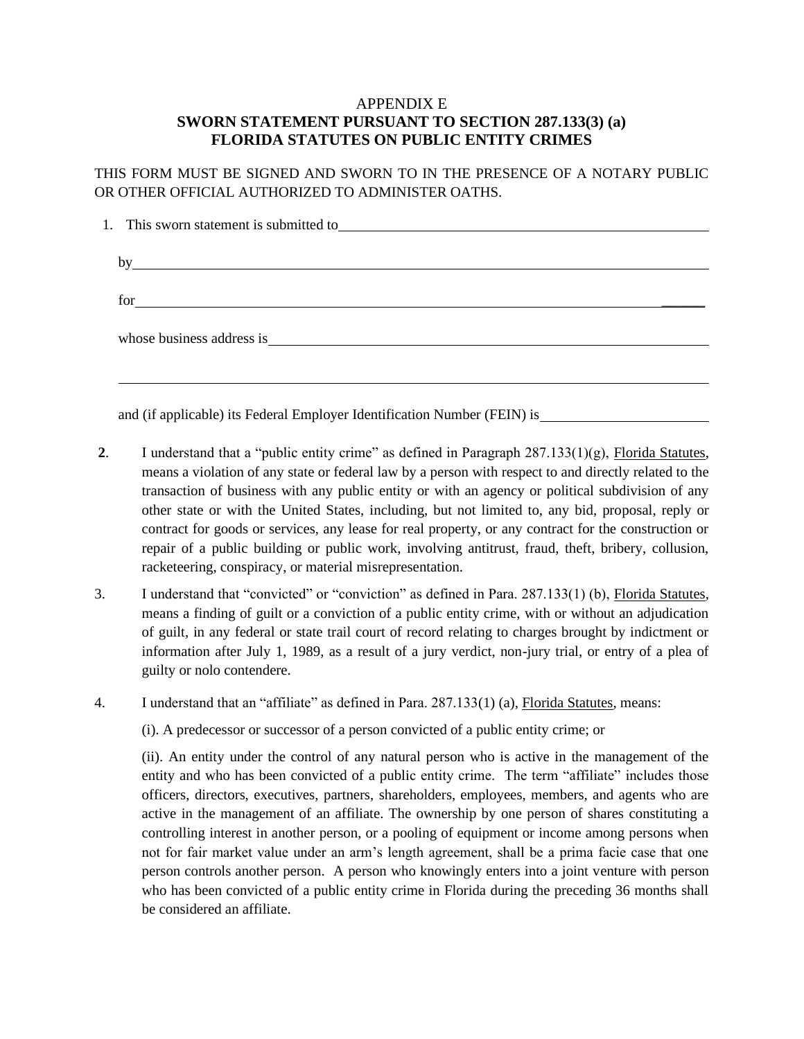### APPENDIX E **SWORN STATEMENT PURSUANT TO SECTION 287.133(3) (a) FLORIDA STATUTES ON PUBLIC ENTITY CRIMES**

THIS FORM MUST BE SIGNED AND SWORN TO IN THE PRESENCE OF A NOTARY PUBLIC OR OTHER OFFICIAL AUTHORIZED TO ADMINISTER OATHS.

| 1. This sworn statement is submitted to <u>contain the submitted</u> to the submitted to the submitted to the submitted to the submitted to the submitted to the submitted to the submitted to the submitted to submit the submitte |
|-------------------------------------------------------------------------------------------------------------------------------------------------------------------------------------------------------------------------------------|
|                                                                                                                                                                                                                                     |
| by                                                                                                                                                                                                                                  |
|                                                                                                                                                                                                                                     |
|                                                                                                                                                                                                                                     |
|                                                                                                                                                                                                                                     |
|                                                                                                                                                                                                                                     |
| whose business address is quality and the set of the set of the set of the set of the set of the set of the set of the set of the set of the set of the set of the set of the set of the set of the set of the set of the set       |
|                                                                                                                                                                                                                                     |
|                                                                                                                                                                                                                                     |
|                                                                                                                                                                                                                                     |

and (if applicable) its Federal Employer Identification Number (FEIN) is

- **2.** I understand that a "public entity crime" as defined in Paragraph  $287.133(1)(g)$ , Florida Statutes, means a violation of any state or federal law by a person with respect to and directly related to the transaction of business with any public entity or with an agency or political subdivision of any other state or with the United States, including, but not limited to, any bid, proposal, reply or contract for goods or services, any lease for real property, or any contract for the construction or repair of a public building or public work, involving antitrust, fraud, theft, bribery, collusion, racketeering, conspiracy, or material misrepresentation.
- 3. I understand that "convicted" or "conviction" as defined in Para. 287.133(1) (b), Florida Statutes, means a finding of guilt or a conviction of a public entity crime, with or without an adjudication of guilt, in any federal or state trail court of record relating to charges brought by indictment or information after July 1, 1989, as a result of a jury verdict, non-jury trial, or entry of a plea of guilty or nolo contendere.

4. I understand that an "affiliate" as defined in Para. 287.133(1) (a), Florida Statutes, means:

(i). A predecessor or successor of a person convicted of a public entity crime; or

(ii). An entity under the control of any natural person who is active in the management of the entity and who has been convicted of a public entity crime. The term "affiliate" includes those officers, directors, executives, partners, shareholders, employees, members, and agents who are active in the management of an affiliate. The ownership by one person of shares constituting a controlling interest in another person, or a pooling of equipment or income among persons when not for fair market value under an arm's length agreement, shall be a prima facie case that one person controls another person. A person who knowingly enters into a joint venture with person who has been convicted of a public entity crime in Florida during the preceding 36 months shall be considered an affiliate.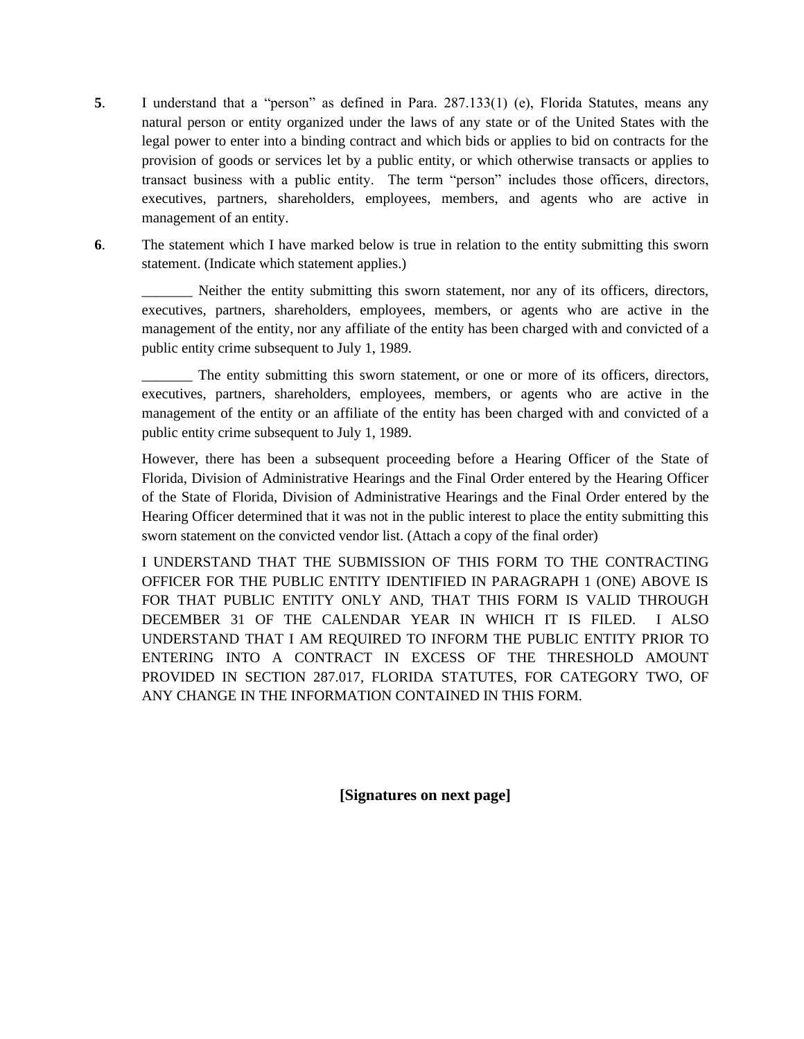- **5**. I understand that a "person" as defined in Para. 287.133(1) (e), Florida Statutes, means any natural person or entity organized under the laws of any state or of the United States with the legal power to enter into a binding contract and which bids or applies to bid on contracts for the provision of goods or services let by a public entity, or which otherwise transacts or applies to transact business with a public entity. The term "person" includes those officers, directors, executives, partners, shareholders, employees, members, and agents who are active in management of an entity.
- **6**. The statement which I have marked below is true in relation to the entity submitting this sworn statement. (Indicate which statement applies.)

Neither the entity submitting this sworn statement, nor any of its officers, directors, executives, partners, shareholders, employees, members, or agents who are active in the management of the entity, nor any affiliate of the entity has been charged with and convicted of a public entity crime subsequent to July 1, 1989.

\_\_\_\_\_\_\_ The entity submitting this sworn statement, or one or more of its officers, directors, executives, partners, shareholders, employees, members, or agents who are active in the management of the entity or an affiliate of the entity has been charged with and convicted of a public entity crime subsequent to July 1, 1989.

However, there has been a subsequent proceeding before a Hearing Officer of the State of Florida, Division of Administrative Hearings and the Final Order entered by the Hearing Officer of the State of Florida, Division of Administrative Hearings and the Final Order entered by the Hearing Officer determined that it was not in the public interest to place the entity submitting this sworn statement on the convicted vendor list. (Attach a copy of the final order)

I UNDERSTAND THAT THE SUBMISSION OF THIS FORM TO THE CONTRACTING OFFICER FOR THE PUBLIC ENTITY IDENTIFIED IN PARAGRAPH 1 (ONE) ABOVE IS FOR THAT PUBLIC ENTITY ONLY AND, THAT THIS FORM IS VALID THROUGH DECEMBER 31 OF THE CALENDAR YEAR IN WHICH IT IS FILED. I ALSO UNDERSTAND THAT I AM REQUIRED TO INFORM THE PUBLIC ENTITY PRIOR TO ENTERING INTO A CONTRACT IN EXCESS OF THE THRESHOLD AMOUNT PROVIDED IN SECTION 287.017, FLORIDA STATUTES, FOR CATEGORY TWO, OF ANY CHANGE IN THE INFORMATION CONTAINED IN THIS FORM.

**[Signatures on next page]**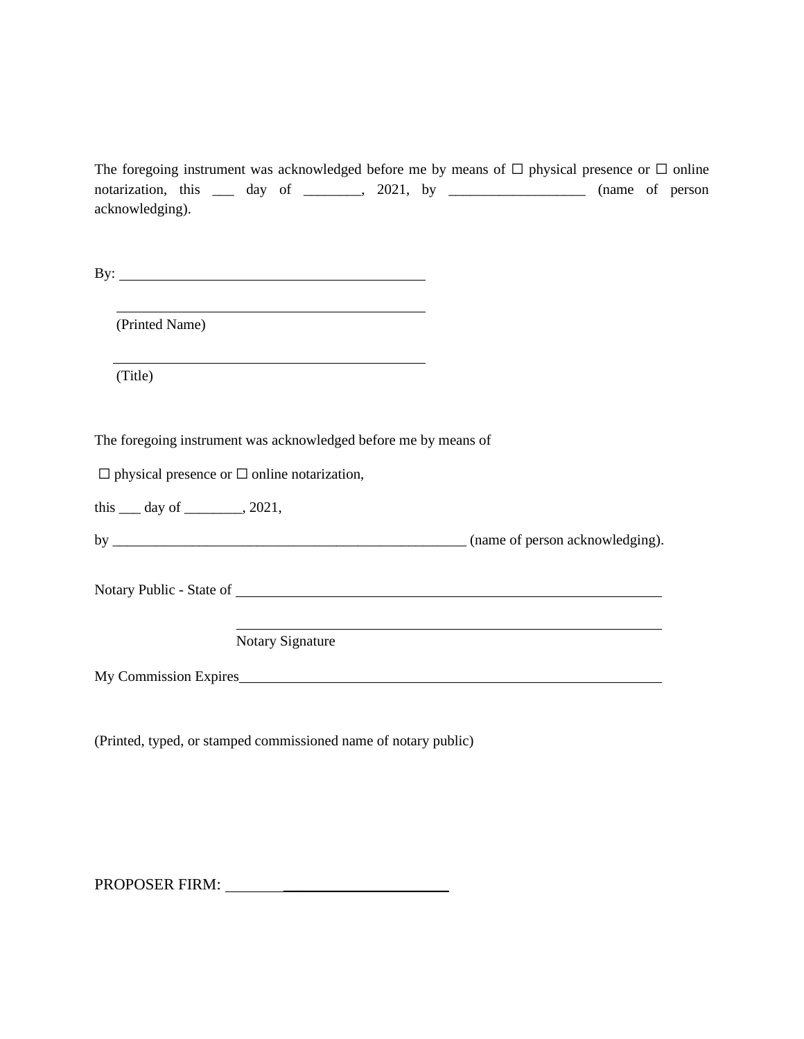|                 |  |                                                                |  | The foregoing instrument was acknowledged before me by means of $\Box$ physical presence or $\Box$ online |  |                 |
|-----------------|--|----------------------------------------------------------------|--|-----------------------------------------------------------------------------------------------------------|--|-----------------|
|                 |  | notarization, this <u>equal</u> day of <u>equal</u> , 2021, by |  |                                                                                                           |  | (name of person |
| acknowledging). |  |                                                                |  |                                                                                                           |  |                 |

By:

(Printed Name)

(Title)

The foregoing instrument was acknowledged before me by means of

 $\Box$  physical presence or  $\Box$  online notarization,

this \_\_\_ day of \_\_\_\_\_\_\_\_, 2021,

by \_\_\_\_\_\_\_\_\_\_\_\_\_\_\_\_\_\_\_\_\_\_\_\_\_\_\_\_\_\_\_\_\_\_\_\_\_\_\_\_\_\_\_\_\_\_\_\_\_ (name of person acknowledging).

Notary Public - State of

Notary Signature

My Commission Expires

(Printed, typed, or stamped commissioned name of notary public)

PROPOSER FIRM: \_\_\_\_\_\_\_\_\_\_\_\_\_\_\_\_\_\_\_\_\_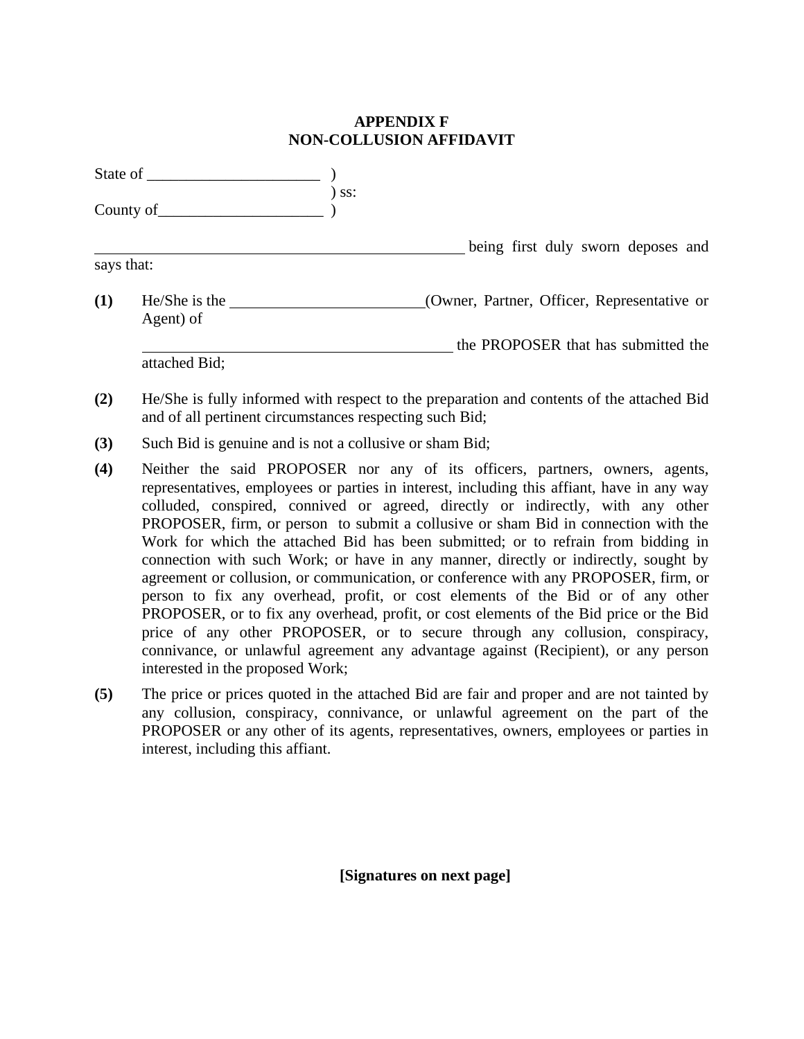# **APPENDIX F NON-COLLUSION AFFIDAVIT**

|            | State of                   |     |                                             |
|------------|----------------------------|-----|---------------------------------------------|
|            | County of $\qquad \qquad$  | ss: |                                             |
|            |                            |     | being first duly sworn deposes and          |
| says that: |                            |     |                                             |
| (1)        | He/She is the<br>Agent) of |     | (Owner, Partner, Officer, Representative or |
|            | attached Bid;              |     | the PROPOSER that has submitted the         |

- **(2)** He/She is fully informed with respect to the preparation and contents of the attached Bid and of all pertinent circumstances respecting such Bid;
- **(3)** Such Bid is genuine and is not a collusive or sham Bid;
- **(4)** Neither the said PROPOSER nor any of its officers, partners, owners, agents, representatives, employees or parties in interest, including this affiant, have in any way colluded, conspired, connived or agreed, directly or indirectly, with any other PROPOSER, firm, or person to submit a collusive or sham Bid in connection with the Work for which the attached Bid has been submitted; or to refrain from bidding in connection with such Work; or have in any manner, directly or indirectly, sought by agreement or collusion, or communication, or conference with any PROPOSER, firm, or person to fix any overhead, profit, or cost elements of the Bid or of any other PROPOSER, or to fix any overhead, profit, or cost elements of the Bid price or the Bid price of any other PROPOSER, or to secure through any collusion, conspiracy, connivance, or unlawful agreement any advantage against (Recipient), or any person interested in the proposed Work;
- **(5)** The price or prices quoted in the attached Bid are fair and proper and are not tainted by any collusion, conspiracy, connivance, or unlawful agreement on the part of the PROPOSER or any other of its agents, representatives, owners, employees or parties in interest, including this affiant.

**[Signatures on next page]**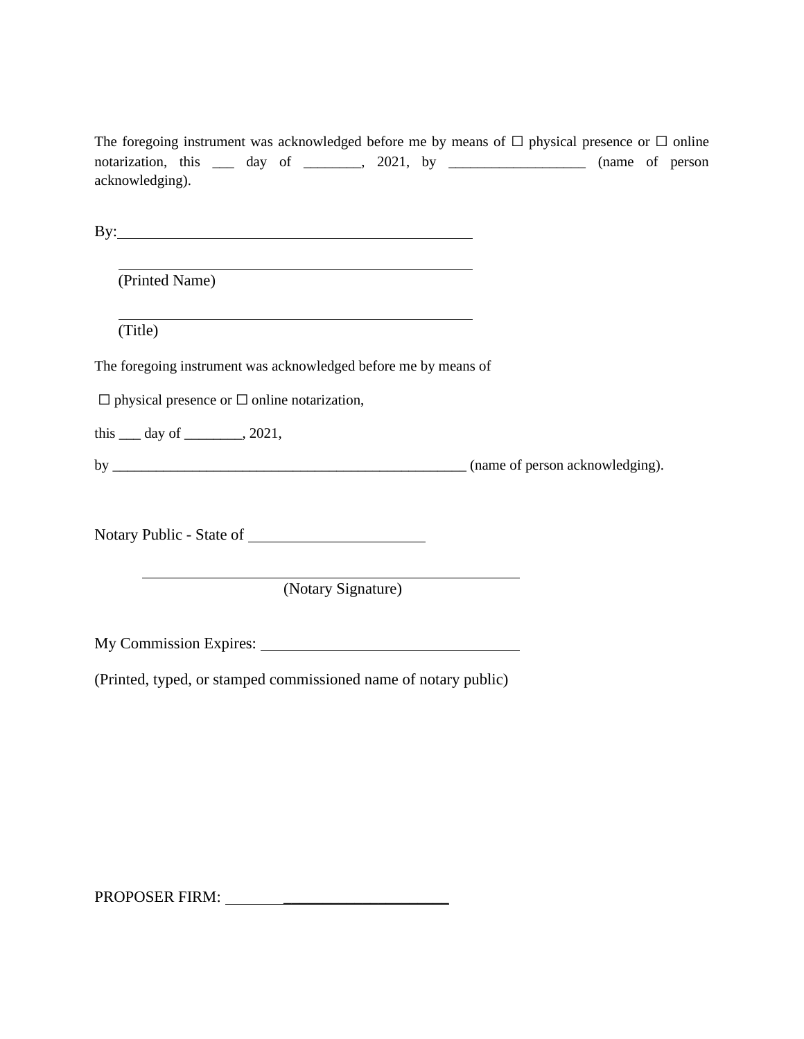The foregoing instrument was acknowledged before me by means of  $\Box$  physical presence or  $\Box$  online notarization, this \_\_\_ day of \_\_\_\_\_\_, 2021, by \_\_\_\_\_\_\_\_\_\_\_\_\_\_\_\_\_ (name of person acknowledging).

By:

(Printed Name)

(Title)

The foregoing instrument was acknowledged before me by means of

 $\Box$  physical presence or  $\Box$  online notarization,

this  $\rule{1em}{0.15mm}$  day of  $\rule{1em}{0.15mm}$ , 2021,

by \_\_\_\_\_\_\_\_\_\_\_\_\_\_\_\_\_\_\_\_\_\_\_\_\_\_\_\_\_\_\_\_\_\_\_\_\_\_\_\_\_\_\_\_\_\_\_\_\_ (name of person acknowledging).

Notary Public - State of

(Notary Signature)

My Commission Expires:

(Printed, typed, or stamped commissioned name of notary public)

PROPOSER FIRM: \_\_\_\_\_\_\_\_\_\_\_\_\_\_\_\_\_\_\_\_\_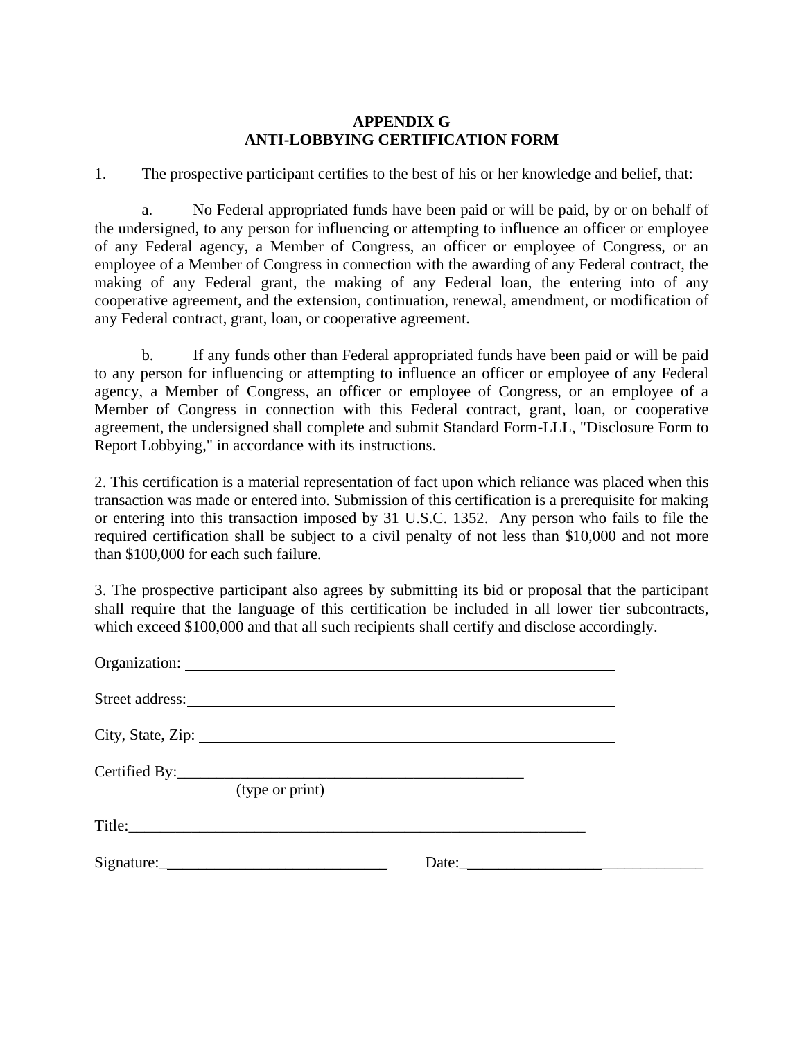### **APPENDIX G ANTI-LOBBYING CERTIFICATION FORM**

1. The prospective participant certifies to the best of his or her knowledge and belief, that:

a. No Federal appropriated funds have been paid or will be paid, by or on behalf of the undersigned, to any person for influencing or attempting to influence an officer or employee of any Federal agency, a Member of Congress, an officer or employee of Congress, or an employee of a Member of Congress in connection with the awarding of any Federal contract, the making of any Federal grant, the making of any Federal loan, the entering into of any cooperative agreement, and the extension, continuation, renewal, amendment, or modification of any Federal contract, grant, loan, or cooperative agreement.

b. If any funds other than Federal appropriated funds have been paid or will be paid to any person for influencing or attempting to influence an officer or employee of any Federal agency, a Member of Congress, an officer or employee of Congress, or an employee of a Member of Congress in connection with this Federal contract, grant, loan, or cooperative agreement, the undersigned shall complete and submit Standard Form-LLL, "Disclosure Form to Report Lobbying," in accordance with its instructions.

2. This certification is a material representation of fact upon which reliance was placed when this transaction was made or entered into. Submission of this certification is a prerequisite for making or entering into this transaction imposed by 31 U.S.C. 1352. Any person who fails to file the required certification shall be subject to a civil penalty of not less than \$10,000 and not more than \$100,000 for each such failure.

3. The prospective participant also agrees by submitting its bid or proposal that the participant shall require that the language of this certification be included in all lower tier subcontracts, which exceed \$100,000 and that all such recipients shall certify and disclose accordingly.

| City, State, Zip: |                                                                                                                                                                                                                                |  |
|-------------------|--------------------------------------------------------------------------------------------------------------------------------------------------------------------------------------------------------------------------------|--|
| (type or print)   |                                                                                                                                                                                                                                |  |
|                   |                                                                                                                                                                                                                                |  |
|                   | Date: the contract of the contract of the contract of the contract of the contract of the contract of the contract of the contract of the contract of the contract of the contract of the contract of the contract of the cont |  |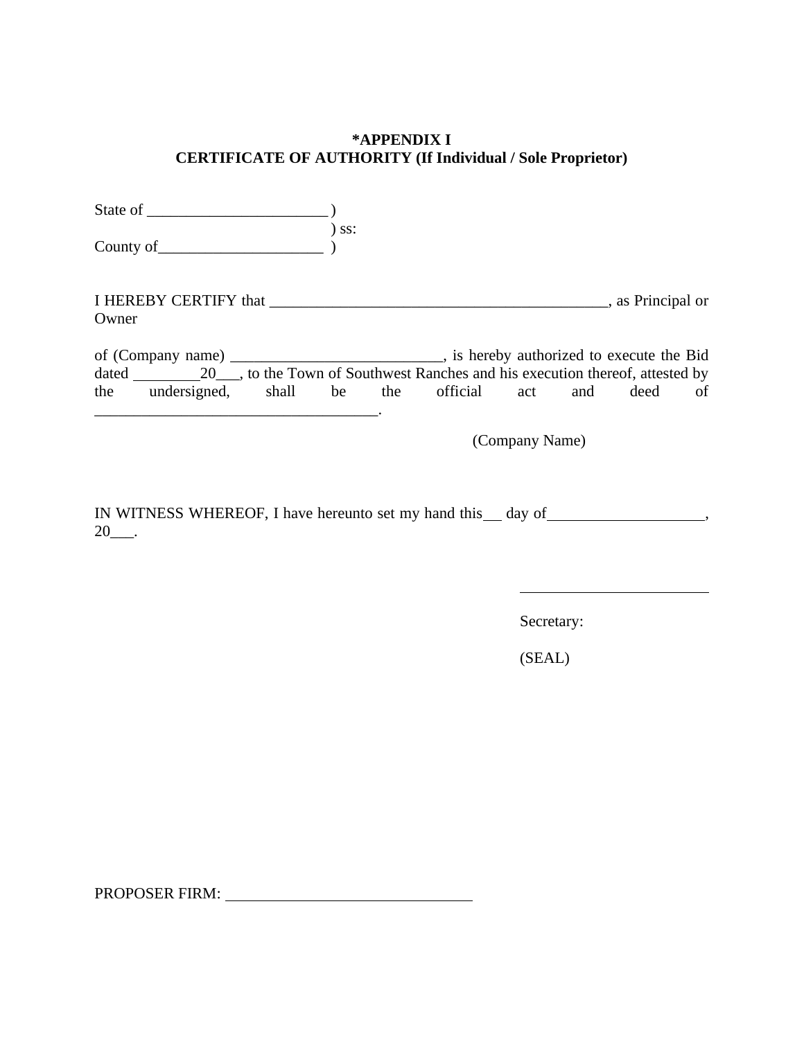## **\*APPENDIX I CERTIFICATE OF AUTHORITY (If Individual / Sole Proprietor)**

| County of                                                                                                | $)$ SS: |                |  |    |
|----------------------------------------------------------------------------------------------------------|---------|----------------|--|----|
| Owner                                                                                                    |         |                |  |    |
| of (Company name) __________________________________, is hereby authorized to execute the Bid            |         |                |  |    |
| dated 20 ______________________, to the Town of Southwest Ranches and his execution thereof, attested by |         |                |  |    |
| the undersigned, shall be the official act and deed                                                      |         |                |  | of |
|                                                                                                          |         | (Company Name) |  |    |

IN WITNESS WHEREOF, I have hereunto set my hand this \_\_ day of \_\_\_\_\_\_\_\_\_\_\_\_\_\_\_\_\_\_,  $20$ \_\_\_.

Secretary:

(SEAL)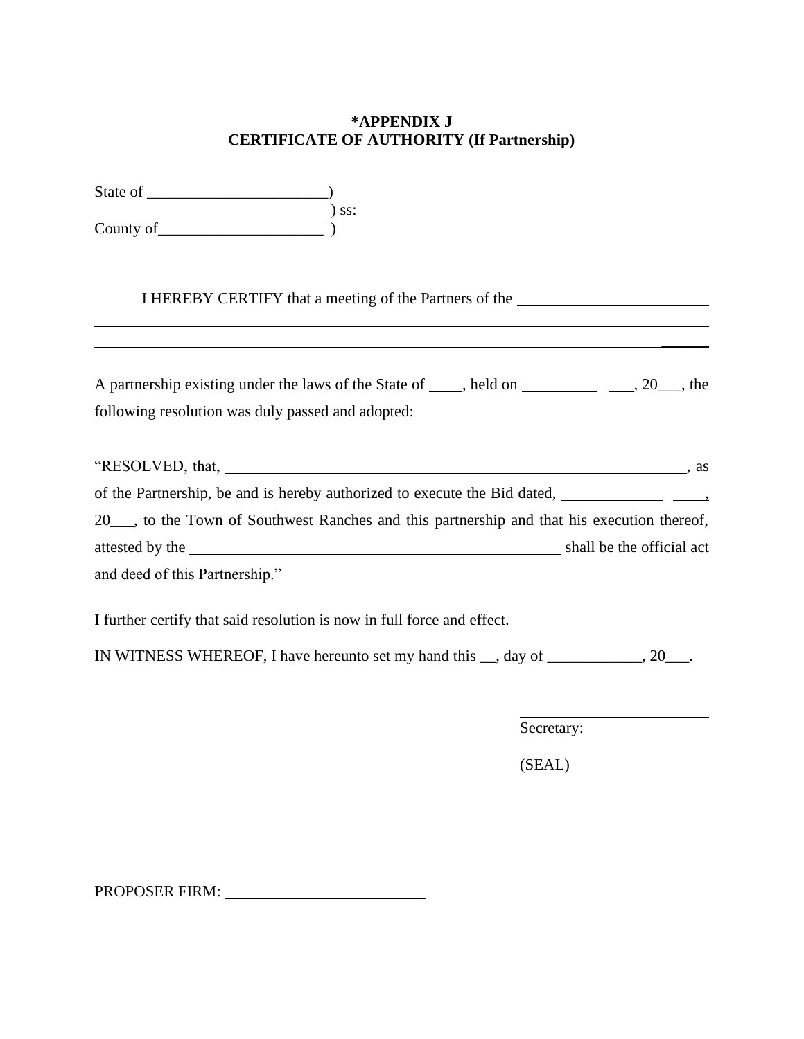# **\*APPENDIX J CERTIFICATE OF AUTHORITY (If Partnership)**

| State of  |       |
|-----------|-------|
|           | ) ss: |
| County of |       |

I HEREBY CERTIFY that a meeting of the Partners of the

| A partnership existing under the laws of the State of _____, held on _______________, 20___, the                                                                                                                              |  |
|-------------------------------------------------------------------------------------------------------------------------------------------------------------------------------------------------------------------------------|--|
| following resolution was duly passed and adopted:                                                                                                                                                                             |  |
|                                                                                                                                                                                                                               |  |
|                                                                                                                                                                                                                               |  |
|                                                                                                                                                                                                                               |  |
| 20 <sub>, to</sub> the Town of Southwest Ranches and this partnership and that his execution thereof,                                                                                                                         |  |
| attested by the states of the states of the states of the states of the states of the states of the states of the states of the states of the states of the states of the states of the states of the states of the states of |  |
| and deed of this Partnership."                                                                                                                                                                                                |  |
|                                                                                                                                                                                                                               |  |
| I further certify that said resolution is now in full force and effect.                                                                                                                                                       |  |

IN WITNESS WHEREOF, I have hereunto set my hand this \_\_, day of \_\_\_\_\_\_\_\_\_\_\_\_, 20\_\_\_.

Secretary:

(SEAL)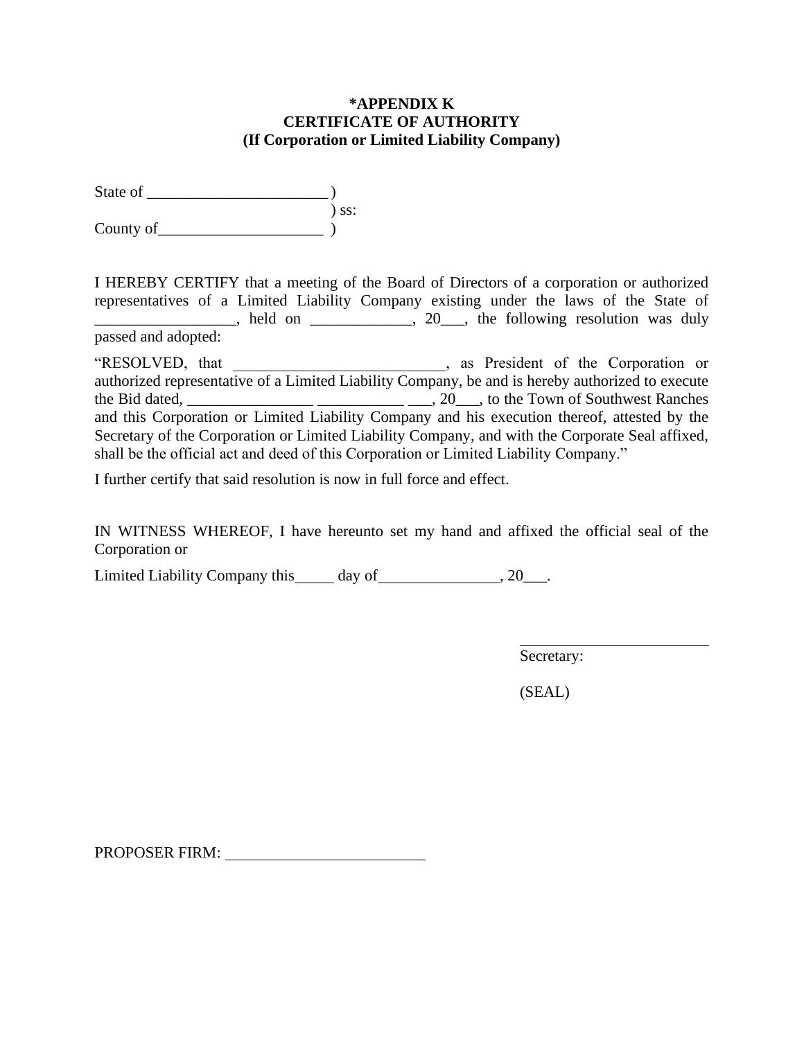### **\*APPENDIX K CERTIFICATE OF AUTHORITY (If Corporation or Limited Liability Company)**

State of  $\qquad \qquad$  $\sum$  ss: County of

I HEREBY CERTIFY that a meeting of the Board of Directors of a corporation or authorized representatives of a Limited Liability Company existing under the laws of the State of held on \_\_\_\_\_\_\_\_, 20\_\_, the following resolution was duly passed and adopted:

"RESOLVED, that  $\qquad \qquad$ , as President of the Corporation or authorized representative of a Limited Liability Company, be and is hereby authorized to execute the Bid dated, \_\_\_\_\_\_\_\_\_\_\_\_\_\_\_\_ \_\_\_\_\_\_\_\_\_\_\_ \_\_\_, 20\_\_\_, to the Town of Southwest Ranches and this Corporation or Limited Liability Company and his execution thereof, attested by the Secretary of the Corporation or Limited Liability Company, and with the Corporate Seal affixed, shall be the official act and deed of this Corporation or Limited Liability Company."

I further certify that said resolution is now in full force and effect.

IN WITNESS WHEREOF, I have hereunto set my hand and affixed the official seal of the Corporation or

Limited Liability Company this day of 5. 20\_\_\_\_.

Secretary:

(SEAL)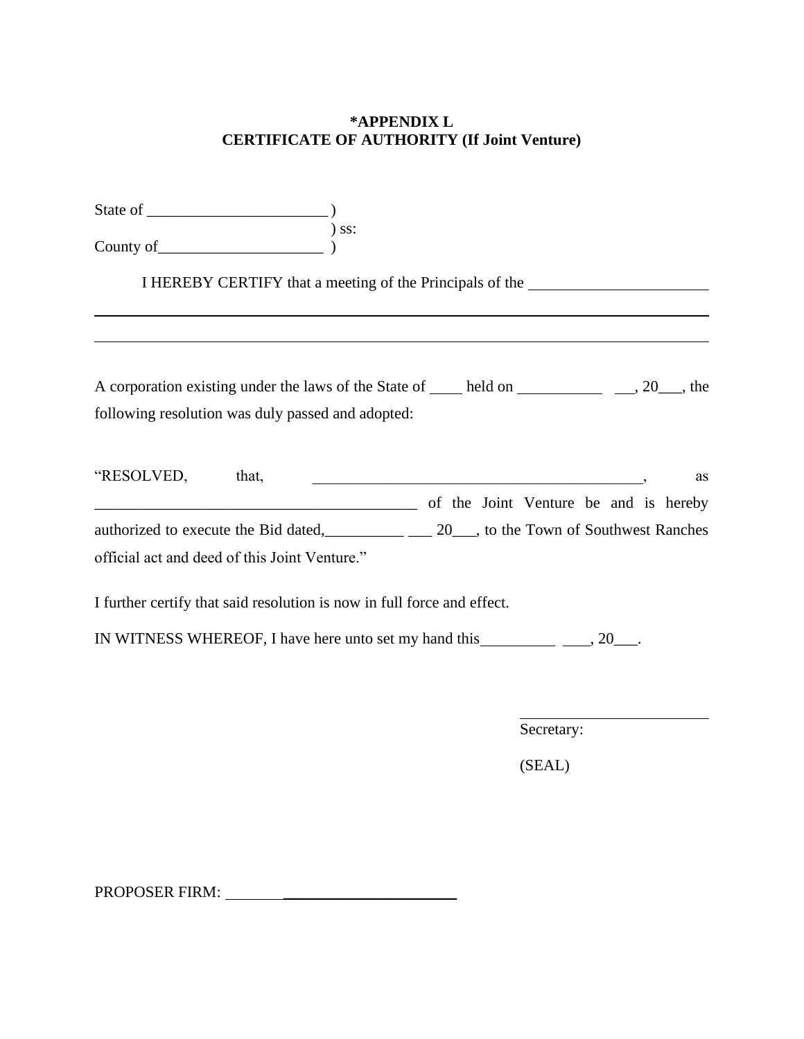# **\*APPENDIX L CERTIFICATE OF AUTHORITY (If Joint Venture)**

| County of $\overline{\hspace{1cm}}$ ss:                                                                                                                      |
|--------------------------------------------------------------------------------------------------------------------------------------------------------------|
| I HEREBY CERTIFY that a meeting of the Principals of the _______________________                                                                             |
| A corporation existing under the laws of the State of _____ held on ___________________ ___, 20___, the<br>following resolution was duly passed and adopted: |
| "RESOLVED, that,<br><u> 2008 - Jan Barnett, fransk politiker (d. 1982)</u><br>as<br>of the Joint Venture be and is hereby                                    |
| authorized to execute the Bid dated, 20, to the Town of Southwest Ranches<br>official act and deed of this Joint Venture."                                   |
| I further certify that said resolution is now in full force and effect.                                                                                      |
|                                                                                                                                                              |
|                                                                                                                                                              |
| Secretary:                                                                                                                                                   |

(SEAL)

PROPOSER FIRM: \_\_\_\_\_\_\_\_\_\_\_\_\_\_\_\_\_\_\_\_\_\_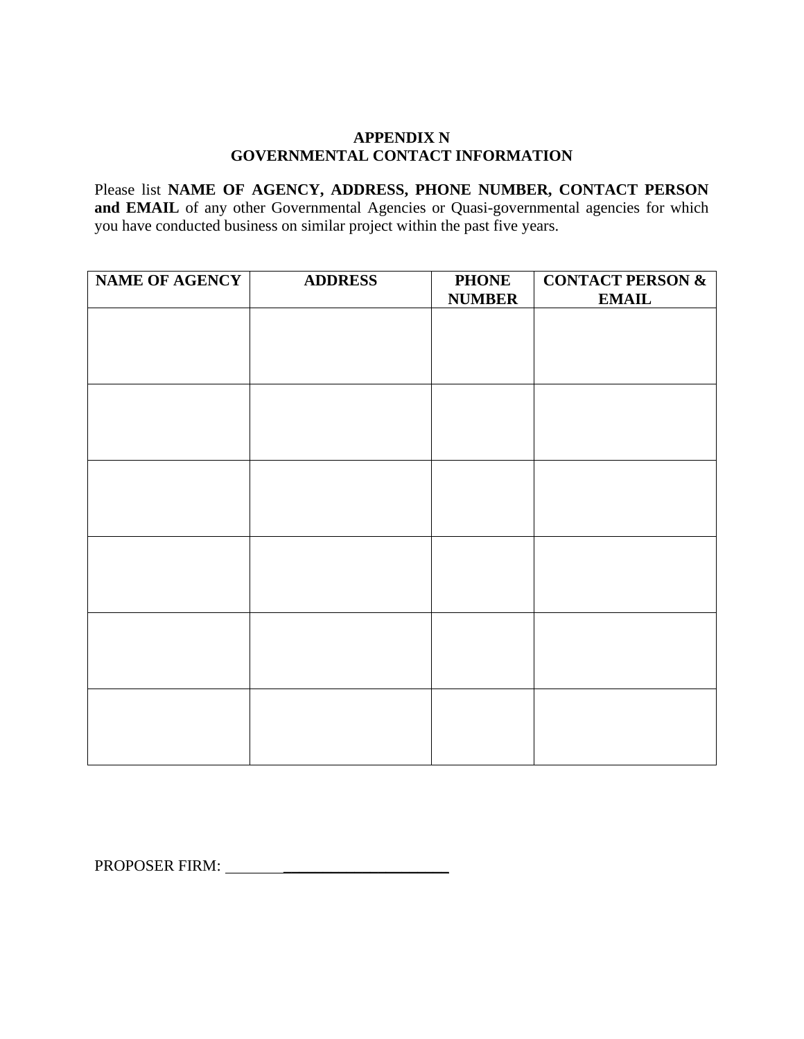### **APPENDIX N GOVERNMENTAL CONTACT INFORMATION**

Please list **NAME OF AGENCY, ADDRESS, PHONE NUMBER, CONTACT PERSON**  and EMAIL of any other Governmental Agencies or Quasi-governmental agencies for which you have conducted business on similar project within the past five years.

| <b>NAME OF AGENCY</b> | <b>ADDRESS</b> | <b>PHONE</b>  | <b>CONTACT PERSON &amp;</b> |
|-----------------------|----------------|---------------|-----------------------------|
|                       |                | <b>NUMBER</b> | <b>EMAIL</b>                |
|                       |                |               |                             |
|                       |                |               |                             |
|                       |                |               |                             |
|                       |                |               |                             |
|                       |                |               |                             |
|                       |                |               |                             |
|                       |                |               |                             |
|                       |                |               |                             |
|                       |                |               |                             |
|                       |                |               |                             |
|                       |                |               |                             |
|                       |                |               |                             |
|                       |                |               |                             |
|                       |                |               |                             |
|                       |                |               |                             |
|                       |                |               |                             |
|                       |                |               |                             |
|                       |                |               |                             |
|                       |                |               |                             |
|                       |                |               |                             |
|                       |                |               |                             |
|                       |                |               |                             |
|                       |                |               |                             |
|                       |                |               |                             |

PROPOSER FIRM: \_\_\_\_\_\_\_\_\_\_\_\_\_\_\_\_\_\_\_\_\_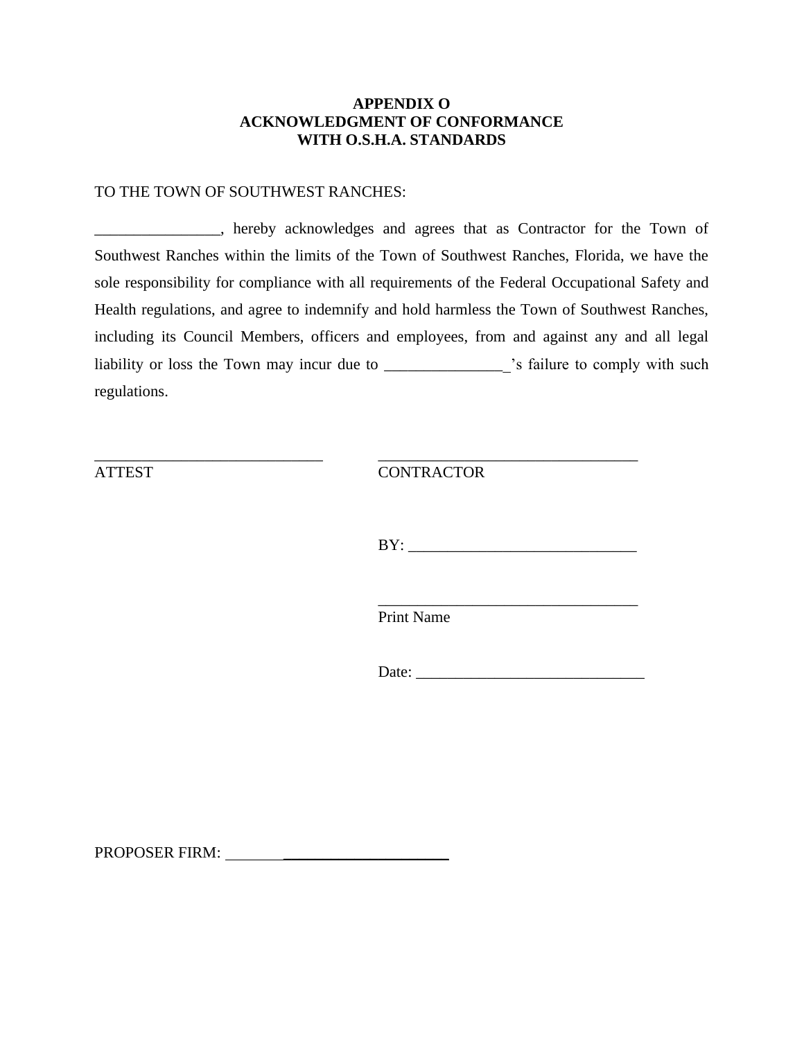### **APPENDIX O ACKNOWLEDGMENT OF CONFORMANCE WITH O.S.H.A. STANDARDS**

#### TO THE TOWN OF SOUTHWEST RANCHES:

\_\_\_\_\_\_\_\_\_\_\_\_\_\_\_\_, hereby acknowledges and agrees that as Contractor for the Town of Southwest Ranches within the limits of the Town of Southwest Ranches, Florida, we have the sole responsibility for compliance with all requirements of the Federal Occupational Safety and Health regulations, and agree to indemnify and hold harmless the Town of Southwest Ranches, including its Council Members, officers and employees, from and against any and all legal liability or loss the Town may incur due to \_\_\_\_\_\_\_\_\_\_\_\_\_\_\_ 's failure to comply with such regulations.

\_\_\_\_\_\_\_\_\_\_\_\_\_\_\_\_\_\_\_\_\_\_\_\_\_\_\_\_\_ \_\_\_\_\_\_\_\_\_\_\_\_\_\_\_\_\_\_\_\_\_\_\_\_\_\_\_\_\_\_\_\_\_

ATTEST CONTRACTOR

 $BY:$ 

\_\_\_\_\_\_\_\_\_\_\_\_\_\_\_\_\_\_\_\_\_\_\_\_\_\_\_\_\_\_\_\_\_

Print Name

Date: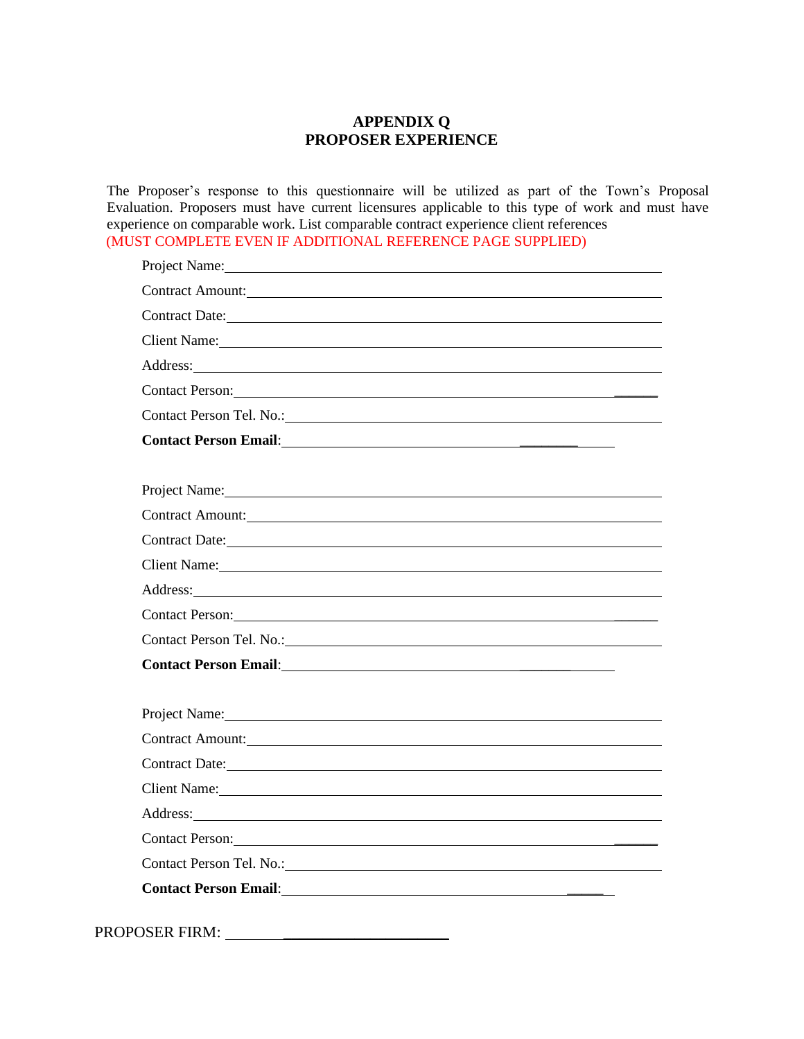## **APPENDIX Q PROPOSER EXPERIENCE**

The Proposer's response to this questionnaire will be utilized as part of the Town's Proposal Evaluation. Proposers must have current licensures applicable to this type of work and must have experience on comparable work. List comparable contract experience client references (MUST COMPLETE EVEN IF ADDITIONAL REFERENCE PAGE SUPPLIED)

| Project Name: 2008                                                                                                                                                                                                                   |
|--------------------------------------------------------------------------------------------------------------------------------------------------------------------------------------------------------------------------------------|
| Contract Amount:                                                                                                                                                                                                                     |
| Contract Date: Note:                                                                                                                                                                                                                 |
|                                                                                                                                                                                                                                      |
| Address: No. 2016. The Commission of the Commission of the Commission of the Commission of the Commission of the Commission of the Commission of the Commission of the Commission of the Commission of the Commission of the C       |
| Contact Person: New York Contact Person:                                                                                                                                                                                             |
|                                                                                                                                                                                                                                      |
|                                                                                                                                                                                                                                      |
|                                                                                                                                                                                                                                      |
| Project Name: Name and the service of the service of the service of the service of the service of the service of the service of the service of the service of the service of the service of the service of the service of the        |
| Contract Amount: <u>contract Amount:</u> contract Amount:                                                                                                                                                                            |
| Contract Date: 1000 million contract Date:                                                                                                                                                                                           |
| Client Name: 2008. [1] All The Manual Client Name: 2008. [2] All The Manual Client Name: 2008. [2] All The Manual Client Name: 2008. [2] All The Manual Client Name: 2008. [2] All The Manual Client Name: 2008. [2] All The M       |
|                                                                                                                                                                                                                                      |
|                                                                                                                                                                                                                                      |
|                                                                                                                                                                                                                                      |
| <b>Contact Person Email:</b> <u>Contact Person Email:</u>                                                                                                                                                                            |
|                                                                                                                                                                                                                                      |
| Project Name: 1000 million and the contract of the contract of the contract of the contract of the contract of the contract of the contract of the contract of the contract of the contract of the contract of the contract of       |
| Contract Amount:                                                                                                                                                                                                                     |
|                                                                                                                                                                                                                                      |
| Client Name: Name and the second state of the second state of the second state of the second state of the second state of the second state of the second state of the second state of the second state of the second state of        |
| Address: Note that the contract of the contract of the contract of the contract of the contract of the contract of the contract of the contract of the contract of the contract of the contract of the contract of the contrac       |
| Contact Person: New York Contact Person:                                                                                                                                                                                             |
|                                                                                                                                                                                                                                      |
| Contact Person Email: <u>contact of the set of the set of the set of the set of the set of the set of the set of the set of the set of the set of the set of the set of the set of the set of the set of the set of the set of t</u> |
|                                                                                                                                                                                                                                      |

PROPOSER FIRM: \_\_\_\_\_\_\_\_\_\_\_\_\_\_\_\_\_\_\_\_\_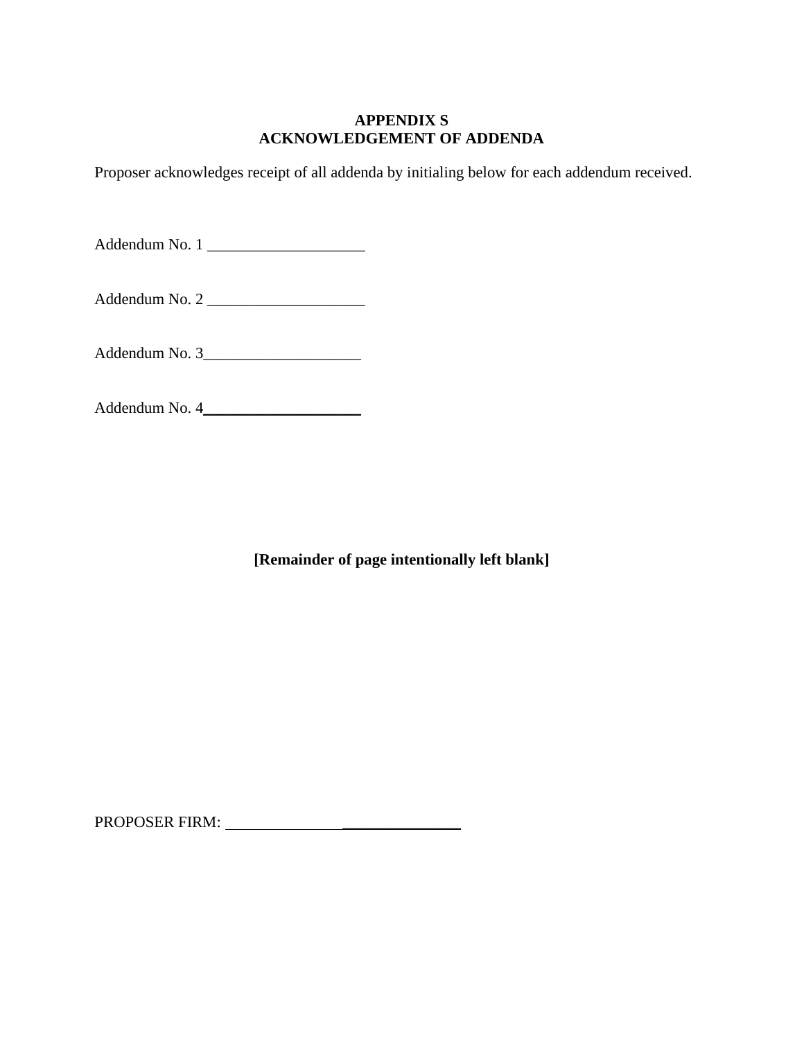### **APPENDIX S ACKNOWLEDGEMENT OF ADDENDA**

Proposer acknowledges receipt of all addenda by initialing below for each addendum received.

Addendum No. 1

Addendum No. 2

Addendum No. 3\_\_\_\_\_\_\_\_\_\_\_\_\_\_\_\_\_\_\_\_

Addendum No. 4\_\_\_\_\_\_\_\_\_\_\_\_\_\_\_\_\_\_\_\_

**[Remainder of page intentionally left blank]**

PROPOSER FIRM: \_\_\_\_\_\_\_\_\_\_\_\_\_\_\_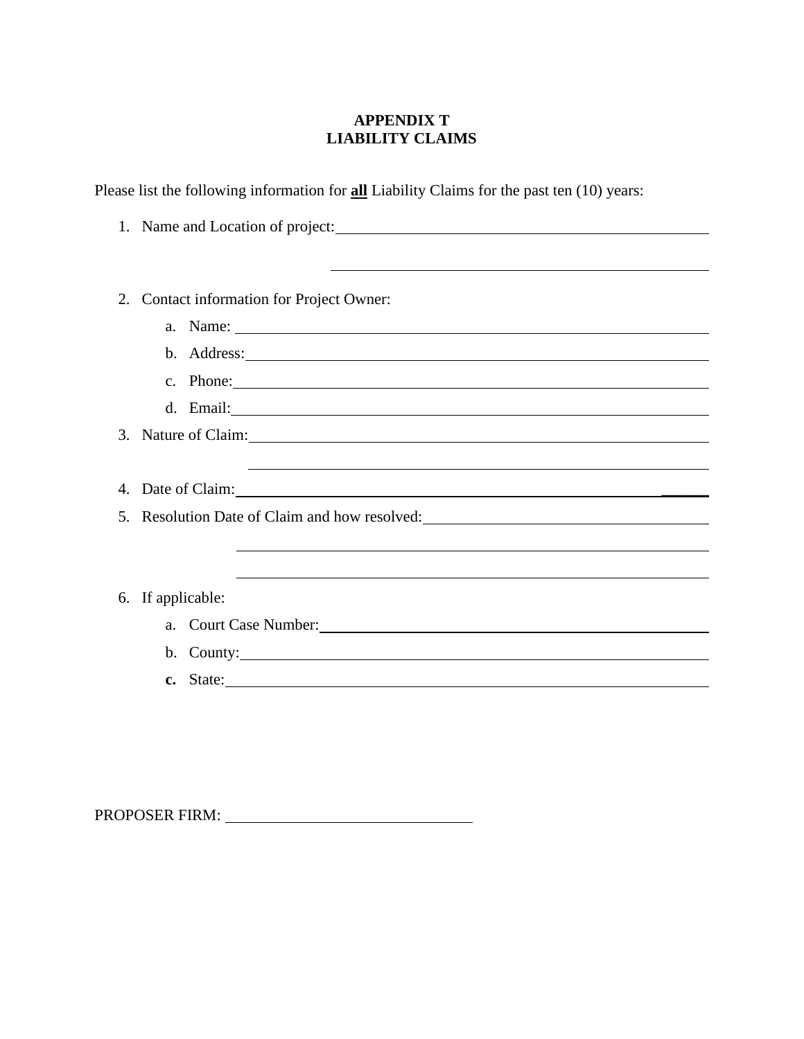# **APPENDIX T LIABILITY CLAIMS**

Please list the following information for **all** Liability Claims for the past ten (10) years:

|    | 1. Name and Location of project:                                                                                                                                                                                               |
|----|--------------------------------------------------------------------------------------------------------------------------------------------------------------------------------------------------------------------------------|
|    |                                                                                                                                                                                                                                |
|    |                                                                                                                                                                                                                                |
|    |                                                                                                                                                                                                                                |
| 2. | Contact information for Project Owner:                                                                                                                                                                                         |
|    | a. Name:                                                                                                                                                                                                                       |
|    |                                                                                                                                                                                                                                |
|    | c. Phone:                                                                                                                                                                                                                      |
|    |                                                                                                                                                                                                                                |
|    | 3. Nature of Claim: 1988. The Claim of Claim 2008. The Claim of Claim 2008. The Claim 2008. The Claim 2008. The Claim 2008. The Claim 2008. The Claim 2008. The Claim 2008. The Claim 2008. The Claim 2008. The Claim 2008. Th |
|    |                                                                                                                                                                                                                                |
|    | ,我们也不会有什么。""我们的人,我们也不会有什么?""我们的人,我们也不会有什么?""我们的人,我们也不会有什么?""我们的人,我们也不会有什么?""我们的人                                                                                                                                               |
|    |                                                                                                                                                                                                                                |
|    | 5. Resolution Date of Claim and how resolved: __________________________________                                                                                                                                               |
|    |                                                                                                                                                                                                                                |
|    |                                                                                                                                                                                                                                |
|    | 6. If applicable:                                                                                                                                                                                                              |
|    |                                                                                                                                                                                                                                |
|    |                                                                                                                                                                                                                                |
|    |                                                                                                                                                                                                                                |
|    | c. State:                                                                                                                                                                                                                      |
|    |                                                                                                                                                                                                                                |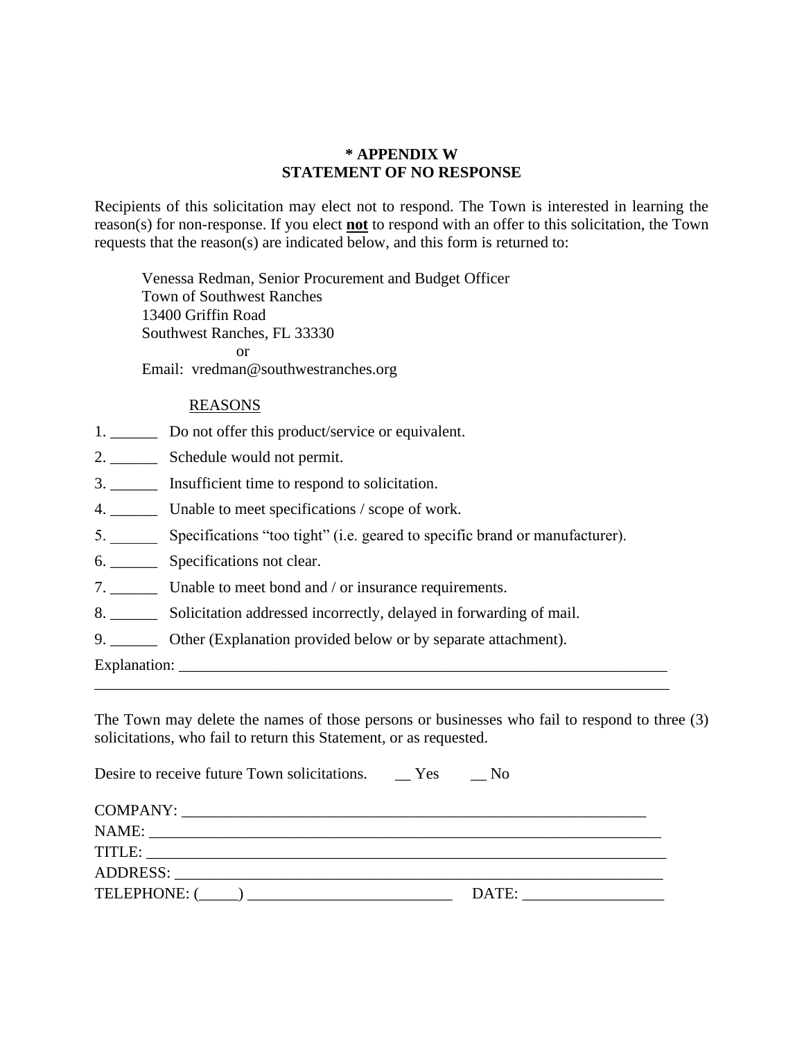### **\* APPENDIX W STATEMENT OF NO RESPONSE**

Recipients of this solicitation may elect not to respond. The Town is interested in learning the reason(s) for non-response. If you elect **not** to respond with an offer to this solicitation, the Town requests that the reason(s) are indicated below, and this form is returned to:

Venessa Redman, Senior Procurement and Budget Officer Town of Southwest Ranches 13400 Griffin Road Southwest Ranches, FL 33330 or Email: vredman@southwestranches.org

### REASONS

- 1. \_\_\_\_\_\_\_\_ Do not offer this product/service or equivalent.
- 2. \_\_\_\_\_\_ Schedule would not permit.
- 3. \_\_\_\_\_\_ Insufficient time to respond to solicitation.
- 4. \_\_\_\_\_\_ Unable to meet specifications / scope of work.
- 5. \_\_\_\_\_\_ Specifications "too tight" (i.e. geared to specific brand or manufacturer).
- 6. \_\_\_\_\_\_ Specifications not clear.
- 7. \_\_\_\_\_\_ Unable to meet bond and / or insurance requirements.
- 8. \_\_\_\_\_\_ Solicitation addressed incorrectly, delayed in forwarding of mail.
- 9. \_\_\_\_\_\_\_\_ Other (Explanation provided below or by separate attachment).

Explanation: \_\_\_\_\_\_\_\_\_\_\_\_\_\_\_\_\_\_\_\_\_\_\_\_\_\_\_\_\_\_\_\_\_\_\_\_\_\_\_\_\_\_\_\_\_\_\_\_\_\_\_\_\_\_\_\_\_\_\_\_\_\_

The Town may delete the names of those persons or businesses who fail to respond to three (3) solicitations, who fail to return this Statement, or as requested.

\_\_\_\_\_\_\_\_\_\_\_\_\_\_\_\_\_\_\_\_\_\_\_\_\_\_\_\_\_\_\_\_\_\_\_\_\_\_\_\_\_\_\_\_\_\_\_\_\_\_\_\_\_\_\_\_\_\_\_\_\_\_\_\_\_\_\_\_\_\_\_\_\_

| Desire to receive future Town solicitations. Yes No |       |
|-----------------------------------------------------|-------|
|                                                     |       |
|                                                     |       |
|                                                     |       |
|                                                     |       |
|                                                     | DATE: |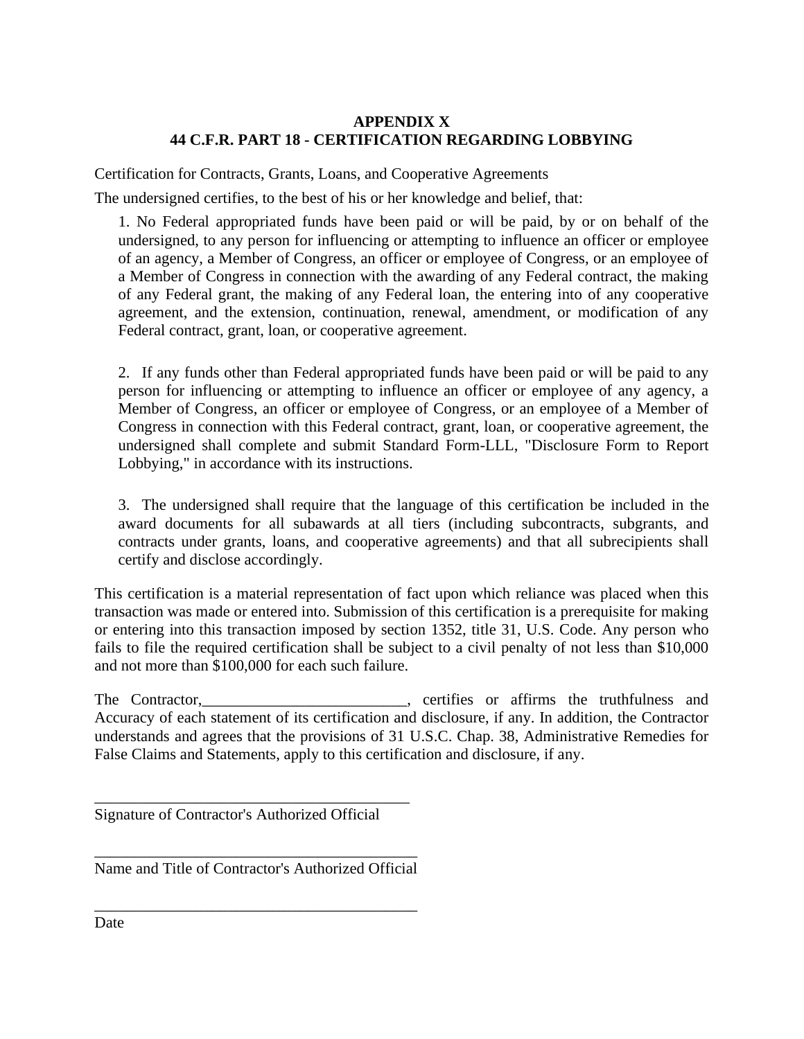## **APPENDIX X 44 C.F.R. PART 18 - CERTIFICATION REGARDING LOBBYING**

Certification for Contracts, Grants, Loans, and Cooperative Agreements

The undersigned certifies, to the best of his or her knowledge and belief, that:

1. No Federal appropriated funds have been paid or will be paid, by or on behalf of the undersigned, to any person for influencing or attempting to influence an officer or employee of an agency, a Member of Congress, an officer or employee of Congress, or an employee of a Member of Congress in connection with the awarding of any Federal contract, the making of any Federal grant, the making of any Federal loan, the entering into of any cooperative agreement, and the extension, continuation, renewal, amendment, or modification of any Federal contract, grant, loan, or cooperative agreement.

2. If any funds other than Federal appropriated funds have been paid or will be paid to any person for influencing or attempting to influence an officer or employee of any agency, a Member of Congress, an officer or employee of Congress, or an employee of a Member of Congress in connection with this Federal contract, grant, loan, or cooperative agreement, the undersigned shall complete and submit Standard Form-LLL, "Disclosure Form to Report Lobbying," in accordance with its instructions.

3. The undersigned shall require that the language of this certification be included in the award documents for all subawards at all tiers (including subcontracts, subgrants, and contracts under grants, loans, and cooperative agreements) and that all subrecipients shall certify and disclose accordingly.

This certification is a material representation of fact upon which reliance was placed when this transaction was made or entered into. Submission of this certification is a prerequisite for making or entering into this transaction imposed by section 1352, title 31, U.S. Code. Any person who fails to file the required certification shall be subject to a civil penalty of not less than \$10,000 and not more than \$100,000 for each such failure.

The Contractor, certifies or affirms the truthfulness and Accuracy of each statement of its certification and disclosure, if any. In addition, the Contractor understands and agrees that the provisions of 31 U.S.C. Chap. 38, Administrative Remedies for False Claims and Statements, apply to this certification and disclosure, if any.

Signature of Contractor's Authorized Official

\_\_\_\_\_\_\_\_\_\_\_\_\_\_\_\_\_\_\_\_\_\_\_\_\_\_\_\_\_\_\_\_\_\_\_\_\_\_\_\_

\_\_\_\_\_\_\_\_\_\_\_\_\_\_\_\_\_\_\_\_\_\_\_\_\_\_\_\_\_\_\_\_\_\_\_\_\_\_\_\_\_ Name and Title of Contractor's Authorized Official

\_\_\_\_\_\_\_\_\_\_\_\_\_\_\_\_\_\_\_\_\_\_\_\_\_\_\_\_\_\_\_\_\_\_\_\_\_\_\_\_\_

Date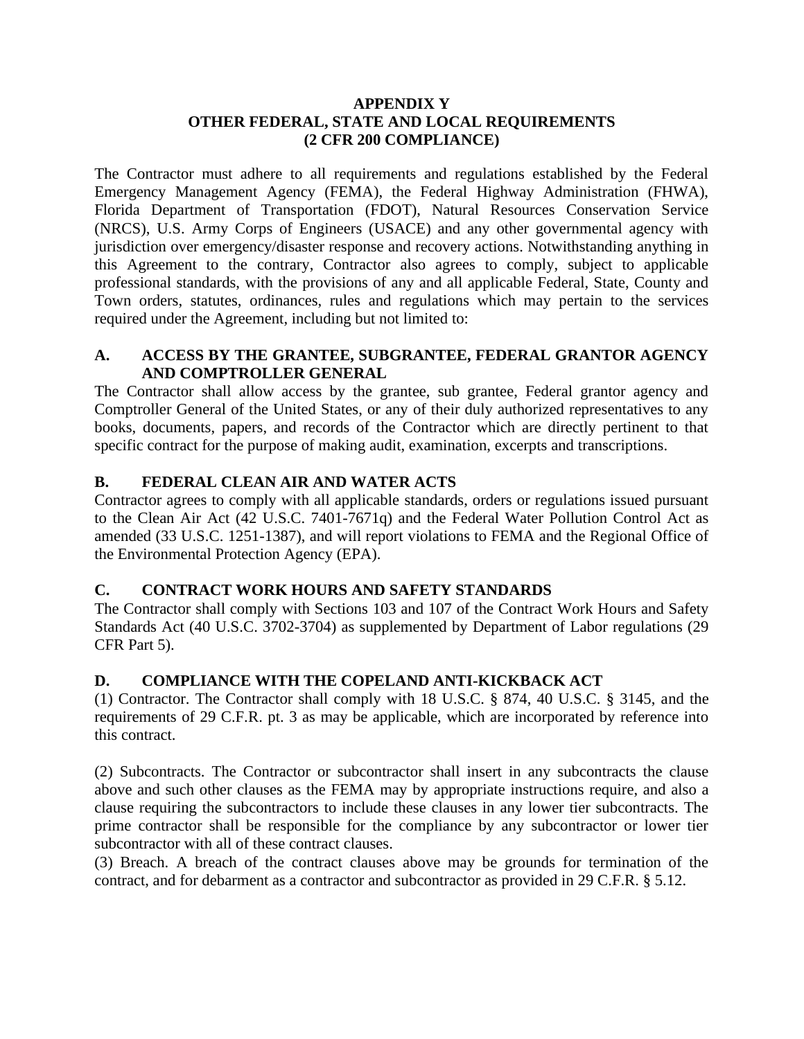## **APPENDIX Y OTHER FEDERAL, STATE AND LOCAL REQUIREMENTS (2 CFR 200 COMPLIANCE)**

The Contractor must adhere to all requirements and regulations established by the Federal Emergency Management Agency (FEMA), the Federal Highway Administration (FHWA), Florida Department of Transportation (FDOT), Natural Resources Conservation Service (NRCS), U.S. Army Corps of Engineers (USACE) and any other governmental agency with jurisdiction over emergency/disaster response and recovery actions. Notwithstanding anything in this Agreement to the contrary, Contractor also agrees to comply, subject to applicable professional standards, with the provisions of any and all applicable Federal, State, County and Town orders, statutes, ordinances, rules and regulations which may pertain to the services required under the Agreement, including but not limited to:

### **A. ACCESS BY THE GRANTEE, SUBGRANTEE, FEDERAL GRANTOR AGENCY AND COMPTROLLER GENERAL**

The Contractor shall allow access by the grantee, sub grantee, Federal grantor agency and Comptroller General of the United States, or any of their duly authorized representatives to any books, documents, papers, and records of the Contractor which are directly pertinent to that specific contract for the purpose of making audit, examination, excerpts and transcriptions.

# **B. FEDERAL CLEAN AIR AND WATER ACTS**

Contractor agrees to comply with all applicable standards, orders or regulations issued pursuant to the Clean Air Act (42 U.S.C. 7401-7671q) and the Federal Water Pollution Control Act as amended (33 U.S.C. 1251-1387), and will report violations to FEMA and the Regional Office of the Environmental Protection Agency (EPA).

## **C. CONTRACT WORK HOURS AND SAFETY STANDARDS**

The Contractor shall comply with Sections 103 and 107 of the Contract Work Hours and Safety Standards Act (40 U.S.C. 3702-3704) as supplemented by Department of Labor regulations (29 CFR Part 5).

## **D. COMPLIANCE WITH THE COPELAND ANTI-KICKBACK ACT**

(1) Contractor. The Contractor shall comply with 18 U.S.C. § 874, 40 U.S.C. § 3145, and the requirements of 29 C.F.R. pt. 3 as may be applicable, which are incorporated by reference into this contract.

(2) Subcontracts. The Contractor or subcontractor shall insert in any subcontracts the clause above and such other clauses as the FEMA may by appropriate instructions require, and also a clause requiring the subcontractors to include these clauses in any lower tier subcontracts. The prime contractor shall be responsible for the compliance by any subcontractor or lower tier subcontractor with all of these contract clauses.

(3) Breach. A breach of the contract clauses above may be grounds for termination of the contract, and for debarment as a contractor and subcontractor as provided in 29 C.F.R. § 5.12.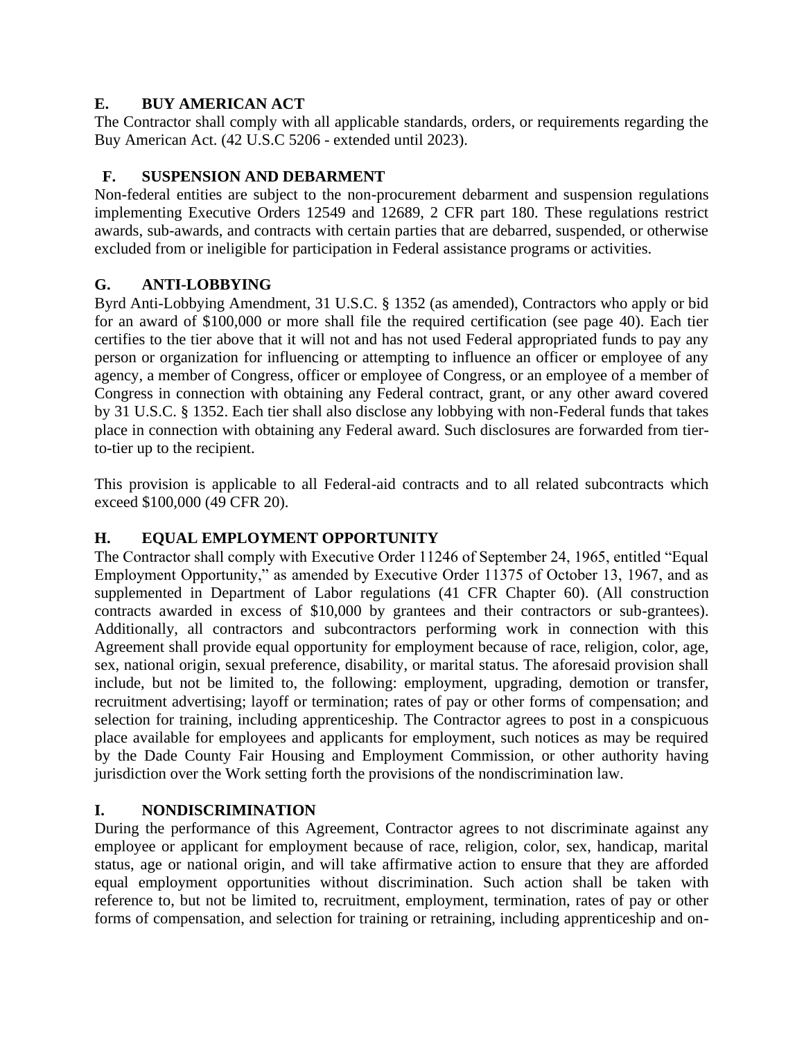# **E. BUY AMERICAN ACT**

The Contractor shall comply with all applicable standards, orders, or requirements regarding the Buy American Act. (42 U.S.C 5206 - extended until 2023).

# **F. SUSPENSION AND DEBARMENT**

Non-federal entities are subject to the non-procurement debarment and suspension regulations implementing Executive Orders 12549 and 12689, 2 CFR part 180. These regulations restrict awards, sub-awards, and contracts with certain parties that are debarred, suspended, or otherwise excluded from or ineligible for participation in Federal assistance programs or activities.

# **G. ANTI-LOBBYING**

Byrd Anti-Lobbying Amendment, 31 U.S.C. § 1352 (as amended), Contractors who apply or bid for an award of \$100,000 or more shall file the required certification (see page 40). Each tier certifies to the tier above that it will not and has not used Federal appropriated funds to pay any person or organization for influencing or attempting to influence an officer or employee of any agency, a member of Congress, officer or employee of Congress, or an employee of a member of Congress in connection with obtaining any Federal contract, grant, or any other award covered by 31 U.S.C. § 1352. Each tier shall also disclose any lobbying with non-Federal funds that takes place in connection with obtaining any Federal award. Such disclosures are forwarded from tierto-tier up to the recipient.

This provision is applicable to all Federal-aid contracts and to all related subcontracts which exceed \$100,000 (49 CFR 20).

# **H. EQUAL EMPLOYMENT OPPORTUNITY**

The Contractor shall comply with Executive Order 11246 of September 24, 1965, entitled "Equal Employment Opportunity," as amended by Executive Order 11375 of October 13, 1967, and as supplemented in Department of Labor regulations (41 CFR Chapter 60). (All construction contracts awarded in excess of \$10,000 by grantees and their contractors or sub-grantees). Additionally, all contractors and subcontractors performing work in connection with this Agreement shall provide equal opportunity for employment because of race, religion, color, age, sex, national origin, sexual preference, disability, or marital status. The aforesaid provision shall include, but not be limited to, the following: employment, upgrading, demotion or transfer, recruitment advertising; layoff or termination; rates of pay or other forms of compensation; and selection for training, including apprenticeship. The Contractor agrees to post in a conspicuous place available for employees and applicants for employment, such notices as may be required by the Dade County Fair Housing and Employment Commission, or other authority having jurisdiction over the Work setting forth the provisions of the nondiscrimination law.

# **I. NONDISCRIMINATION**

During the performance of this Agreement, Contractor agrees to not discriminate against any employee or applicant for employment because of race, religion, color, sex, handicap, marital status, age or national origin, and will take affirmative action to ensure that they are afforded equal employment opportunities without discrimination. Such action shall be taken with reference to, but not be limited to, recruitment, employment, termination, rates of pay or other forms of compensation, and selection for training or retraining, including apprenticeship and on-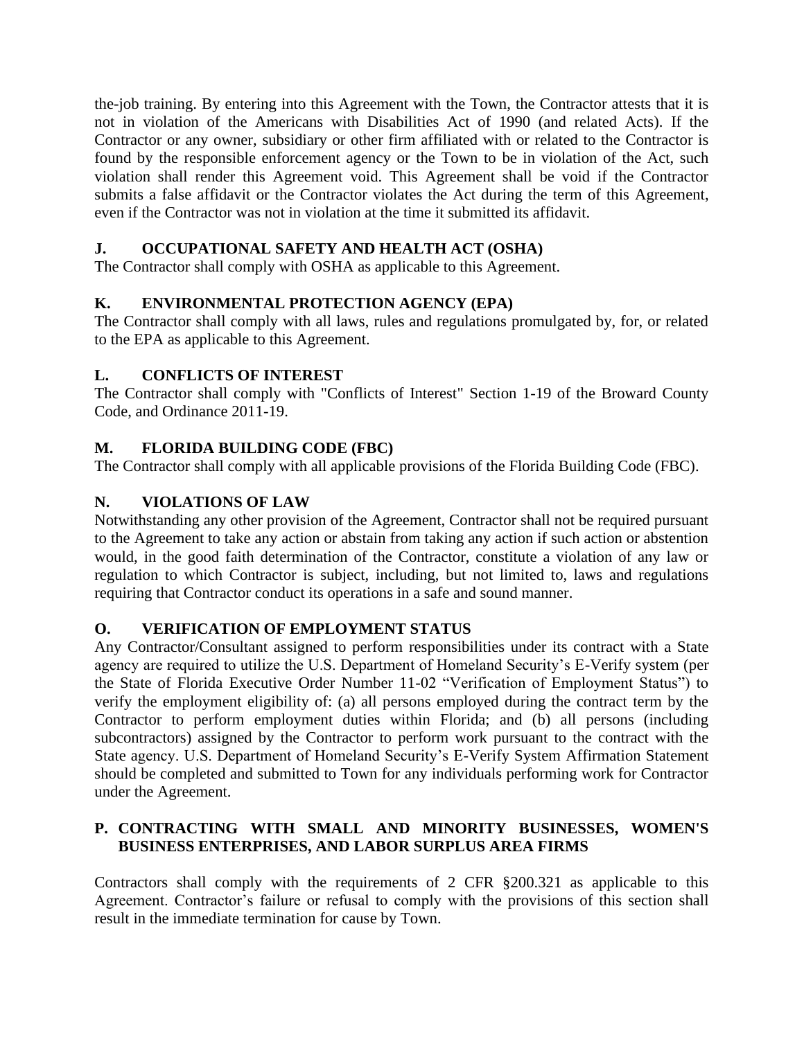the-job training. By entering into this Agreement with the Town, the Contractor attests that it is not in violation of the Americans with Disabilities Act of 1990 (and related Acts). If the Contractor or any owner, subsidiary or other firm affiliated with or related to the Contractor is found by the responsible enforcement agency or the Town to be in violation of the Act, such violation shall render this Agreement void. This Agreement shall be void if the Contractor submits a false affidavit or the Contractor violates the Act during the term of this Agreement, even if the Contractor was not in violation at the time it submitted its affidavit.

# **J. OCCUPATIONAL SAFETY AND HEALTH ACT (OSHA)**

The Contractor shall comply with OSHA as applicable to this Agreement.

# **K. ENVIRONMENTAL PROTECTION AGENCY (EPA)**

The Contractor shall comply with all laws, rules and regulations promulgated by, for, or related to the EPA as applicable to this Agreement.

## **L. CONFLICTS OF INTEREST**

The Contractor shall comply with "Conflicts of Interest" Section 1-19 of the Broward County Code, and Ordinance 2011-19.

# **M. FLORIDA BUILDING CODE (FBC)**

The Contractor shall comply with all applicable provisions of the Florida Building Code (FBC).

# **N. VIOLATIONS OF LAW**

Notwithstanding any other provision of the Agreement, Contractor shall not be required pursuant to the Agreement to take any action or abstain from taking any action if such action or abstention would, in the good faith determination of the Contractor, constitute a violation of any law or regulation to which Contractor is subject, including, but not limited to, laws and regulations requiring that Contractor conduct its operations in a safe and sound manner.

## **O. VERIFICATION OF EMPLOYMENT STATUS**

Any Contractor/Consultant assigned to perform responsibilities under its contract with a State agency are required to utilize the U.S. Department of Homeland Security's E-Verify system (per the State of Florida Executive Order Number 11-02 "Verification of Employment Status") to verify the employment eligibility of: (a) all persons employed during the contract term by the Contractor to perform employment duties within Florida; and (b) all persons (including subcontractors) assigned by the Contractor to perform work pursuant to the contract with the State agency. U.S. Department of Homeland Security's E-Verify System Affirmation Statement should be completed and submitted to Town for any individuals performing work for Contractor under the Agreement.

# **P. CONTRACTING WITH SMALL AND MINORITY BUSINESSES, WOMEN'S BUSINESS ENTERPRISES, AND LABOR SURPLUS AREA FIRMS**

Contractors shall comply with the requirements of 2 CFR §200.321 as applicable to this Agreement. Contractor's failure or refusal to comply with the provisions of this section shall result in the immediate termination for cause by Town.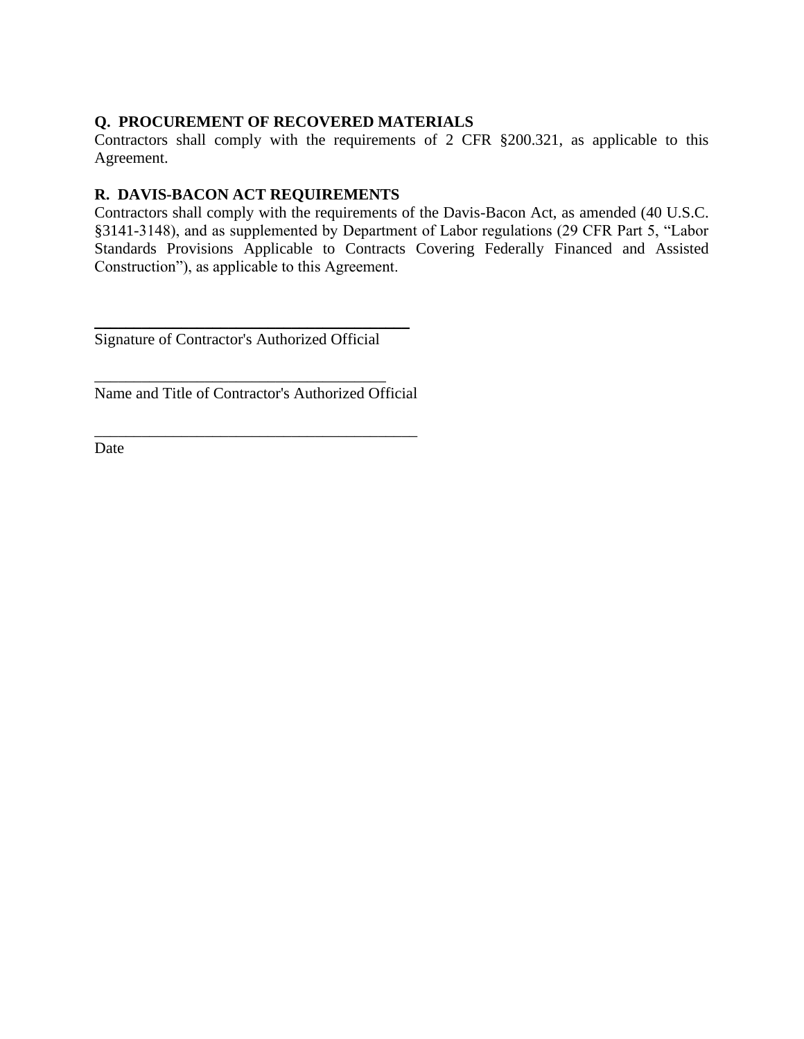## **Q. PROCUREMENT OF RECOVERED MATERIALS**

Contractors shall comply with the requirements of 2 CFR §200.321, as applicable to this Agreement.

## **R. DAVIS-BACON ACT REQUIREMENTS**

Contractors shall comply with the requirements of the Davis-Bacon Act, as amended (40 U.S.C. §3141-3148), and as supplemented by Department of Labor regulations (29 CFR Part 5, "Labor Standards Provisions Applicable to Contracts Covering Federally Financed and Assisted Construction"), as applicable to this Agreement.

Signature of Contractor's Authorized Official

\_\_\_\_\_\_\_\_\_\_\_\_\_\_\_\_\_\_\_\_\_\_\_\_\_\_\_\_\_\_\_\_\_\_\_\_\_

\_\_\_\_\_\_\_\_\_\_\_\_\_\_\_\_\_\_\_\_\_\_\_\_\_\_\_\_\_\_\_\_\_\_\_\_\_\_\_\_

Name and Title of Contractor's Authorized Official

\_\_\_\_\_\_\_\_\_\_\_\_\_\_\_\_\_\_\_\_\_\_\_\_\_\_\_\_\_\_\_\_\_\_\_\_\_\_\_\_\_

Date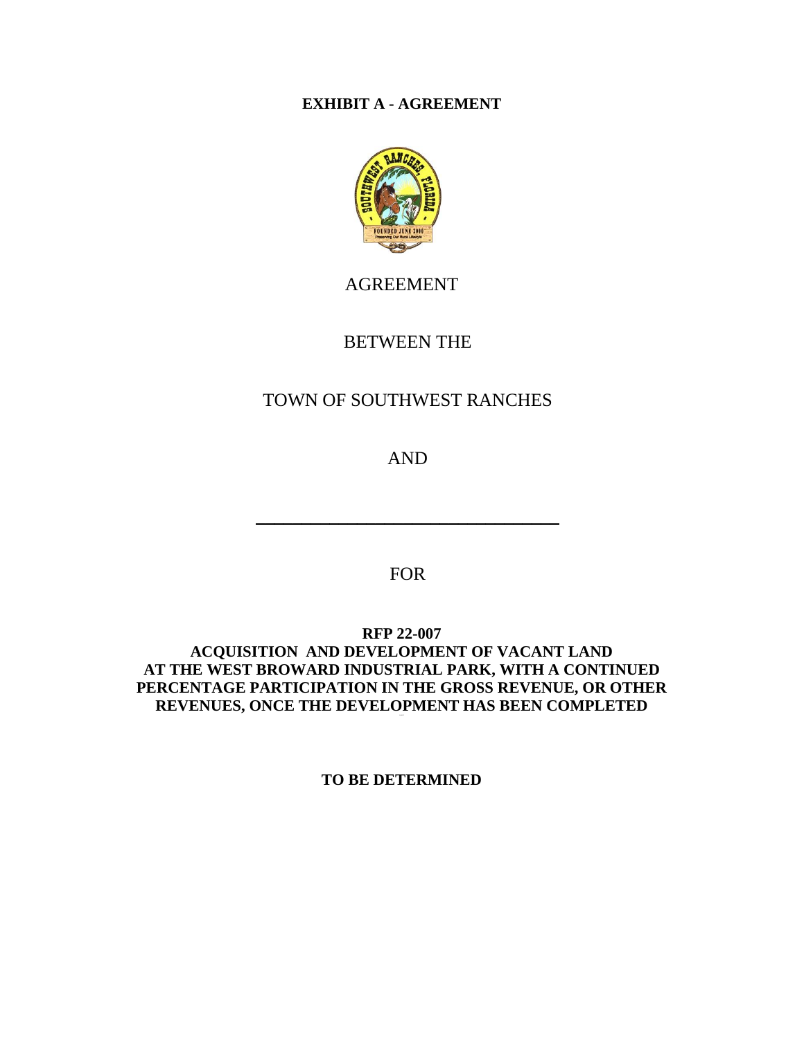# **EXHIBIT A - AGREEMENT**



# AGREEMENT

# BETWEEN THE

# TOWN OF SOUTHWEST RANCHES

AND

\_\_\_\_\_\_\_\_\_\_\_\_\_\_\_\_\_\_\_\_\_\_\_\_\_\_\_\_\_\_\_\_\_

FOR

**RFP 22-007** 

# **ACQUISITION AND DEVELOPMENT OF VACANT LAND AT THE WEST BROWARD INDUSTRIAL PARK, WITH A CONTINUED PERCENTAGE PARTICIPATION IN THE GROSS REVENUE, OR OTHER REVENUES, ONCE THE DEVELOPMENT HAS BEEN COMPLETED**

**TO BE DETERMINED**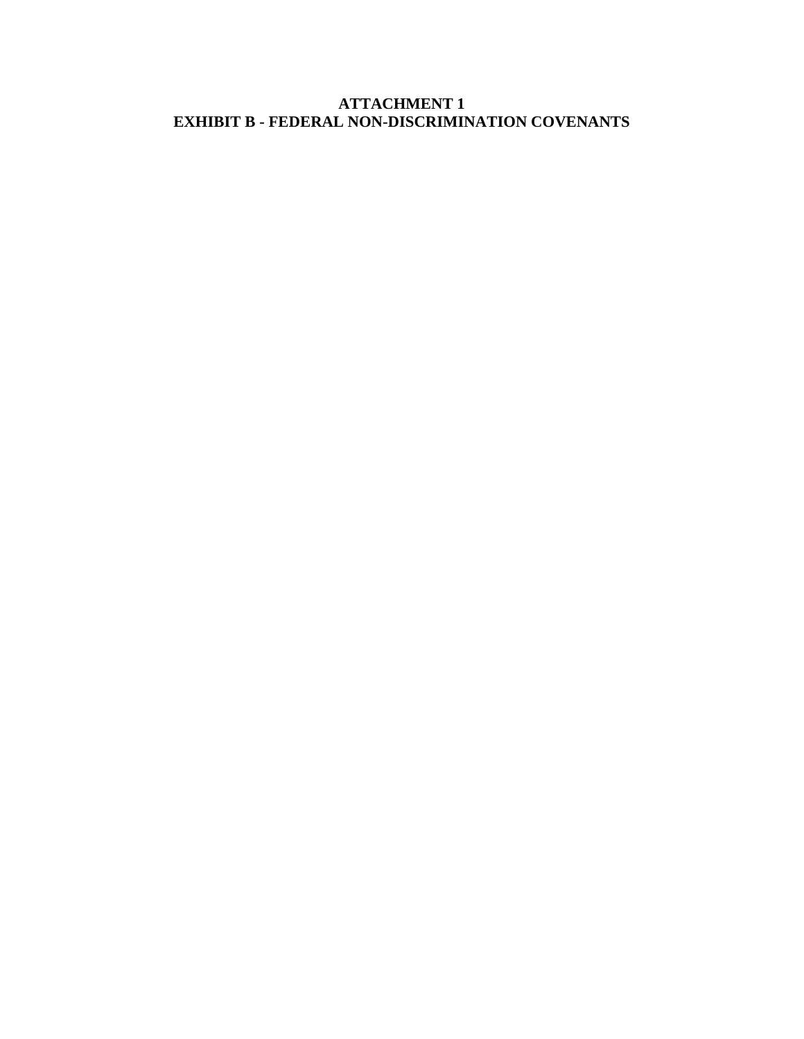# **ATTACHMENT 1 EXHIBIT B - FEDERAL NON-DISCRIMINATION COVENANTS**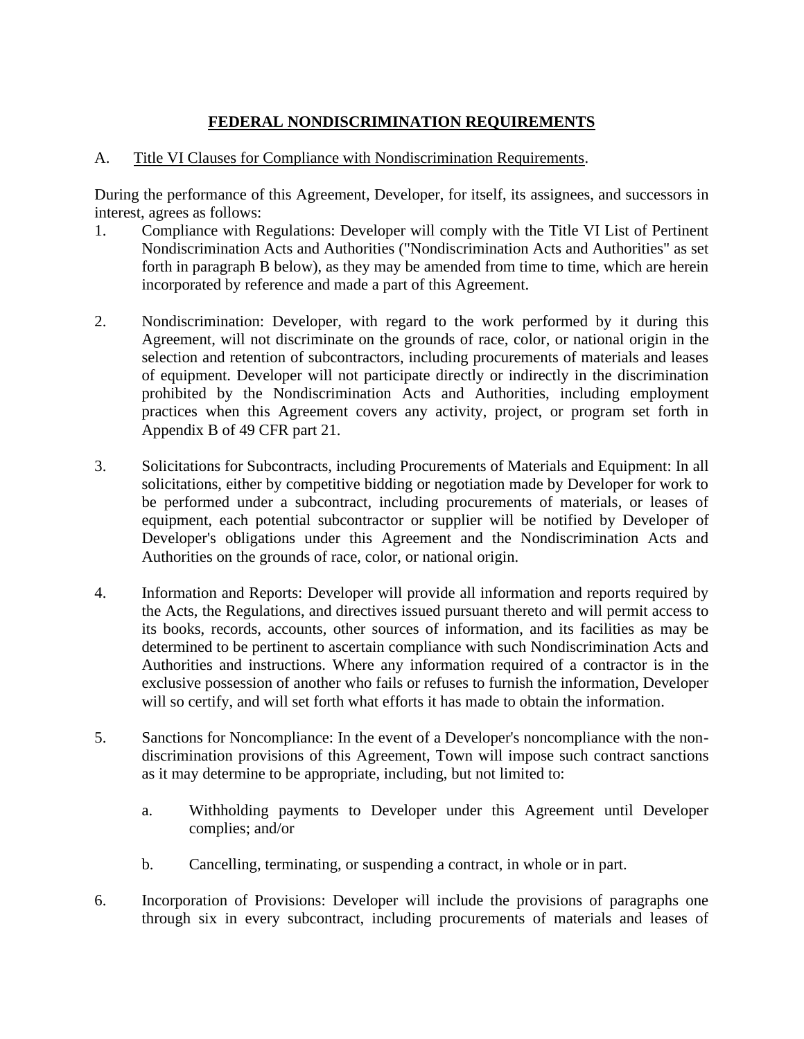# **FEDERAL NONDISCRIMINATION REQUIREMENTS**

## A. Title VI Clauses for Compliance with Nondiscrimination Requirements.

During the performance of this Agreement, Developer, for itself, its assignees, and successors in interest, agrees as follows:

- 1. Compliance with Regulations: Developer will comply with the Title VI List of Pertinent Nondiscrimination Acts and Authorities ("Nondiscrimination Acts and Authorities" as set forth in paragraph B below), as they may be amended from time to time, which are herein incorporated by reference and made a part of this Agreement.
- 2. Nondiscrimination: Developer, with regard to the work performed by it during this Agreement, will not discriminate on the grounds of race, color, or national origin in the selection and retention of subcontractors, including procurements of materials and leases of equipment. Developer will not participate directly or indirectly in the discrimination prohibited by the Nondiscrimination Acts and Authorities, including employment practices when this Agreement covers any activity, project, or program set forth in Appendix B of 49 CFR part 21.
- 3. Solicitations for Subcontracts, including Procurements of Materials and Equipment: In all solicitations, either by competitive bidding or negotiation made by Developer for work to be performed under a subcontract, including procurements of materials, or leases of equipment, each potential subcontractor or supplier will be notified by Developer of Developer's obligations under this Agreement and the Nondiscrimination Acts and Authorities on the grounds of race, color, or national origin.
- 4. Information and Reports: Developer will provide all information and reports required by the Acts, the Regulations, and directives issued pursuant thereto and will permit access to its books, records, accounts, other sources of information, and its facilities as may be determined to be pertinent to ascertain compliance with such Nondiscrimination Acts and Authorities and instructions. Where any information required of a contractor is in the exclusive possession of another who fails or refuses to furnish the information, Developer will so certify, and will set forth what efforts it has made to obtain the information.
- 5. Sanctions for Noncompliance: In the event of a Developer's noncompliance with the nondiscrimination provisions of this Agreement, Town will impose such contract sanctions as it may determine to be appropriate, including, but not limited to:
	- a. Withholding payments to Developer under this Agreement until Developer complies; and/or
	- b. Cancelling, terminating, or suspending a contract, in whole or in part.
- 6. Incorporation of Provisions: Developer will include the provisions of paragraphs one through six in every subcontract, including procurements of materials and leases of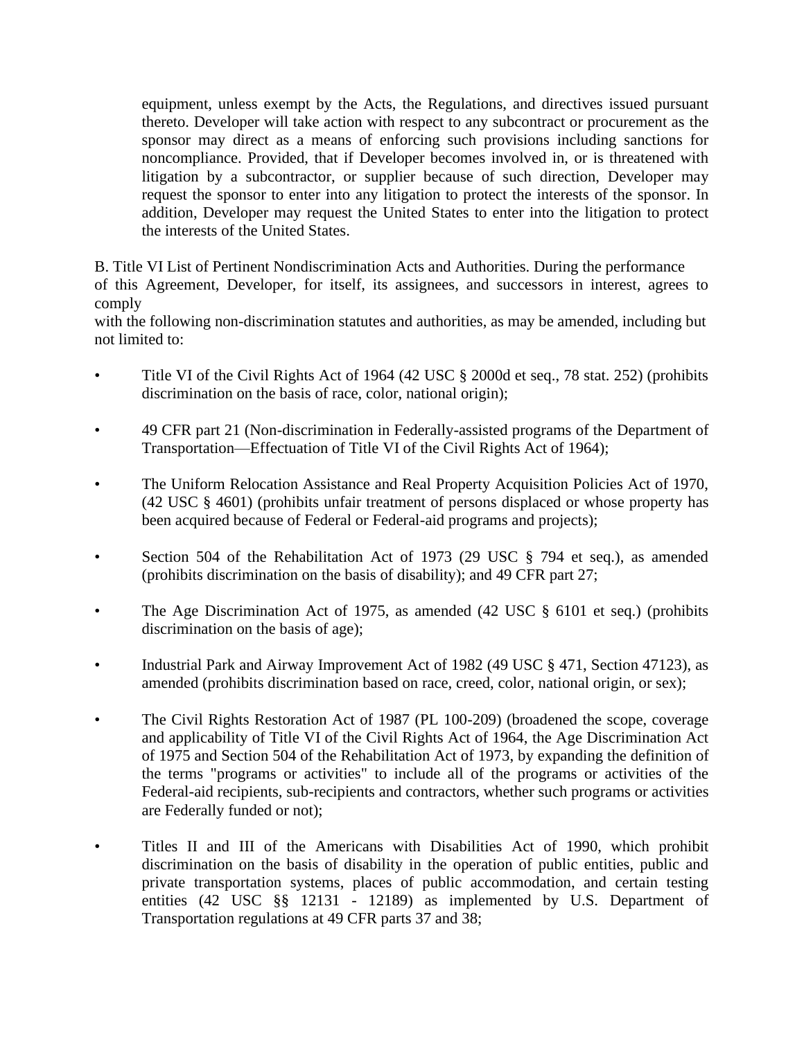equipment, unless exempt by the Acts, the Regulations, and directives issued pursuant thereto. Developer will take action with respect to any subcontract or procurement as the sponsor may direct as a means of enforcing such provisions including sanctions for noncompliance. Provided, that if Developer becomes involved in, or is threatened with litigation by a subcontractor, or supplier because of such direction, Developer may request the sponsor to enter into any litigation to protect the interests of the sponsor. In addition, Developer may request the United States to enter into the litigation to protect the interests of the United States.

B. Title VI List of Pertinent Nondiscrimination Acts and Authorities. During the performance

of this Agreement, Developer, for itself, its assignees, and successors in interest, agrees to comply

with the following non-discrimination statutes and authorities, as may be amended, including but not limited to:

- Title VI of the Civil Rights Act of 1964 (42 USC § 2000d et seq., 78 stat. 252) (prohibits discrimination on the basis of race, color, national origin);
- 49 CFR part 21 (Non-discrimination in Federally-assisted programs of the Department of Transportation—Effectuation of Title VI of the Civil Rights Act of 1964);
- The Uniform Relocation Assistance and Real Property Acquisition Policies Act of 1970, (42 USC § 4601) (prohibits unfair treatment of persons displaced or whose property has been acquired because of Federal or Federal-aid programs and projects);
- Section 504 of the Rehabilitation Act of 1973 (29 USC § 794 et seq.), as amended (prohibits discrimination on the basis of disability); and 49 CFR part 27;
- The Age Discrimination Act of 1975, as amended (42 USC § 6101 et seq.) (prohibits discrimination on the basis of age);
- Industrial Park and Airway Improvement Act of 1982 (49 USC § 471, Section 47123), as amended (prohibits discrimination based on race, creed, color, national origin, or sex);
- The Civil Rights Restoration Act of 1987 (PL 100-209) (broadened the scope, coverage and applicability of Title VI of the Civil Rights Act of 1964, the Age Discrimination Act of 1975 and Section 504 of the Rehabilitation Act of 1973, by expanding the definition of the terms "programs or activities" to include all of the programs or activities of the Federal-aid recipients, sub-recipients and contractors, whether such programs or activities are Federally funded or not);
- Titles II and III of the Americans with Disabilities Act of 1990, which prohibit discrimination on the basis of disability in the operation of public entities, public and private transportation systems, places of public accommodation, and certain testing entities (42 USC §§ 12131 - 12189) as implemented by U.S. Department of Transportation regulations at 49 CFR parts 37 and 38;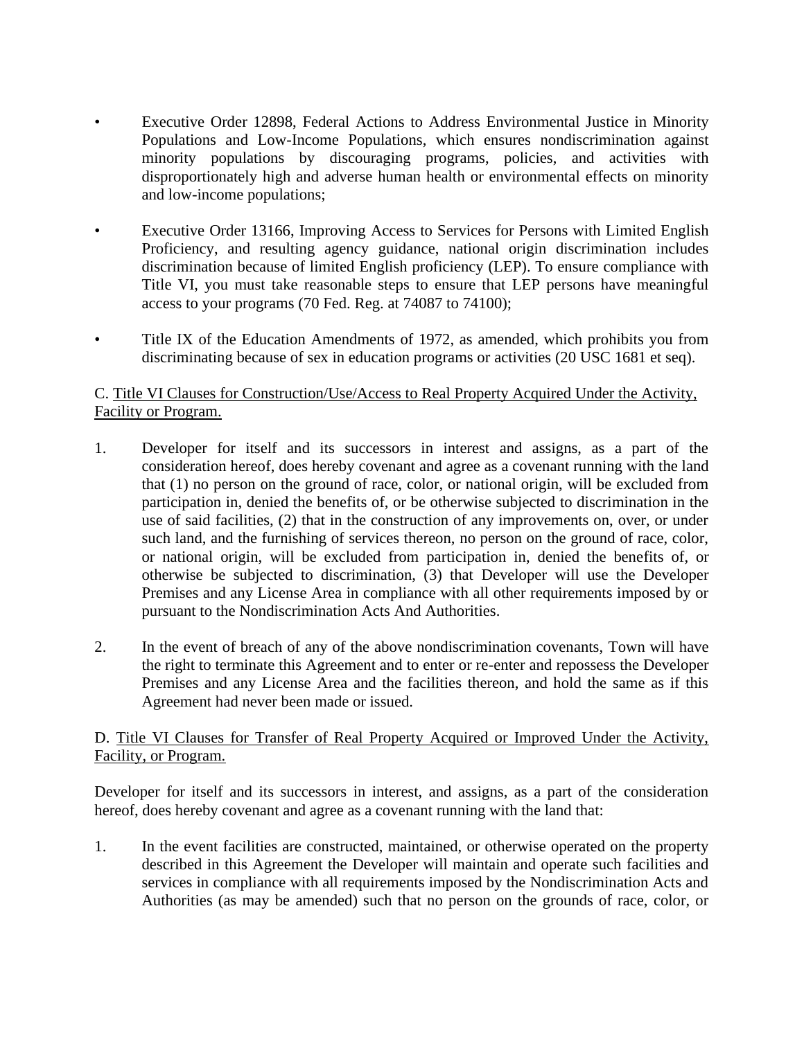- Executive Order 12898, Federal Actions to Address Environmental Justice in Minority Populations and Low-Income Populations, which ensures nondiscrimination against minority populations by discouraging programs, policies, and activities with disproportionately high and adverse human health or environmental effects on minority and low-income populations;
- Executive Order 13166, Improving Access to Services for Persons with Limited English Proficiency, and resulting agency guidance, national origin discrimination includes discrimination because of limited English proficiency (LEP). To ensure compliance with Title VI, you must take reasonable steps to ensure that LEP persons have meaningful access to your programs (70 Fed. Reg. at 74087 to 74100);
- Title IX of the Education Amendments of 1972, as amended, which prohibits you from discriminating because of sex in education programs or activities (20 USC 1681 et seq).

### C. Title VI Clauses for Construction/Use/Access to Real Property Acquired Under the Activity, Facility or Program.

- 1. Developer for itself and its successors in interest and assigns, as a part of the consideration hereof, does hereby covenant and agree as a covenant running with the land that (1) no person on the ground of race, color, or national origin, will be excluded from participation in, denied the benefits of, or be otherwise subjected to discrimination in the use of said facilities, (2) that in the construction of any improvements on, over, or under such land, and the furnishing of services thereon, no person on the ground of race, color, or national origin, will be excluded from participation in, denied the benefits of, or otherwise be subjected to discrimination, (3) that Developer will use the Developer Premises and any License Area in compliance with all other requirements imposed by or pursuant to the Nondiscrimination Acts And Authorities.
- 2. In the event of breach of any of the above nondiscrimination covenants, Town will have the right to terminate this Agreement and to enter or re-enter and repossess the Developer Premises and any License Area and the facilities thereon, and hold the same as if this Agreement had never been made or issued.

### D. Title VI Clauses for Transfer of Real Property Acquired or Improved Under the Activity, Facility, or Program.

Developer for itself and its successors in interest, and assigns, as a part of the consideration hereof, does hereby covenant and agree as a covenant running with the land that:

1. In the event facilities are constructed, maintained, or otherwise operated on the property described in this Agreement the Developer will maintain and operate such facilities and services in compliance with all requirements imposed by the Nondiscrimination Acts and Authorities (as may be amended) such that no person on the grounds of race, color, or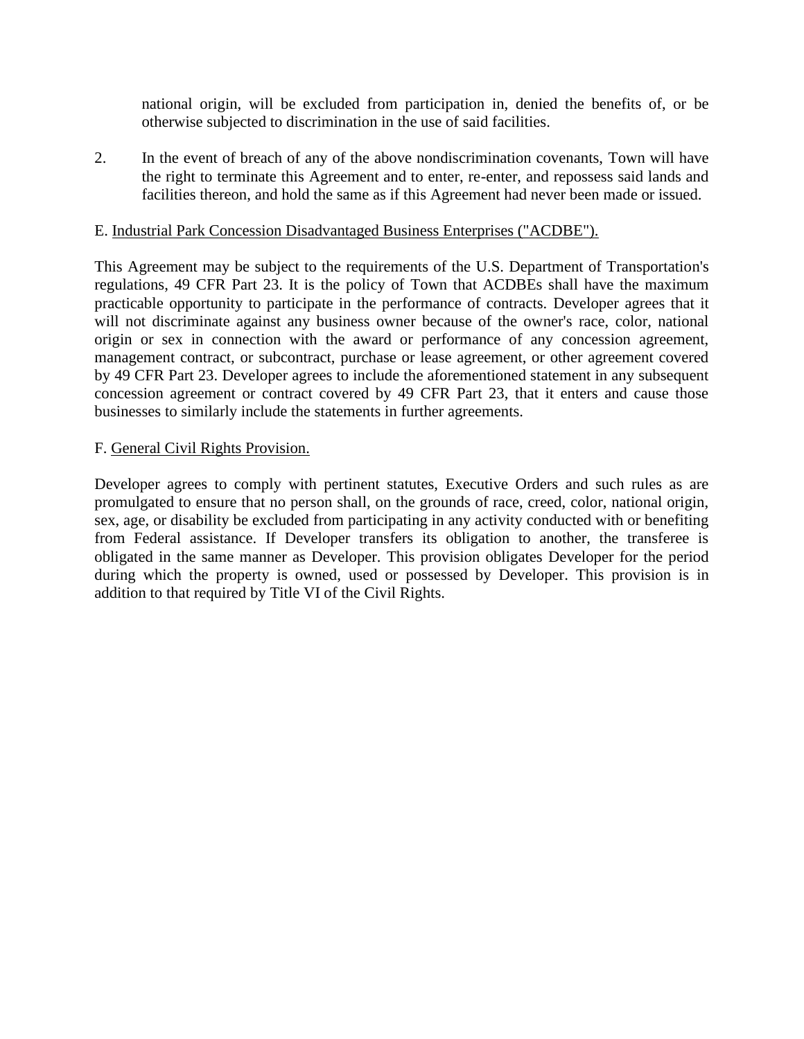national origin, will be excluded from participation in, denied the benefits of, or be otherwise subjected to discrimination in the use of said facilities.

2. In the event of breach of any of the above nondiscrimination covenants, Town will have the right to terminate this Agreement and to enter, re-enter, and repossess said lands and facilities thereon, and hold the same as if this Agreement had never been made or issued.

### E. Industrial Park Concession Disadvantaged Business Enterprises ("ACDBE").

This Agreement may be subject to the requirements of the U.S. Department of Transportation's regulations, 49 CFR Part 23. It is the policy of Town that ACDBEs shall have the maximum practicable opportunity to participate in the performance of contracts. Developer agrees that it will not discriminate against any business owner because of the owner's race, color, national origin or sex in connection with the award or performance of any concession agreement, management contract, or subcontract, purchase or lease agreement, or other agreement covered by 49 CFR Part 23. Developer agrees to include the aforementioned statement in any subsequent concession agreement or contract covered by 49 CFR Part 23, that it enters and cause those businesses to similarly include the statements in further agreements.

#### F. General Civil Rights Provision.

Developer agrees to comply with pertinent statutes, Executive Orders and such rules as are promulgated to ensure that no person shall, on the grounds of race, creed, color, national origin, sex, age, or disability be excluded from participating in any activity conducted with or benefiting from Federal assistance. If Developer transfers its obligation to another, the transferee is obligated in the same manner as Developer. This provision obligates Developer for the period during which the property is owned, used or possessed by Developer. This provision is in addition to that required by Title VI of the Civil Rights.